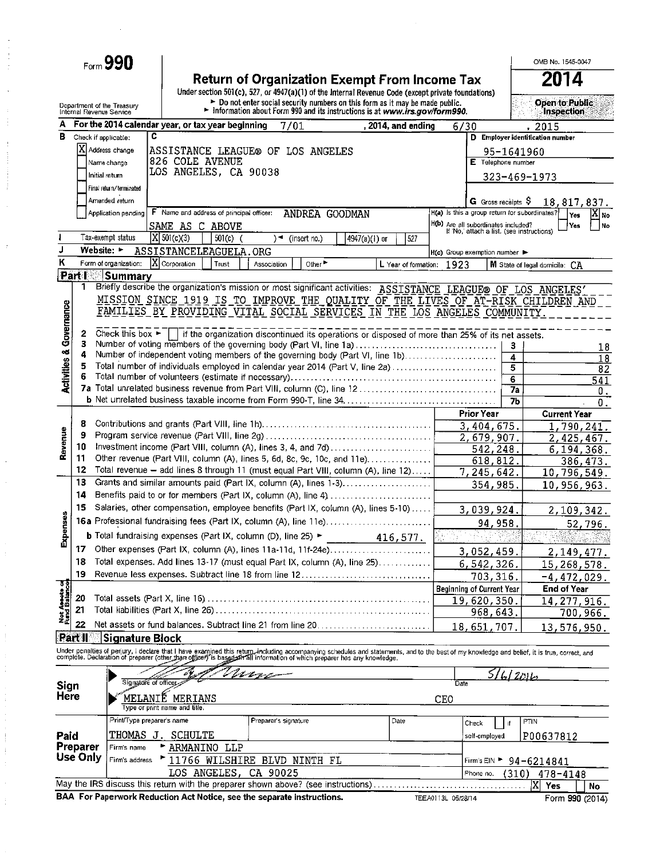|                               |                                | Form 990                                                                                 |                                          |              |                                   |                       |                                                                                                                                                             |                      |                    |                                                                                   |                     | OMB No. 1545-0047                                                                                                                                                                                                                 |                          |
|-------------------------------|--------------------------------|------------------------------------------------------------------------------------------|------------------------------------------|--------------|-----------------------------------|-----------------------|-------------------------------------------------------------------------------------------------------------------------------------------------------------|----------------------|--------------------|-----------------------------------------------------------------------------------|---------------------|-----------------------------------------------------------------------------------------------------------------------------------------------------------------------------------------------------------------------------------|--------------------------|
|                               |                                |                                                                                          |                                          |              |                                   |                       | <b>Return of Organization Exempt From Income Tax</b><br>Under section 501(c), 527, or 4947(a)(1) of the Internal Revenue Code (except private foundations)  |                      |                    |                                                                                   |                     | 2014                                                                                                                                                                                                                              |                          |
|                               | Internal Revenue Service       | Department of the Treasury                                                               |                                          |              |                                   |                       | > Do not enter social security numbers on this form as it may be made public.<br>Information about Form 990 and its instructions is at www.irs.gov/form990. |                      |                    |                                                                                   |                     | <b>Open to Public</b><br><b>Inspection</b>                                                                                                                                                                                        |                          |
|                               |                                | For the 2014 calendar year, or tax year beginning                                        |                                          |              | 7/01                              |                       |                                                                                                                                                             | , 2014, and ending   |                    | 6/30                                                                              |                     | , 2015                                                                                                                                                                                                                            |                          |
| в                             | Check if applicable:           |                                                                                          | C                                        |              |                                   |                       |                                                                                                                                                             |                      |                    |                                                                                   |                     | D Employer identification number                                                                                                                                                                                                  |                          |
|                               |                                | $ \mathbf{X} $ Address change                                                            |                                          |              | ASSISTANCE LEAGUE® OF LOS ANGELES |                       |                                                                                                                                                             |                      |                    |                                                                                   |                     | 95-1641960                                                                                                                                                                                                                        |                          |
|                               |                                | Name change                                                                              | <b>826 COLE AVENUE</b>                   |              |                                   |                       |                                                                                                                                                             |                      |                    | E Telephone number                                                                |                     |                                                                                                                                                                                                                                   |                          |
|                               |                                | Initial return                                                                           | LOS ANGELES, CA 90038                    |              |                                   |                       |                                                                                                                                                             |                      |                    |                                                                                   |                     | $323 - 469 - 1973$                                                                                                                                                                                                                |                          |
|                               |                                | Final return/terminated                                                                  |                                          |              |                                   |                       |                                                                                                                                                             |                      |                    |                                                                                   |                     |                                                                                                                                                                                                                                   |                          |
|                               |                                | Amended return                                                                           |                                          |              |                                   |                       |                                                                                                                                                             |                      |                    | G Gross receipts S                                                                |                     | 18,817,837.                                                                                                                                                                                                                       |                          |
|                               |                                | Application pending                                                                      | F Name and address of principal officer: |              |                                   | ANDREA GOODMAN        |                                                                                                                                                             |                      |                    | H(a) is this a group return for subordinates?                                     |                     | Yes                                                                                                                                                                                                                               | IXI <sub>No</sub>        |
|                               |                                |                                                                                          | SAME AS C ABOVE                          |              |                                   |                       |                                                                                                                                                             |                      |                    | H(b) Are all subordinates included?<br>If 'No,' attach a list. (see instructions) |                     | Yes                                                                                                                                                                                                                               | <b>No</b>                |
|                               |                                | Tax-exempt status                                                                        | X 501(c)(3)                              | 501(c)       | ∖≁.                               | (insert no.)          | 4947(a)(1) or                                                                                                                                               | 527                  |                    |                                                                                   |                     |                                                                                                                                                                                                                                   |                          |
|                               | Website: $\blacktriangleright$ |                                                                                          | ASSISTANCELEAGUELA.ORG                   |              |                                   |                       |                                                                                                                                                             |                      |                    | H(c) Group exemption number                                                       |                     |                                                                                                                                                                                                                                   |                          |
| Κ                             | <b>Part I</b>                  | Form of organization:                                                                    | X Corporation                            | Trust        | Association                       | Other <sup>&gt;</sup> |                                                                                                                                                             | L Year of formation: | 1923               |                                                                                   |                     | M State of legal domicile: CA                                                                                                                                                                                                     |                          |
|                               | 1                              | Summary                                                                                  |                                          |              |                                   |                       |                                                                                                                                                             |                      |                    |                                                                                   |                     | Briefly describe the organization's mission or most significant activities: ASSISTANCE LEAGUE® OF LOS ANGELES'                                                                                                                    |                          |
|                               |                                |                                                                                          |                                          |              |                                   |                       |                                                                                                                                                             |                      |                    |                                                                                   |                     | MISSION SINCE 1919 IS TO IMPROVE THE QUALITY OF THE LIVES OF AT-RISK CHILDREN AND                                                                                                                                                 |                          |
|                               |                                |                                                                                          |                                          |              |                                   |                       | FAMILIES BY PROVIDING VITAL SOCIAL SERVICES IN THE LOS ANGELES COMMUNITY.                                                                                   |                      |                    |                                                                                   |                     |                                                                                                                                                                                                                                   |                          |
|                               |                                |                                                                                          |                                          |              |                                   |                       |                                                                                                                                                             |                      |                    |                                                                                   |                     |                                                                                                                                                                                                                                   |                          |
| Governance                    | 2                              | Check this box $\blacktriangleright$                                                     |                                          |              |                                   |                       | if the organization discontinued its operations or disposed of more than 25% of its net assets.                                                             |                      |                    |                                                                                   |                     |                                                                                                                                                                                                                                   |                          |
|                               | 3                              |                                                                                          |                                          |              |                                   |                       | Number of voting members of the governing body (Part VI, line 1a)                                                                                           |                      |                    |                                                                                   | 3                   |                                                                                                                                                                                                                                   | 18                       |
|                               | 4<br>5                         |                                                                                          |                                          |              |                                   |                       | Number of independent voting members of the governing body (Part VI, line 1b)                                                                               |                      |                    |                                                                                   | 4                   |                                                                                                                                                                                                                                   | $\overline{18}$          |
| <b>Activities &amp;</b>       |                                |                                                                                          |                                          |              |                                   |                       | Total number of individuals employed in calendar year 2014 (Part V, line 2a)                                                                                |                      |                    |                                                                                   | 5<br>$\overline{6}$ |                                                                                                                                                                                                                                   | 82                       |
|                               |                                |                                                                                          |                                          |              |                                   |                       | 7a Total unrelated business revenue from Part VIII, column (C), line 12                                                                                     |                      |                    |                                                                                   | 7a                  |                                                                                                                                                                                                                                   | 541<br>0.                |
|                               |                                |                                                                                          |                                          |              |                                   |                       |                                                                                                                                                             |                      |                    |                                                                                   | 7Ь                  |                                                                                                                                                                                                                                   | 0.                       |
|                               |                                |                                                                                          |                                          |              |                                   |                       |                                                                                                                                                             |                      |                    | <b>Prior Year</b>                                                                 |                     | <b>Current Year</b>                                                                                                                                                                                                               |                          |
|                               | 8                              |                                                                                          |                                          |              |                                   |                       |                                                                                                                                                             |                      |                    | 3,404,675.                                                                        |                     |                                                                                                                                                                                                                                   | 1,790,241.               |
|                               | 9                              |                                                                                          |                                          |              |                                   |                       |                                                                                                                                                             |                      |                    | 2,679,907.                                                                        |                     |                                                                                                                                                                                                                                   | $\overline{2,425,467}$ . |
| Revenue                       | 10                             |                                                                                          |                                          |              |                                   |                       | Investment income (Part VIII, column (A), lines 3, 4, and 7d)                                                                                               |                      |                    | 542,248.                                                                          |                     |                                                                                                                                                                                                                                   | 6,194,368.               |
|                               | 11                             |                                                                                          |                                          |              |                                   |                       | Other revenue (Part VIII, column (A), lines 5, 6d, 8c, 9c, 10c, and 11e)                                                                                    |                      |                    | 618, 812.                                                                         |                     |                                                                                                                                                                                                                                   | 386, 473.                |
|                               | 12<br>13                       |                                                                                          |                                          |              |                                   |                       | Total revenue - add lines 8 through 11 (must equal Part VIII, column (A), line 12)<br>Grants and similar amounts paid (Part IX, column (A), lines 1-3)      |                      |                    | 7,245,642.                                                                        |                     | 10,796,549.                                                                                                                                                                                                                       |                          |
|                               | 14                             |                                                                                          |                                          |              |                                   |                       | Benefits paid to or for members (Part IX, column (A), line 4)                                                                                               |                      |                    | 354,985,                                                                          |                     | 10,956,963.                                                                                                                                                                                                                       |                          |
|                               | 15                             |                                                                                          |                                          |              |                                   |                       | Salaries, other compensation, employee benefits (Part IX, column (A), lines 5-10)                                                                           |                      |                    |                                                                                   |                     |                                                                                                                                                                                                                                   |                          |
|                               |                                |                                                                                          |                                          |              |                                   |                       | 16a Professional fundraising fees (Part IX, column (A), line 11e)                                                                                           |                      |                    | 3,039,924.                                                                        |                     | 2,109,342.                                                                                                                                                                                                                        |                          |
| Expenses                      |                                |                                                                                          |                                          |              |                                   |                       |                                                                                                                                                             |                      |                    | 94,958                                                                            |                     |                                                                                                                                                                                                                                   | 52,796.                  |
|                               |                                | <b>b</b> Total fundraising expenses (Part IX, column (D), line 25) $\blacktriangleright$ |                                          |              |                                   |                       |                                                                                                                                                             | 416,577.             |                    |                                                                                   |                     |                                                                                                                                                                                                                                   |                          |
|                               | 17                             |                                                                                          |                                          |              |                                   |                       | Other expenses (Part IX, column (A), lines 11a-11d, 11f-24e)                                                                                                |                      |                    | 3,052,459.                                                                        |                     |                                                                                                                                                                                                                                   | 2, 149, 477.             |
|                               | 18                             |                                                                                          |                                          |              |                                   |                       | Total expenses. Add lines 13-17 (must equal Part IX, column (A), line 25)                                                                                   |                      |                    | 6, 542, 326.                                                                      |                     | 15, 268, 578.                                                                                                                                                                                                                     |                          |
|                               | 19                             |                                                                                          |                                          |              |                                   |                       | Revenue less expenses. Subtract line 18 from line 12                                                                                                        |                      |                    | 703,316.                                                                          |                     | -4,472,029.                                                                                                                                                                                                                       |                          |
|                               | 20                             |                                                                                          |                                          |              |                                   |                       |                                                                                                                                                             |                      |                    | <b>Beginning of Current Year</b>                                                  |                     | <b>End of Year</b>                                                                                                                                                                                                                |                          |
|                               | 21                             |                                                                                          |                                          |              |                                   |                       |                                                                                                                                                             |                      |                    | 19,620,350.                                                                       |                     | 14, 277, 916.                                                                                                                                                                                                                     |                          |
| Net Assets of<br>Fund Balance | 22                             |                                                                                          |                                          |              |                                   |                       | Net assets or fund balances. Subtract line 21 from line 20                                                                                                  |                      |                    | 968,643.                                                                          |                     |                                                                                                                                                                                                                                   | 700, 966.                |
|                               | Part II                        | <b>Signature Block</b>                                                                   |                                          |              |                                   |                       |                                                                                                                                                             |                      |                    | 18,651,707.                                                                       |                     | 13,576,950.                                                                                                                                                                                                                       |                          |
|                               |                                |                                                                                          |                                          |              |                                   |                       |                                                                                                                                                             |                      |                    |                                                                                   |                     |                                                                                                                                                                                                                                   |                          |
|                               |                                |                                                                                          |                                          |              |                                   |                       |                                                                                                                                                             |                      |                    |                                                                                   |                     | Under penalties of perjury, I declare that I have examined this return, including accompanying schedules and statements, and to the best of my knowledge and belief, it is true, correct, and<br>complete. Declaration of prepare |                          |
|                               |                                |                                                                                          |                                          |              | non                               |                       |                                                                                                                                                             |                      |                    |                                                                                   |                     | 51612016                                                                                                                                                                                                                          |                          |
| Sign                          |                                | Signature of officer                                                                     |                                          |              |                                   |                       |                                                                                                                                                             |                      | Date               |                                                                                   |                     |                                                                                                                                                                                                                                   |                          |
| Here                          |                                | MELANIE                                                                                  |                                          | MERIANS      |                                   |                       |                                                                                                                                                             |                      | CEO                |                                                                                   |                     |                                                                                                                                                                                                                                   |                          |
|                               |                                |                                                                                          | Type or print name and title.            |              |                                   |                       |                                                                                                                                                             |                      |                    |                                                                                   |                     |                                                                                                                                                                                                                                   |                          |
|                               |                                | Print/Type preparer's name                                                               |                                          |              | Preparer's signature              |                       |                                                                                                                                                             | Date                 |                    | Check                                                                             | if                  | PTIN                                                                                                                                                                                                                              |                          |
| Paid                          |                                | THOMAS J. SCHULTE                                                                        |                                          |              |                                   |                       |                                                                                                                                                             |                      |                    | self-employed                                                                     |                     | P00637812                                                                                                                                                                                                                         |                          |
|                               | Preparer                       | Firm's name                                                                              |                                          | ARMANINO LLP |                                   |                       |                                                                                                                                                             |                      |                    |                                                                                   |                     |                                                                                                                                                                                                                                   |                          |
|                               | Use Only                       | Firm's address                                                                           |                                          |              | 11766 WILSHIRE BLVD NINTH FL      |                       |                                                                                                                                                             |                      |                    |                                                                                   |                     | Firm's EIN $\triangleright$ 94-6214841                                                                                                                                                                                            |                          |
|                               |                                |                                                                                          |                                          | LOS ANGELES, | CA 90025                          |                       |                                                                                                                                                             |                      |                    | Phone no.                                                                         | (310)               | $478 - 4148$                                                                                                                                                                                                                      |                          |
|                               |                                |                                                                                          |                                          |              |                                   |                       | May the IRS discuss this return with the preparer shown above? (see instructions)                                                                           |                      |                    |                                                                                   |                     | XI<br>Yes                                                                                                                                                                                                                         | No                       |
|                               |                                | BAA For Paperwork Reduction Act Notice, see the separate instructions.                   |                                          |              |                                   |                       |                                                                                                                                                             |                      | TEEA0113L 05/28/14 |                                                                                   |                     | Form 990 (2014)                                                                                                                                                                                                                   |                          |

 $\label{eq:2.1} \frac{1}{\sqrt{2}}\int_{0}^{\infty}\frac{1}{\sqrt{2}}\left(\frac{1}{\sqrt{2}}\right)^{2}d\mu\left(\frac{1}{\sqrt{2}}\right)dx.$ 

 $\ddot{\phantom{1}}$ 

 $\alpha$  and  $\alpha$  and  $\alpha$  are all  $\alpha$  and  $\alpha$ 

 $\frac{1}{2} \left( \frac{1}{2} \right)$ 

 $\frac{1}{\sqrt{2}}$ i<br>P

 $\frac{1}{2}$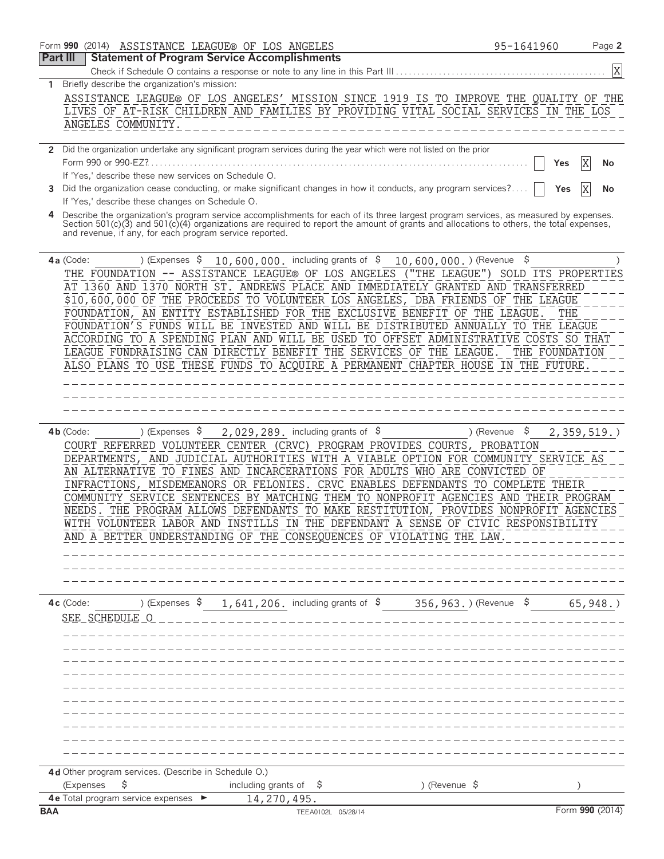|            |                             | Form 990 (2014) ASSISTANCE LEAGUE® OF LOS ANGELES                                                                                                                                                                                                                                                                                                                                                                                                                                                                                                                                                                                                                                                                   |                                   |                                                           |                          | 95-1641960            | Page 2          |
|------------|-----------------------------|---------------------------------------------------------------------------------------------------------------------------------------------------------------------------------------------------------------------------------------------------------------------------------------------------------------------------------------------------------------------------------------------------------------------------------------------------------------------------------------------------------------------------------------------------------------------------------------------------------------------------------------------------------------------------------------------------------------------|-----------------------------------|-----------------------------------------------------------|--------------------------|-----------------------|-----------------|
|            | <b>Part III</b>             | <b>Statement of Program Service Accomplishments</b>                                                                                                                                                                                                                                                                                                                                                                                                                                                                                                                                                                                                                                                                 |                                   |                                                           |                          |                       | X               |
| 1.         |                             | Briefly describe the organization's mission:                                                                                                                                                                                                                                                                                                                                                                                                                                                                                                                                                                                                                                                                        |                                   |                                                           |                          |                       |                 |
|            |                             | ASSISTANCE LEAGUE® OF LOS ANGELES' MISSION SINCE 1919 IS TO IMPROVE THE QUALITY OF THE<br>LIVES OF AT-RISK CHILDREN AND FAMILIES BY PROVIDING VITAL SOCIAL SERVICES IN THE LOS<br>ANGELES COMMUNITY.                                                                                                                                                                                                                                                                                                                                                                                                                                                                                                                |                                   |                                                           |                          |                       |                 |
|            |                             | 2 Did the organization undertake any significant program services during the year which were not listed on the prior                                                                                                                                                                                                                                                                                                                                                                                                                                                                                                                                                                                                |                                   |                                                           |                          |                       |                 |
|            | Form 990 or 990-EZ?.        |                                                                                                                                                                                                                                                                                                                                                                                                                                                                                                                                                                                                                                                                                                                     |                                   |                                                           |                          | Yes                   | ΙX<br>No        |
|            |                             | If 'Yes,' describe these new services on Schedule O.                                                                                                                                                                                                                                                                                                                                                                                                                                                                                                                                                                                                                                                                |                                   |                                                           |                          |                       |                 |
| 3          |                             | Did the organization cease conducting, or make significant changes in how it conducts, any program services?<br>If 'Yes,' describe these changes on Schedule O.                                                                                                                                                                                                                                                                                                                                                                                                                                                                                                                                                     |                                   |                                                           |                          | Yes                   | ΙX<br>No        |
|            |                             | Describe the organization's program service accomplishments for each of its three largest program services, as measured by expenses.<br>Section 501(c)(3) and 501(c)(4) organizations are required to report the amount of grants and allocations to others, the total expenses,<br>and revenue, if any, for each program service reported.                                                                                                                                                                                                                                                                                                                                                                         |                                   |                                                           |                          |                       |                 |
|            | 4a (Code:                   | ) (Expenses $\frac{1}{2}$<br>THE FOUNDATION -- ASSISTANCE LEAGUE® OF LOS ANGELES ("THE LEAGUE") SOLD ITS PROPERTIES<br>AT 1360 AND 1370 NORTH ST. ANDREWS PLACE AND IMMEDIATELY GRANTED AND TRANSFERRED<br>\$10,600,000 OF THE PROCEEDS TO VOLUNTEER LOS ANGELES, DBA FRIENDS OF THE LEAGUE<br>FOUNDATION, AN ENTITY ESTABLISHED FOR THE EXCLUSIVE BENEFIT OF THE LEAGUE.<br>FOUNDATION'S FUNDS WILL BE INVESTED AND WILL BE DISTRIBUTED ANNUALLY TO THE LEAGUE<br>ACCORDING TO A SPENDING PLAN AND WILL BE USED TO OFFSET ADMINISTRATIVE COSTS SO THAT<br>LEAGUE FUNDRAISING CAN DIRECTLY BENEFIT THE SERVICES OF THE LEAGUE.<br>ALSO PLANS TO USE THESE FUNDS TO ACQUIRE A PERMANENT CHAPTER HOUSE IN THE FUTURE. |                                   | 10,600,000. including grants of \$ 10,600,000. ) (Revenue | - \$                     | THE<br>THE FOUNDATION |                 |
|            |                             |                                                                                                                                                                                                                                                                                                                                                                                                                                                                                                                                                                                                                                                                                                                     |                                   |                                                           |                          |                       |                 |
|            | $4b$ (Code:                 | ) (Expenses $\sqrt{5}$<br>COURT REFERRED VOLUNTEER CENTER (CRVC) PROGRAM PROVIDES COURTS, PROBATION<br>DEPARTMENTS, AND JUDICIAL AUTHORITIES WITH A VIABLE OPTION FOR COMMUNITY SERVICE AS<br>AN ALTERNATIVE TO FINES AND INCARCERATIONS FOR ADULTS WHO ARE CONVICTED OF<br>INFRACTIONS, MISDEMEANORS OR FELONIES. CRVC ENABLES DEFENDANTS TO COMPLETE<br>COMMUNITY SERVICE SENTENCES BY MATCHING THEM TO NONPROFIT AGENCIES AND THEIR PROGRAM<br>NEEDS. THE PROGRAM ALLOWS DEFENDANTS TO MAKE RESTITUTION, PROVIDES NONPROFIT AGENCIES<br>WITH VOLUNTEER LABOR AND INSTILLS IN THE DEFENDANT A SENSE OF CIVIC RESPONSIBILITY<br>AND A BETTER UNDERSTANDING OF THE CONSEQUENCES OF VIOLATING THE LAW.               |                                   | $2,029,289$ . including grants of $\$$                    | ) (Revenue $\frac{1}{2}$ | THEIR                 | 2, 359, 519.    |
|            | 4c (Code:<br>SEE SCHEDULE O | ) (Expenses \$                                                                                                                                                                                                                                                                                                                                                                                                                                                                                                                                                                                                                                                                                                      |                                   | 1, 641, 206. including grants of $\$$                     | 356, 963. ) (Revenue \$  |                       | $65,948.$ )     |
|            |                             |                                                                                                                                                                                                                                                                                                                                                                                                                                                                                                                                                                                                                                                                                                                     |                                   |                                                           |                          |                       |                 |
|            |                             | 4d Other program services. (Describe in Schedule O.)                                                                                                                                                                                                                                                                                                                                                                                                                                                                                                                                                                                                                                                                |                                   |                                                           |                          |                       |                 |
|            | (Expenses                   | \$                                                                                                                                                                                                                                                                                                                                                                                                                                                                                                                                                                                                                                                                                                                  | including grants of $\frac{1}{2}$ |                                                           | ) (Revenue $\frac{1}{2}$ |                       |                 |
| <b>BAA</b> |                             | <b>4e</b> Total program service expenses                                                                                                                                                                                                                                                                                                                                                                                                                                                                                                                                                                                                                                                                            | 14,270,495.                       |                                                           |                          |                       | Form 990 (2014) |
|            |                             |                                                                                                                                                                                                                                                                                                                                                                                                                                                                                                                                                                                                                                                                                                                     |                                   | TEEA0102L 05/28/14                                        |                          |                       |                 |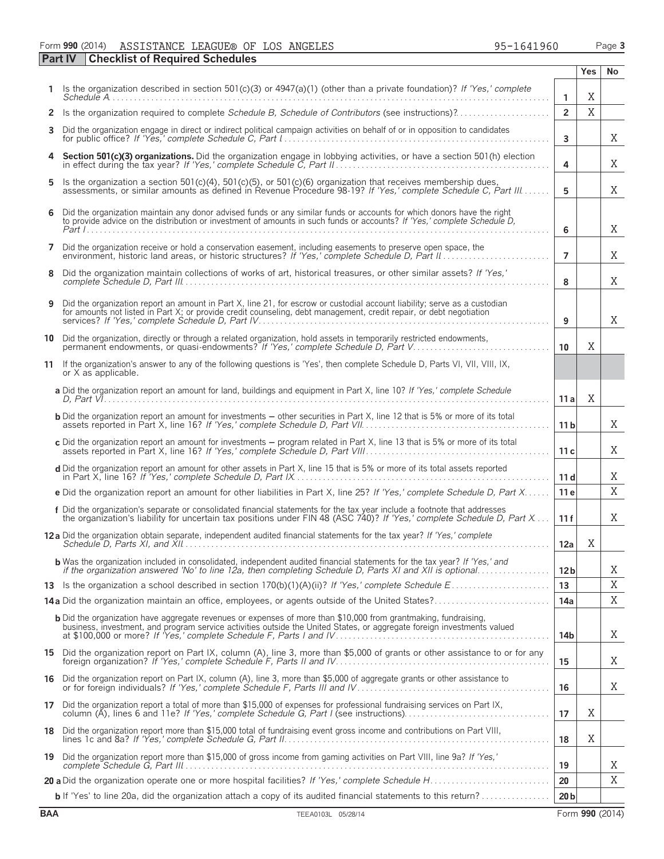#### Form **990** (2014) ASSISTANCE LEAGUE® OF LOS ANGELES 95-1641960 Page 3 **Part IV Checklist of Required Schedules**

|                |                                                                                                                                                                                                                                                                                                                                                                                                                                                                                                                                                                                    |                 | Yes         | No |
|----------------|------------------------------------------------------------------------------------------------------------------------------------------------------------------------------------------------------------------------------------------------------------------------------------------------------------------------------------------------------------------------------------------------------------------------------------------------------------------------------------------------------------------------------------------------------------------------------------|-----------------|-------------|----|
|                | 1 Is the organization described in section $501(c)(3)$ or $4947(a)(1)$ (other than a private foundation)? If 'Yes,' complete                                                                                                                                                                                                                                                                                                                                                                                                                                                       | $\mathbf{1}$    | Χ           |    |
|                | 2 Is the organization required to complete Schedule B, Schedule of Contributors (see instructions)?                                                                                                                                                                                                                                                                                                                                                                                                                                                                                | $\overline{2}$  | $\mathbf X$ |    |
| 3              | Did the organization engage in direct or indirect political campaign activities on behalf of or in opposition to candidates                                                                                                                                                                                                                                                                                                                                                                                                                                                        | $\mathbf{3}$    |             | X  |
| 4              | Section 501(c)(3) organizations. Did the organization engage in lobbying activities, or have a section 501(h) election<br>in effect during the tax year? If 'Yes,' complete Schedule C, Part $\parallel \ldots \parallel \ldots \parallel \ldots \parallel \ldots \parallel \ldots \parallel \ldots \parallel \ldots \perp \ldots \perp \ldots \perp \ldots \perp \ldots \perp \ldots \perp \ldots \perp \ldots \perp \ldots \perp \ldots \perp \ldots \perp \ldots \perp \ldots \perp \ldots \perp \ldots \perp \perp \ldots \perp \perp \ldots \perp \perp \ldots \perp \perp \$ | 4               |             | X  |
| 5.             | Is the organization a section 501(c)(4), 501(c)(5), or 501(c)(6) organization that receives membership dues,<br>assessments, or similar amounts as defined in Revenue Procedure 98-19? If 'Yes,' complete Schedule C, Part III                                                                                                                                                                                                                                                                                                                                                     | 5               |             | X  |
| 6              | Did the organization maintain any donor advised funds or any similar funds or accounts for which donors have the right<br>to provide advice on the distribution or investment of amounts in such funds or accounts? If 'Yes,' complete Schedule D,                                                                                                                                                                                                                                                                                                                                 | 6               |             | Χ  |
| $\overline{7}$ | Did the organization receive or hold a conservation easement, including easements to preserve open space, the                                                                                                                                                                                                                                                                                                                                                                                                                                                                      | $\overline{7}$  |             | X  |
| 8              | Did the organization maintain collections of works of art, historical treasures, or other similar assets? If 'Yes,'                                                                                                                                                                                                                                                                                                                                                                                                                                                                | 8               |             | X  |
| 9              | Did the organization report an amount in Part X, line 21, for escrow or custodial account liability; serve as a custodian<br>for amounts not listed in Part X; or provide credit counseling, debt management, credit repair, or debt negotiation                                                                                                                                                                                                                                                                                                                                   | 9               |             | X  |
|                | 10 Did the organization, directly or through a related organization, hold assets in temporarily restricted endowments,<br>permanent endowments, or quasi-endowments? If 'Yes,' complete Schedule D, Part V                                                                                                                                                                                                                                                                                                                                                                         | 10              | X           |    |
| 11             | If the organization's answer to any of the following questions is 'Yes', then complete Schedule D, Parts VI, VII, VIII, IX,<br>or X as applicable.                                                                                                                                                                                                                                                                                                                                                                                                                                 |                 |             |    |
|                | a Did the organization report an amount for land, buildings and equipment in Part X, line 10? If 'Yes,' complete Schedule                                                                                                                                                                                                                                                                                                                                                                                                                                                          | 11a             | X           |    |
|                | <b>b</b> Did the organization report an amount for investments - other securities in Part X, line 12 that is 5% or more of its total                                                                                                                                                                                                                                                                                                                                                                                                                                               | 11 <sub>b</sub> |             | Χ  |
|                | c Did the organization report an amount for investments - program related in Part X, line 13 that is 5% or more of its total                                                                                                                                                                                                                                                                                                                                                                                                                                                       | 11c             |             | Χ  |
|                | d Did the organization report an amount for other assets in Part X, line 15 that is 5% or more of its total assets reported                                                                                                                                                                                                                                                                                                                                                                                                                                                        | 11 <sub>d</sub> |             | Χ  |
|                | e Did the organization report an amount for other liabilities in Part X, line 25? If 'Yes,' complete Schedule D, Part X                                                                                                                                                                                                                                                                                                                                                                                                                                                            | 11 e            |             | X  |
|                | f Did the organization's separate or consolidated financial statements for the tax year include a footnote that addresses<br>the organization's liability for uncertain tax positions under FIN 48 (ASC 740)? If 'Yes,' complete Schedule D, Part X                                                                                                                                                                                                                                                                                                                                | 11f             |             | Χ  |
|                | 12a Did the organization obtain separate, independent audited financial statements for the tax year? If 'Yes,' complete                                                                                                                                                                                                                                                                                                                                                                                                                                                            | 12a             | X           |    |
|                | <b>b</b> Was the organization included in consolidated, independent audited financial statements for the tax year? If 'Yes,' and if the organization answered 'No' to line 12a, then completing Schedule D, Parts XI and XII is opt                                                                                                                                                                                                                                                                                                                                                | 12 <sub>b</sub> |             | Χ  |
|                |                                                                                                                                                                                                                                                                                                                                                                                                                                                                                                                                                                                    | 13              |             | X  |
|                | 14a Did the organization maintain an office, employees, or agents outside of the United States?                                                                                                                                                                                                                                                                                                                                                                                                                                                                                    | 14a             |             | Χ  |
|                | <b>b</b> Did the organization have aggregate revenues or expenses of more than \$10,000 from grantmaking, fundraising,                                                                                                                                                                                                                                                                                                                                                                                                                                                             | 14b             |             | X  |
|                | 15 Did the organization report on Part IX, column (A), line 3, more than \$5,000 of grants or other assistance to or for any                                                                                                                                                                                                                                                                                                                                                                                                                                                       | 15              |             | Χ  |
|                | 16 Did the organization report on Part IX, column (A), line 3, more than \$5,000 of aggregate grants or other assistance to<br>or for foreign individuals? If 'Yes,' complete Schedule F, Parts III and IV                                                                                                                                                                                                                                                                                                                                                                         | 16              |             | X  |
|                | 17 Did the organization report a total of more than \$15,000 of expenses for professional fundraising services on Part IX,                                                                                                                                                                                                                                                                                                                                                                                                                                                         | 17              | Χ           |    |
|                | 18 Did the organization report more than \$15,000 total of fundraising event gross income and contributions on Part VIII,                                                                                                                                                                                                                                                                                                                                                                                                                                                          | 18              | Χ           |    |
|                | 19 Did the organization report more than \$15,000 of gross income from gaming activities on Part VIII, line 9a? If 'Yes,'                                                                                                                                                                                                                                                                                                                                                                                                                                                          | 19              |             | Χ  |
|                |                                                                                                                                                                                                                                                                                                                                                                                                                                                                                                                                                                                    | 20              |             | Χ  |
|                | <b>b</b> If 'Yes' to line 20a, did the organization attach a copy of its audited financial statements to this return?                                                                                                                                                                                                                                                                                                                                                                                                                                                              | 20 <sub>b</sub> |             |    |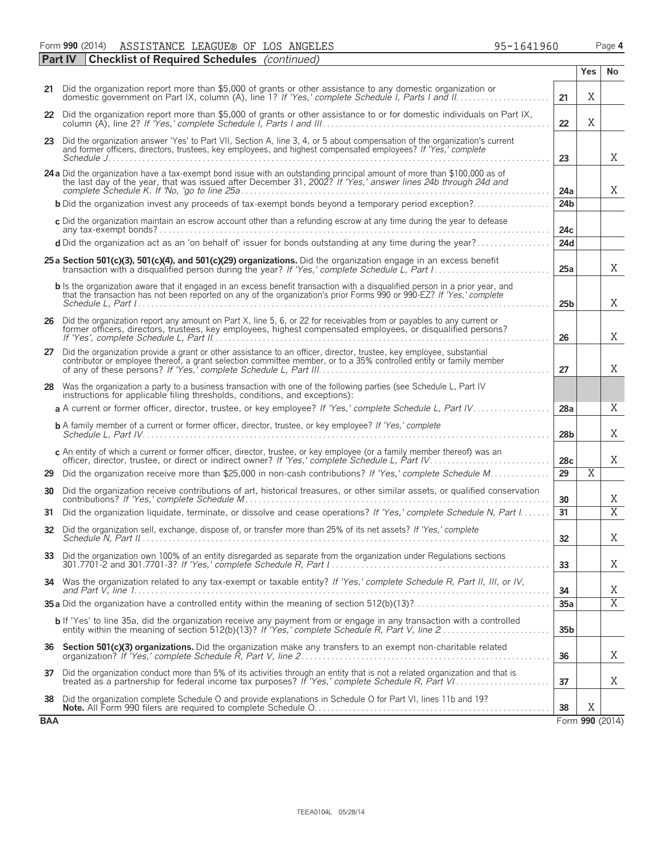Form **990** (2014) ASSISTANCE LEAGUE® OF LOS ANGELES 95-1641960 Page 4

|            | Part IV<br><b>Checklist of Required Schedules</b> (continued)                                                                                                                                                                                         |                 |                |                 |
|------------|-------------------------------------------------------------------------------------------------------------------------------------------------------------------------------------------------------------------------------------------------------|-----------------|----------------|-----------------|
|            |                                                                                                                                                                                                                                                       |                 | <b>Yes</b>     | No              |
|            | 21 Did the organization report more than \$5,000 of grants or other assistance to any domestic organization or                                                                                                                                        | 21              | X              |                 |
|            | 22 Did the organization report more than \$5,000 of grants or other assistance to or for domestic individuals on Part IX,                                                                                                                             | 22              | X              |                 |
|            | 23 Did the organization answer 'Yes' to Part VII, Section A, line 3, 4, or 5 about compensation of the organization's current<br>and former officers, directors, trustees, key employees, and highest compensated employees? If 'Yes,' complete       | 23              |                | X               |
|            | 24 a Did the organization have a tax-exempt bond issue with an outstanding principal amount of more than \$100,000 as of<br>the last day of the year, that was issued after December 31, 2002? If 'Yes,' answer lines 24b through 24d and             | 24a             |                | X               |
|            | <b>b</b> Did the organization invest any proceeds of tax-exempt bonds beyond a temporary period exception?                                                                                                                                            | 24 <sub>b</sub> |                |                 |
|            | c Did the organization maintain an escrow account other than a refunding escrow at any time during the year to defease                                                                                                                                | 24c             |                |                 |
|            | d Did the organization act as an 'on behalf of' issuer for bonds outstanding at any time during the year?                                                                                                                                             | 24d             |                |                 |
|            | 25 a Section 501(c)(3), 501(c)(4), and 501(c)(29) organizations. Did the organization engage in an excess benefit                                                                                                                                     | 25a             |                | Χ               |
|            | b Is the organization aware that it engaged in an excess benefit transaction with a disqualified person in a prior year, and<br>that the transaction has not been reported on any of the organization's prior Forms 990 or 990-EZ? If 'Yes,' complete | 25 <sub>b</sub> |                | Χ               |
|            | 26 Did the organization report any amount on Part X, line 5, 6, or 22 for receivables from or payables to any current or                                                                                                                              | 26              |                | Χ               |
|            | 27 Did the organization provide a grant or other assistance to an officer, director, trustee, key employee, substantial<br>contributor or employee thereof, a grant selection committee member, or to a 35% controlled entity or family member        | 27              |                | Χ               |
|            | 28 Was the organization a party to a business transaction with one of the following parties (see Schedule L, Part IV<br>instructions for applicable filing thresholds, conditions, and exceptions):                                                   |                 |                |                 |
|            | a A current or former officer, director, trustee, or key employee? If 'Yes,' complete Schedule L, Part IV                                                                                                                                             | 28a             |                | X               |
|            | <b>b</b> A family member of a current or former officer, director, trustee, or key employee? If 'Yes,' complete                                                                                                                                       | 28 <sub>b</sub> |                | X               |
|            | c An entity of which a current or former officer, director, trustee, or key employee (or a family member thereof) was an                                                                                                                              | 28c             |                | X               |
| 29         | Did the organization receive more than \$25,000 in non-cash contributions? If 'Yes,' complete Schedule M                                                                                                                                              | 29              | $\overline{X}$ |                 |
| 30         | Did the organization receive contributions of art, historical treasures, or other similar assets, or qualified conservation                                                                                                                           | 30              |                | Χ               |
| 31         | Did the organization liquidate, terminate, or dissolve and cease operations? If 'Yes,' complete Schedule N, Part I                                                                                                                                    | 31              |                | $\overline{X}$  |
| 32         | Did the organization sell, exchange, dispose of, or transfer more than 25% of its net assets? If 'Yes,' complete                                                                                                                                      | 32              |                | Χ               |
| 33         | Did the organization own 100% of an entity disregarded as separate from the organization under Regulations sections                                                                                                                                   | 33              |                | Χ               |
|            | 34 Was the organization related to any tax-exempt or taxable entity? If 'Yes,' complete Schedule R, Part II, III, or IV,                                                                                                                              | 34              |                | Χ               |
|            |                                                                                                                                                                                                                                                       | 35a             |                | $\overline{X}$  |
|            | <b>b</b> If 'Yes' to line 35a, did the organization receive any payment from or engage in any transaction with a controlled entity within the meaning of section 512(b)(13)? If 'Yes,' complete Schedule R, Part V, line 2                            | 35 <sub>b</sub> |                |                 |
|            |                                                                                                                                                                                                                                                       | 36              |                | X               |
|            | 37 Did the organization conduct more than 5% of its activities through an entity that is not a related organization and that is                                                                                                                       | 37              |                | Χ               |
| 38         | Did the organization complete Schedule O and provide explanations in Schedule O for Part VI, lines 11b and 19?                                                                                                                                        | 38              | Χ              |                 |
| <b>BAA</b> |                                                                                                                                                                                                                                                       |                 |                | Form 990 (2014) |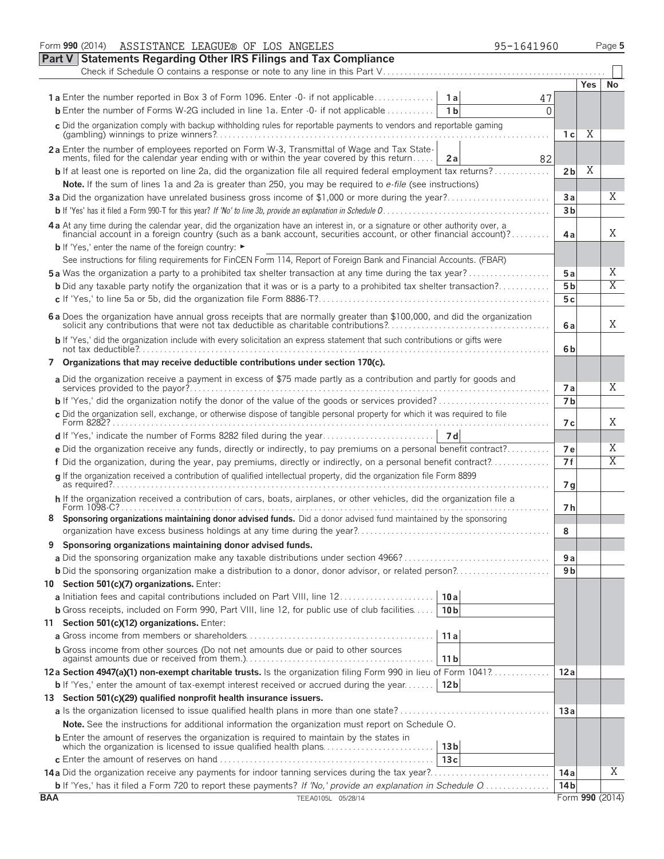|            | ASSISTANCE LEAGUE® OF LOS ANGELES<br>Form 990 (2014)<br>95-1641960                                                                                                                                |                 |            | Page 5                  |
|------------|---------------------------------------------------------------------------------------------------------------------------------------------------------------------------------------------------|-----------------|------------|-------------------------|
|            | Part V Statements Regarding Other IRS Filings and Tax Compliance                                                                                                                                  |                 |            |                         |
|            | Check if Schedule O contains a response or note to any line in this Part V                                                                                                                        |                 |            |                         |
|            |                                                                                                                                                                                                   |                 | <b>Yes</b> | No                      |
|            | <b>1a</b> Enter the number reported in Box 3 of Form 1096. Enter -0- if not applicable<br>1 a<br>47                                                                                               |                 |            |                         |
|            | <b>b</b> Enter the number of Forms W-2G included in line 1a. Enter -0- if not applicable<br>1 <sub>b</sub><br>$\Omega$                                                                            |                 |            |                         |
|            |                                                                                                                                                                                                   |                 |            |                         |
|            | c Did the organization comply with backup withholding rules for reportable payments to vendors and reportable gaming                                                                              | 1 c             | X          |                         |
|            |                                                                                                                                                                                                   |                 |            |                         |
|            | 2a Enter the number of employees reported on Form W-3, Transmittal of Wage and Tax State-<br>ments, filed for the calendar year ending with or within the year covered by this return<br>82<br>2a |                 |            |                         |
|            | <b>b</b> If at least one is reported on line 2a, did the organization file all required federal employment tax returns?                                                                           | 2 <sub>b</sub>  | Χ          |                         |
|            | Note. If the sum of lines 1a and 2a is greater than 250, you may be required to e-file (see instructions)                                                                                         |                 |            |                         |
|            |                                                                                                                                                                                                   |                 |            |                         |
|            |                                                                                                                                                                                                   | Зa              |            | Χ                       |
|            |                                                                                                                                                                                                   | 3 <sub>b</sub>  |            |                         |
|            | 4a At any time during the calendar year, did the organization have an interest in, or a signature or other authority over, a                                                                      |                 |            |                         |
|            | financial account in a foreign country (such as a bank account, securities account, or other financial account)?                                                                                  | 4a              |            | Χ                       |
|            | <b>b</b> If 'Yes,' enter the name of the foreign country: ►                                                                                                                                       |                 |            |                         |
|            | See instructions for filing requirements for FinCEN Form 114, Report of Foreign Bank and Financial Accounts. (FBAR)                                                                               |                 |            |                         |
|            | <b>5a</b> Was the organization a party to a prohibited tax shelter transaction at any time during the tax year?                                                                                   | 5a              |            | Χ                       |
|            | <b>b</b> Did any taxable party notify the organization that it was or is a party to a prohibited tax shelter transaction?                                                                         | 5 <sub>b</sub>  |            | $\overline{\mathrm{X}}$ |
|            |                                                                                                                                                                                                   | 5c              |            |                         |
|            | 6 a Does the organization have annual gross receipts that are normally greater than \$100,000, and did the organization                                                                           |                 |            |                         |
|            | solicit any contributions that were not tax deductible as charitable contributions?                                                                                                               | 6a              |            | X.                      |
|            | b If 'Yes,' did the organization include with every solicitation an express statement that such contributions or gifts were                                                                       |                 |            |                         |
|            |                                                                                                                                                                                                   | 6b              |            |                         |
|            | 7 Organizations that may receive deductible contributions under section 170(c).                                                                                                                   |                 |            |                         |
|            |                                                                                                                                                                                                   |                 |            |                         |
|            | a Did the organization receive a payment in excess of \$75 made partly as a contribution and partly for goods and                                                                                 | 7 a             |            | Χ                       |
|            |                                                                                                                                                                                                   | 7b              |            |                         |
|            | c Did the organization sell, exchange, or otherwise dispose of tangible personal property for which it was required to file                                                                       |                 |            |                         |
|            |                                                                                                                                                                                                   | 7 с             |            | X                       |
|            |                                                                                                                                                                                                   |                 |            |                         |
|            | e Did the organization receive any funds, directly or indirectly, to pay premiums on a personal benefit contract?                                                                                 | 7 e             |            | Χ                       |
|            | f Did the organization, during the year, pay premiums, directly or indirectly, on a personal benefit contract?                                                                                    | 7 f             |            | $\overline{\mathrm{X}}$ |
|            |                                                                                                                                                                                                   |                 |            |                         |
|            | q If the organization received a contribution of qualified intellectual property, did the organization file Form 8899                                                                             | 7 <sub>g</sub>  |            |                         |
|            | h If the organization received a contribution of cars, boats, airplanes, or other vehicles, did the organization file a                                                                           |                 |            |                         |
|            | Form 1098-C?                                                                                                                                                                                      | 7h              |            |                         |
|            | Sponsoring organizations maintaining donor advised funds. Did a donor advised fund maintained by the sponsoring                                                                                   |                 |            |                         |
|            |                                                                                                                                                                                                   | 8               |            |                         |
|            | Sponsoring organizations maintaining donor advised funds.                                                                                                                                         |                 |            |                         |
|            |                                                                                                                                                                                                   | 9 a             |            |                         |
|            | <b>b</b> Did the sponsoring organization make a distribution to a donor, donor advisor, or related person?                                                                                        | 9b              |            |                         |
|            | 10 Section 501(c)(7) organizations. Enter:                                                                                                                                                        |                 |            |                         |
|            | a Initiation fees and capital contributions included on Part VIII, line 12<br>10a                                                                                                                 |                 |            |                         |
|            |                                                                                                                                                                                                   |                 |            |                         |
|            | <b>b</b> Gross receipts, included on Form 990, Part VIII, line 12, for public use of club facilities<br>10 <sub>b</sub>                                                                           |                 |            |                         |
|            | 11 Section 501(c)(12) organizations. Enter:                                                                                                                                                       |                 |            |                         |
|            | 11a                                                                                                                                                                                               |                 |            |                         |
|            | <b>b</b> Gross income from other sources (Do not net amounts due or paid to other sources                                                                                                         |                 |            |                         |
|            | 11 <sub>b</sub>                                                                                                                                                                                   |                 |            |                         |
|            | 12a Section 4947(a)(1) non-exempt charitable trusts. Is the organization filing Form 990 in lieu of Form 1041?                                                                                    | 12a             |            |                         |
|            | <b>b</b> If 'Yes,' enter the amount of tax-exempt interest received or accrued during the year<br>12 <sub>b</sub>                                                                                 |                 |            |                         |
|            | 13 Section 501(c)(29) qualified nonprofit health insurance issuers.                                                                                                                               |                 |            |                         |
|            | a Is the organization licensed to issue qualified health plans in more than one state?                                                                                                            | 13 a            |            |                         |
|            | Note. See the instructions for additional information the organization must report on Schedule O.                                                                                                 |                 |            |                         |
|            |                                                                                                                                                                                                   |                 |            |                         |
|            | 13 <sub>b</sub>                                                                                                                                                                                   |                 |            |                         |
|            | 13c                                                                                                                                                                                               |                 |            |                         |
|            |                                                                                                                                                                                                   | 14 a            |            | X                       |
|            | <b>b</b> If 'Yes,' has it filed a Form 720 to report these payments? If 'No,' provide an explanation in Schedule O                                                                                | 14 <sub>b</sub> |            |                         |
| <b>BAA</b> | TEEA0105L 05/28/14                                                                                                                                                                                |                 |            | Form 990 (2014)         |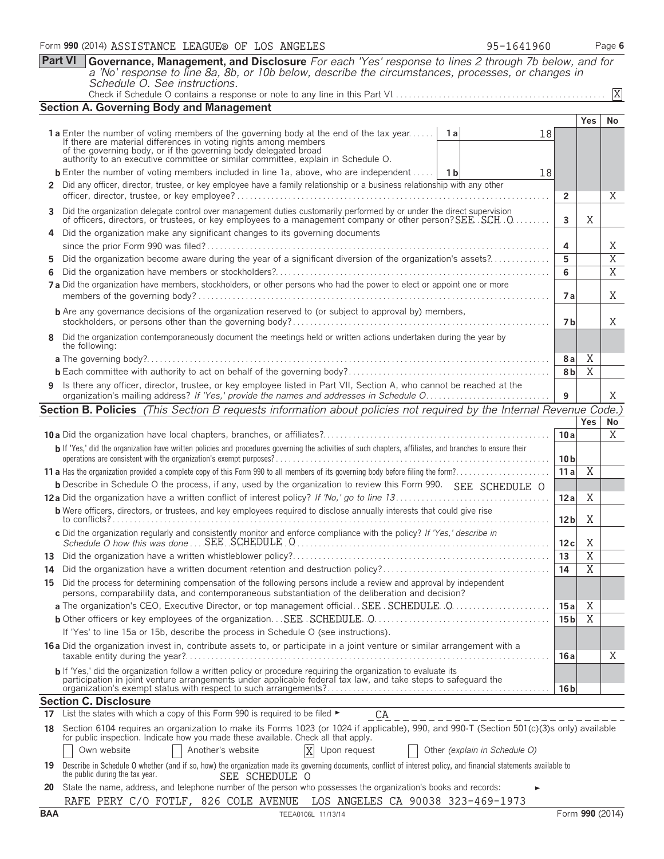|    | <b>Part VI</b> | Governance, Management, and Disclosure For each 'Yes' response to lines 2 through 7b below, and for<br>a 'No' response to line 8a, 8b, or 10b below, describe the circumstances, processes, or changes in<br>Schedule O. See instructions.                                                                                            |                         |                       |                |
|----|----------------|---------------------------------------------------------------------------------------------------------------------------------------------------------------------------------------------------------------------------------------------------------------------------------------------------------------------------------------|-------------------------|-----------------------|----------------|
|    |                |                                                                                                                                                                                                                                                                                                                                       |                         |                       | X              |
|    |                | <b>Section A. Governing Body and Management</b>                                                                                                                                                                                                                                                                                       |                         |                       |                |
|    |                |                                                                                                                                                                                                                                                                                                                                       |                         | <b>Yes</b>            | No             |
|    |                | <b>1a</b> Enter the number of voting members of the governing body at the end of the tax year<br>1al<br>18<br>If there are material differences in voting rights among members<br>of the governing body, or if the governing body delegated broad<br>authority to an executive committee or similar committee, explain in Schedule O. |                         |                       |                |
|    |                | <b>b</b> Enter the number of voting members included in line 1a, above, who are independent    1b<br>18                                                                                                                                                                                                                               |                         |                       |                |
|    |                | 2 Did any officer, director, trustee, or key employee have a family relationship or a business relationship with any other                                                                                                                                                                                                            | $\overline{2}$          |                       | Χ              |
| 3  |                | Did the organization delegate control over management duties customarily performed by or under the direct supervision<br>of officers, directors, or trustees, or key employees to a management company or other person? SEE SCH 0                                                                                                     | $\mathbf{3}$            | X                     |                |
|    |                | Did the organization make any significant changes to its governing documents                                                                                                                                                                                                                                                          | 4                       |                       | Χ              |
| 5. |                | Did the organization become aware during the year of a significant diversion of the organization's assets?                                                                                                                                                                                                                            | 5                       |                       | $\overline{X}$ |
| 6  |                |                                                                                                                                                                                                                                                                                                                                       | 6                       |                       | X              |
|    |                | 7 a Did the organization have members, stockholders, or other persons who had the power to elect or appoint one or more                                                                                                                                                                                                               | 7 a                     |                       | X              |
|    |                | <b>b</b> Are any governance decisions of the organization reserved to (or subject to approval by) members,                                                                                                                                                                                                                            | 7 <sub>b</sub>          |                       | X              |
| 8  |                | Did the organization contemporaneously document the meetings held or written actions undertaken during the year by<br>the following:                                                                                                                                                                                                  |                         |                       |                |
|    |                | <b>a</b> The governing body?                                                                                                                                                                                                                                                                                                          | 8 a                     | X                     |                |
|    |                |                                                                                                                                                                                                                                                                                                                                       | 8b                      | X                     |                |
|    |                | 9 Is there any officer, director, trustee, or key employee listed in Part VII, Section A, who cannot be reached at the                                                                                                                                                                                                                | 9                       |                       | X              |
|    |                | Section B. Policies (This Section B requests information about policies not required by the Internal Revenue Code.)                                                                                                                                                                                                                   |                         | <b>Yes</b>            |                |
|    |                |                                                                                                                                                                                                                                                                                                                                       | 10a                     |                       | No<br>X        |
|    |                | b If 'Yes,' did the organization have written policies and procedures governing the activities of such chapters, affiliates, and branches to ensure their                                                                                                                                                                             | 10 <sub>b</sub>         |                       |                |
|    |                |                                                                                                                                                                                                                                                                                                                                       | 11a                     | Χ                     |                |
|    |                | <b>b</b> Describe in Schedule O the process, if any, used by the organization to review this Form 990. SEE SCHEDULE O                                                                                                                                                                                                                 |                         |                       |                |
|    |                |                                                                                                                                                                                                                                                                                                                                       | 12a                     | Χ                     |                |
|    |                | <b>b</b> Were officers, directors, or trustees, and key employees required to disclose annually interests that could give rise                                                                                                                                                                                                        | 12 <sub>b</sub>         | X                     |                |
|    |                | c Did the organization regularly and consistently monitor and enforce compliance with the policy? If 'Yes,' describe in                                                                                                                                                                                                               | 12c                     | Χ                     |                |
| 13 |                |                                                                                                                                                                                                                                                                                                                                       | 13                      | $\overline{\text{X}}$ |                |
| 14 |                |                                                                                                                                                                                                                                                                                                                                       | 14                      | $\overline{\text{X}}$ |                |
| 15 |                | Did the process for determining compensation of the following persons include a review and approval by independent<br>persons, comparability data, and contemporaneous substantiation of the deliberation and decision?                                                                                                               |                         |                       |                |
|    |                |                                                                                                                                                                                                                                                                                                                                       | 15 a<br>15 <sub>b</sub> | Χ<br>$\overline{X}$   |                |
|    |                | If 'Yes' to line 15a or 15b, describe the process in Schedule O (see instructions).                                                                                                                                                                                                                                                   |                         |                       |                |
|    |                | 16 a Did the organization invest in, contribute assets to, or participate in a joint venture or similar arrangement with a                                                                                                                                                                                                            | 16 a                    |                       | Χ              |
|    |                | b If 'Yes,' did the organization follow a written policy or procedure requiring the organization to evaluate its participation in joint venture arrangements under applicable federal tax law, and take steps to safeguard the                                                                                                        |                         |                       |                |
|    |                | <b>Section C. Disclosure</b>                                                                                                                                                                                                                                                                                                          | 16 <sub>b</sub>         |                       |                |
| 17 |                | List the states with which a copy of this Form 990 is required to be filed ►<br>CA                                                                                                                                                                                                                                                    |                         |                       |                |
|    |                | 18 Section 6104 requires an organization to make its Forms 1023 (or 1024 if applicable), 990, and 990-T (Section 501(c)(3)s only) available<br>for public inspection. Indicate how you made these available. Check all that apply.<br>Another's website<br>Other (explain in Schedule O)<br>Own website<br>Upon request               |                         |                       |                |
| 19 |                | Describe in Schedule O whether (and if so, how) the organization made its governing documents, conflict of interest policy, and financial statements available to<br>the public during the tax year.<br>SEE SCHEDULE O                                                                                                                |                         |                       |                |
| 20 |                | State the name, address, and telephone number of the person who possesses the organization's books and records:                                                                                                                                                                                                                       |                         |                       |                |
|    |                | RAFE PERY C/O FOTLF, 826 COLE AVENUE LOS ANGELES CA 90038 323-469-1973                                                                                                                                                                                                                                                                |                         |                       |                |

**BAA** TEEA0106L 11/13/14 Form **990** (2014)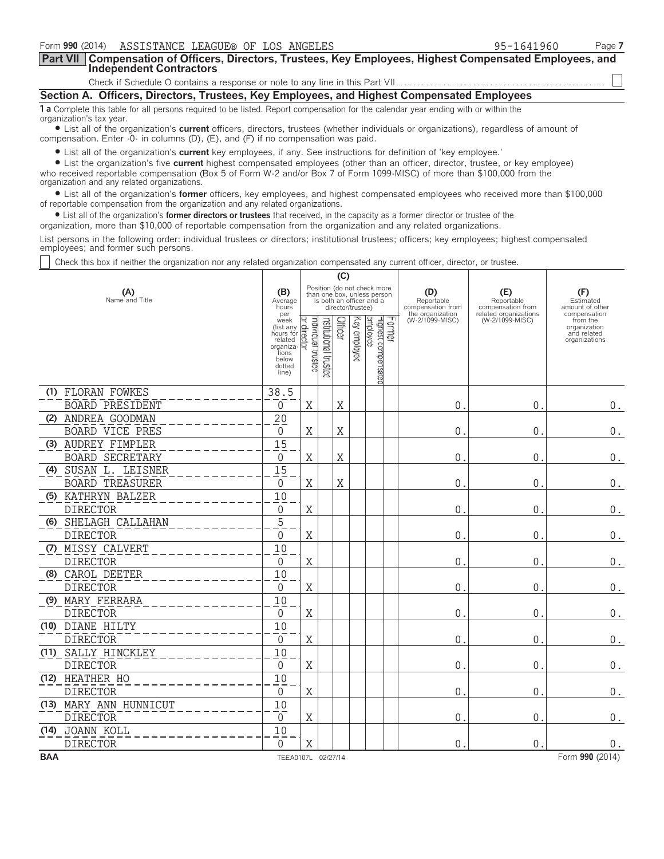| Form 990 (2014)          |                                | ASSISTANCE LEAGUE® OF LOS ANGELES |                                                                                      |                                                                                                                                                                                                                                                        | 95-1641960 | Page 7 |
|--------------------------|--------------------------------|-----------------------------------|--------------------------------------------------------------------------------------|--------------------------------------------------------------------------------------------------------------------------------------------------------------------------------------------------------------------------------------------------------|------------|--------|
|                          | <b>Independent Contractors</b> |                                   |                                                                                      | Part VII   Compensation of Officers, Directors, Trustees, Key Employees, Highest Compensated Employees, and                                                                                                                                            |            |        |
|                          |                                |                                   |                                                                                      |                                                                                                                                                                                                                                                        |            |        |
|                          |                                |                                   |                                                                                      | Section A. Officers, Directors, Trustees, Key Employees, and Highest Compensated Employees                                                                                                                                                             |            |        |
| organization's tax year. |                                |                                   |                                                                                      | 1 a Complete this table for all persons required to be listed. Report compensation for the calendar year ending with or within the                                                                                                                     |            |        |
|                          |                                |                                   | compensation. Enter $-0$ - in columns (D), (E), and (F) if no compensation was paid. | • List all of the organization's <b>current</b> officers, directors, trustees (whether individuals or organizations), regardless of amount of                                                                                                          |            |        |
|                          |                                |                                   |                                                                                      | • List all of the organization's current key employees, if any. See instructions for definition of 'key employee.'<br>• List the organization's five current highest compensated employees (other than an officer, director, trustee, or key employee) |            |        |

who received reportable compensation (Box 5 of Form W-2 and/or Box 7 of Form 1099-MISC) of more than \$100,000 from the organization and any related organizations.

? List all of the organization's **former** officers, key employees, and highest compensated employees who received more than \$100,000 of reportable compensation from the organization and any related organizations.

? List all of the organization's **former directors or trustees** that received, in the capacity as a former director or trustee of the

organization, more than \$10,000 of reportable compensation from the organization and any related organizations.

List persons in the following order: individual trustees or directors; institutional trustees; officers; key employees; highest compensated employees; and former such persons.

Check this box if neither the organization nor any related organization compensated any current officer, director, or trustee.

|                       |                        |                                                                                            | (C)                              |                          |         |                   |                                                                                        |               |                                                            |                                                                 |                                                          |
|-----------------------|------------------------|--------------------------------------------------------------------------------------------|----------------------------------|--------------------------|---------|-------------------|----------------------------------------------------------------------------------------|---------------|------------------------------------------------------------|-----------------------------------------------------------------|----------------------------------------------------------|
| (A)<br>Name and Title |                        | (B)<br>Average<br>hours<br>per                                                             |                                  |                          |         | director/trustee) | Position (do not check more<br>than one box, unless person<br>is both an officer and a |               | (D)<br>Reportable<br>compensation from<br>the organization | (E)<br>Reportable<br>compensation from<br>related organizations | (F)<br>Estimated<br>amount of other<br>compensation      |
|                       |                        | week<br>(list any<br>hours for<br>related<br>organiza<br>tions<br>below<br>dotted<br>line) | ndividual trustee<br>direct<br>₫ | Institutional<br>trustee | Officer | Key employee      | enployee<br>Highest compensated                                                        | <b>Former</b> | (W-2/1099-MISC)                                            | (W-2/1099-MISC)                                                 | from the<br>organization<br>and related<br>organizations |
|                       | (1) FLORAN FOWKES      | 38.5                                                                                       |                                  |                          |         |                   |                                                                                        |               |                                                            |                                                                 |                                                          |
|                       | <b>BOARD PRESIDENT</b> | $\Omega$                                                                                   | X                                |                          | X       |                   |                                                                                        |               | $\mathbf 0$                                                | $\mathbf 0$                                                     | $0$ .                                                    |
| (2)                   | ANDREA GOODMAN         | 20                                                                                         |                                  |                          |         |                   |                                                                                        |               |                                                            |                                                                 |                                                          |
|                       | BOARD VICE PRES        | $\mathbf{0}$                                                                               | X                                |                          | X       |                   |                                                                                        |               | 0                                                          | $\mathbf 0$                                                     | 0.                                                       |
|                       | (3) AUDREY FIMPLER     | 15                                                                                         |                                  |                          |         |                   |                                                                                        |               |                                                            |                                                                 |                                                          |
|                       | <b>BOARD SECRETARY</b> | $\mathbf{0}$                                                                               | X                                |                          | X       |                   |                                                                                        |               | 0                                                          | $\mathbf 0$                                                     | $0$ .                                                    |
|                       | (4) SUSAN L. LEISNER   | 15                                                                                         |                                  |                          |         |                   |                                                                                        |               |                                                            |                                                                 |                                                          |
|                       | <b>BOARD TREASURER</b> | $\Omega$                                                                                   | X                                |                          | X       |                   |                                                                                        |               | $\mathbf 0$                                                | $\mathbf 0$                                                     | $\boldsymbol{0}$ .                                       |
|                       | (5) KATHRYN BALZER     | 10                                                                                         |                                  |                          |         |                   |                                                                                        |               |                                                            |                                                                 |                                                          |
|                       | <b>DIRECTOR</b>        | $\Omega$                                                                                   | X                                |                          |         |                   |                                                                                        |               | 0                                                          | $\mathbf{0}$                                                    | 0.                                                       |
|                       | (6) SHELAGH CALLAHAN   | 5                                                                                          |                                  |                          |         |                   |                                                                                        |               |                                                            |                                                                 |                                                          |
|                       | <b>DIRECTOR</b>        | $\Omega$                                                                                   | X                                |                          |         |                   |                                                                                        |               | $\mathbf 0$                                                | $\mathbf{0}$ .                                                  | $0$ .                                                    |
|                       | (7) MISSY CALVERT      | 10                                                                                         |                                  |                          |         |                   |                                                                                        |               |                                                            |                                                                 |                                                          |
|                       | <b>DIRECTOR</b>        | $\mathbf{0}$                                                                               | X                                |                          |         |                   |                                                                                        |               | 0                                                          | $\mathbf{0}$                                                    | 0.                                                       |
|                       | (8) CAROL DEETER       | 10                                                                                         |                                  |                          |         |                   |                                                                                        |               |                                                            |                                                                 |                                                          |
|                       | <b>DIRECTOR</b>        | $\Omega$                                                                                   | X                                |                          |         |                   |                                                                                        |               | $\mathbf{0}$                                               | $\mathbf 0$                                                     | $\boldsymbol{0}$ .                                       |
|                       | (9) MARY FERRARA       | 10                                                                                         |                                  |                          |         |                   |                                                                                        |               |                                                            |                                                                 |                                                          |
|                       | <b>DIRECTOR</b>        | $\Omega$                                                                                   | X                                |                          |         |                   |                                                                                        |               | 0                                                          | $\mathbf 0$                                                     | $\boldsymbol{0}$ .                                       |
|                       | (10) DIANE HILTY       | 10                                                                                         |                                  |                          |         |                   |                                                                                        |               |                                                            |                                                                 |                                                          |
|                       | <b>DIRECTOR</b>        | $\mathbf{0}$                                                                               | X                                |                          |         |                   |                                                                                        |               | 0                                                          | $\mathbf{0}$                                                    | 0.                                                       |
|                       | (11) SALLY HINCKLEY    | 10                                                                                         |                                  |                          |         |                   |                                                                                        |               |                                                            |                                                                 |                                                          |
|                       | <b>DIRECTOR</b>        | $\Omega$                                                                                   | X                                |                          |         |                   |                                                                                        |               | 0                                                          | $\mathbf 0$ .                                                   | $\boldsymbol{0}$ .                                       |
|                       | (12) HEATHER HO        | 10                                                                                         |                                  |                          |         |                   |                                                                                        |               |                                                            |                                                                 |                                                          |
|                       | <b>DIRECTOR</b>        | $\mathbf{0}$                                                                               | X                                |                          |         |                   |                                                                                        |               | $\overline{0}$                                             | $\mathbf 0$ .                                                   | $\boldsymbol{0}$ .                                       |
|                       | (13) MARY ANN HUNNICUT | 10                                                                                         |                                  |                          |         |                   |                                                                                        |               |                                                            |                                                                 |                                                          |
|                       | <b>DIRECTOR</b>        | $\mathbf{0}$                                                                               | X                                |                          |         |                   |                                                                                        |               | $\Omega$                                                   | $\mathbf{0}$                                                    | $0$ .                                                    |
|                       | (14) JOANN KOLL        | 10                                                                                         |                                  |                          |         |                   |                                                                                        |               |                                                            |                                                                 |                                                          |
|                       | <b>DIRECTOR</b>        | $\Omega$                                                                                   | X                                |                          |         |                   |                                                                                        |               | 0                                                          | $\mathbf{0}$                                                    | 0.                                                       |
| <b>BAA</b>            |                        | TEEA0107L 02/27/14                                                                         |                                  |                          |         |                   |                                                                                        |               |                                                            |                                                                 | Form 990 (2014)                                          |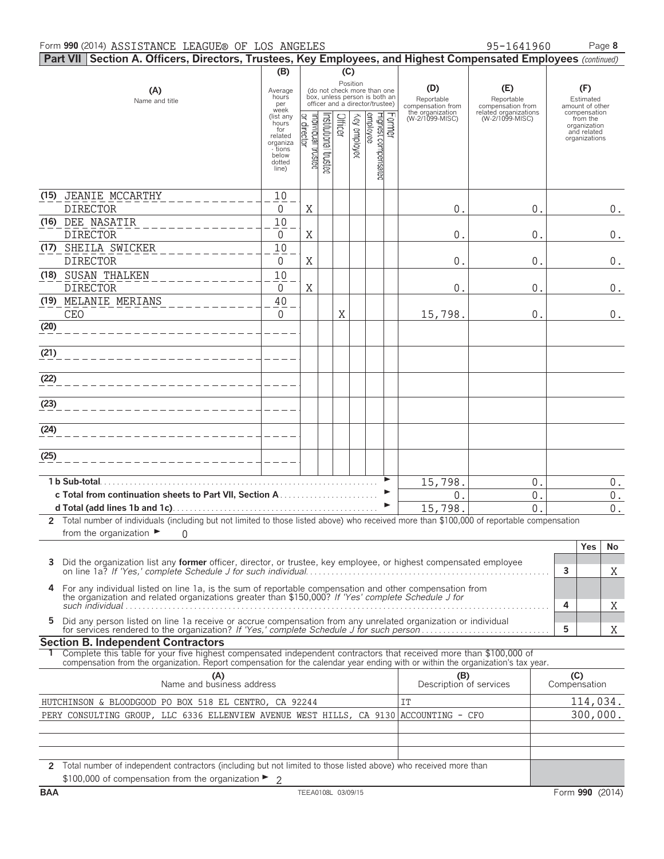| Part VII Section A. Officers, Directors, Trustees, Key Employees, and Highest Compensated Employees (continued)                                                                            |                                                                                                                            |                        |                                                                                                                         |         |                          |                                 |        |                                                                               |                                                                                    |                     |                                                                                                                 |                    |
|--------------------------------------------------------------------------------------------------------------------------------------------------------------------------------------------|----------------------------------------------------------------------------------------------------------------------------|------------------------|-------------------------------------------------------------------------------------------------------------------------|---------|--------------------------|---------------------------------|--------|-------------------------------------------------------------------------------|------------------------------------------------------------------------------------|---------------------|-----------------------------------------------------------------------------------------------------------------|--------------------|
|                                                                                                                                                                                            | (B)                                                                                                                        |                        |                                                                                                                         | (C)     |                          |                                 |        |                                                                               |                                                                                    |                     |                                                                                                                 |                    |
| (A)<br>Name and title                                                                                                                                                                      | Average<br>hours<br>per<br>week<br>(list any<br>hours<br>for<br>related<br>organiza<br>- tions<br>below<br>dotted<br>line) | ndividual trustee<br>ğ | (do not check more than one<br>box, unless person is both an<br>officer and a director/trustee)<br>rstitutional trustee | Officer | Position<br>Key employee | employee<br>Highest compensatec | Former | (D)<br>Reportable<br>compensation from<br>the organization<br>(W-2/1099-MISC) | (E)<br>Reportable<br>compensation from<br>related organizations<br>(W-2/1099-MISC) |                     | (F)<br>Estimated<br>amount of other<br>compensation<br>from the<br>organization<br>and related<br>organizations |                    |
| (15) JEANIE MCCARTHY                                                                                                                                                                       | 10                                                                                                                         |                        |                                                                                                                         |         |                          |                                 |        |                                                                               |                                                                                    |                     |                                                                                                                 |                    |
| <b>DIRECTOR</b>                                                                                                                                                                            | 0                                                                                                                          | X                      |                                                                                                                         |         |                          |                                 |        | 0.                                                                            | 0.                                                                                 |                     |                                                                                                                 | 0.                 |
| (16) DEE NASATIR                                                                                                                                                                           | 10                                                                                                                         |                        |                                                                                                                         |         |                          |                                 |        |                                                                               |                                                                                    |                     |                                                                                                                 |                    |
| <b>DIRECTOR</b>                                                                                                                                                                            | $\overline{0}$                                                                                                             | Χ                      |                                                                                                                         |         |                          |                                 |        | 0.                                                                            | 0.                                                                                 |                     |                                                                                                                 | 0.                 |
| (17) SHEILA SWICKER                                                                                                                                                                        | 10                                                                                                                         |                        |                                                                                                                         |         |                          |                                 |        |                                                                               |                                                                                    |                     |                                                                                                                 |                    |
| <b>DIRECTOR</b>                                                                                                                                                                            | $\overline{0}$                                                                                                             | X                      |                                                                                                                         |         |                          |                                 |        | 0.                                                                            | 0.                                                                                 |                     |                                                                                                                 | 0.                 |
| (18) SUSAN THALKEN                                                                                                                                                                         | 10                                                                                                                         |                        |                                                                                                                         |         |                          |                                 |        |                                                                               |                                                                                    |                     |                                                                                                                 |                    |
| <b>DIRECTOR</b>                                                                                                                                                                            | $\mathbf 0$                                                                                                                | Χ                      |                                                                                                                         |         |                          |                                 |        | $0$ .                                                                         | 0.                                                                                 |                     |                                                                                                                 | $\boldsymbol{0}$ . |
| (19) MELANIE MERIANS                                                                                                                                                                       | 40                                                                                                                         |                        |                                                                                                                         |         |                          |                                 |        |                                                                               |                                                                                    |                     |                                                                                                                 |                    |
| <b>CEO</b>                                                                                                                                                                                 | $\Omega$                                                                                                                   |                        |                                                                                                                         | X       |                          |                                 |        | 15,798.                                                                       | 0.                                                                                 |                     |                                                                                                                 | 0.                 |
| (20)                                                                                                                                                                                       |                                                                                                                            |                        |                                                                                                                         |         |                          |                                 |        |                                                                               |                                                                                    |                     |                                                                                                                 |                    |
|                                                                                                                                                                                            |                                                                                                                            |                        |                                                                                                                         |         |                          |                                 |        |                                                                               |                                                                                    |                     |                                                                                                                 |                    |
| (21)                                                                                                                                                                                       |                                                                                                                            |                        |                                                                                                                         |         |                          |                                 |        |                                                                               |                                                                                    |                     |                                                                                                                 |                    |
|                                                                                                                                                                                            |                                                                                                                            |                        |                                                                                                                         |         |                          |                                 |        |                                                                               |                                                                                    |                     |                                                                                                                 |                    |
| (22)                                                                                                                                                                                       |                                                                                                                            |                        |                                                                                                                         |         |                          |                                 |        |                                                                               |                                                                                    |                     |                                                                                                                 |                    |
| (23)                                                                                                                                                                                       |                                                                                                                            |                        |                                                                                                                         |         |                          |                                 |        |                                                                               |                                                                                    |                     |                                                                                                                 |                    |
|                                                                                                                                                                                            |                                                                                                                            |                        |                                                                                                                         |         |                          |                                 |        |                                                                               |                                                                                    |                     |                                                                                                                 |                    |
| (24)                                                                                                                                                                                       |                                                                                                                            |                        |                                                                                                                         |         |                          |                                 |        |                                                                               |                                                                                    |                     |                                                                                                                 |                    |
|                                                                                                                                                                                            |                                                                                                                            |                        |                                                                                                                         |         |                          |                                 |        |                                                                               |                                                                                    |                     |                                                                                                                 |                    |
| (25)                                                                                                                                                                                       |                                                                                                                            |                        |                                                                                                                         |         |                          |                                 |        |                                                                               |                                                                                    |                     |                                                                                                                 |                    |
|                                                                                                                                                                                            |                                                                                                                            |                        |                                                                                                                         |         |                          |                                 |        |                                                                               |                                                                                    |                     |                                                                                                                 |                    |
| 1 b Sub-total.                                                                                                                                                                             |                                                                                                                            |                        |                                                                                                                         |         |                          |                                 |        | 15,798.                                                                       | 0.                                                                                 |                     |                                                                                                                 | $0$ .              |
|                                                                                                                                                                                            |                                                                                                                            |                        |                                                                                                                         |         |                          |                                 | ▶<br>▶ | 0.                                                                            | 0.                                                                                 |                     |                                                                                                                 | 0.                 |
|                                                                                                                                                                                            |                                                                                                                            |                        |                                                                                                                         |         |                          |                                 |        | 15,798.                                                                       | 0                                                                                  |                     |                                                                                                                 | 0.                 |
| 2 Total number of individuals (including but not limited to those listed above) who received more than \$100,000 of reportable compensation<br>from the organization $\blacktriangleright$ |                                                                                                                            |                        |                                                                                                                         |         |                          |                                 |        |                                                                               |                                                                                    |                     |                                                                                                                 |                    |
| $\Omega$                                                                                                                                                                                   |                                                                                                                            |                        |                                                                                                                         |         |                          |                                 |        |                                                                               |                                                                                    |                     |                                                                                                                 |                    |
|                                                                                                                                                                                            |                                                                                                                            |                        |                                                                                                                         |         |                          |                                 |        |                                                                               |                                                                                    |                     | Yes                                                                                                             | No                 |
| Did the organization list any former officer, director, or trustee, key employee, or highest compensated employee                                                                          |                                                                                                                            |                        |                                                                                                                         |         |                          |                                 |        |                                                                               |                                                                                    | 3                   |                                                                                                                 | Χ                  |
| 4 For any individual listed on line 1a, is the sum of reportable compensation and other compensation from                                                                                  |                                                                                                                            |                        |                                                                                                                         |         |                          |                                 |        |                                                                               |                                                                                    |                     |                                                                                                                 |                    |
| the organization and related organizations greater than \$150,000? If 'Yes' complete Schedule J for                                                                                        |                                                                                                                            |                        |                                                                                                                         |         |                          |                                 |        |                                                                               |                                                                                    |                     |                                                                                                                 |                    |
| such individual $\ldots$ $\ldots$ $\ldots$ $\ldots$ $\ldots$ $\ldots$ $\ldots$ $\ldots$ $\ldots$ $\ldots$ $\ldots$ $\ldots$ $\ldots$ $\ldots$ $\ldots$                                     |                                                                                                                            |                        |                                                                                                                         |         |                          |                                 |        |                                                                               |                                                                                    | 4                   |                                                                                                                 | Χ                  |
| Did any person listed on line 1a receive or accrue compensation from any unrelated organization or individual<br>5.                                                                        |                                                                                                                            |                        |                                                                                                                         |         |                          |                                 |        |                                                                               |                                                                                    | 5                   |                                                                                                                 | Χ                  |
| <b>Section B. Independent Contractors</b>                                                                                                                                                  |                                                                                                                            |                        |                                                                                                                         |         |                          |                                 |        |                                                                               |                                                                                    |                     |                                                                                                                 |                    |
| Complete this table for your five highest compensated independent contractors that received more than \$100,000 of                                                                         |                                                                                                                            |                        |                                                                                                                         |         |                          |                                 |        |                                                                               |                                                                                    |                     |                                                                                                                 |                    |
| compensation from the organization. Report compensation for the calendar year ending with or within the organization's tax year.                                                           |                                                                                                                            |                        |                                                                                                                         |         |                          |                                 |        |                                                                               |                                                                                    |                     |                                                                                                                 |                    |
| (A)<br>Name and business address                                                                                                                                                           |                                                                                                                            |                        |                                                                                                                         |         |                          |                                 |        | (B)<br>Description of services                                                |                                                                                    | (C)<br>Compensation |                                                                                                                 |                    |
| <b>IT</b><br>114,034.                                                                                                                                                                      |                                                                                                                            |                        |                                                                                                                         |         |                          |                                 |        |                                                                               |                                                                                    |                     |                                                                                                                 |                    |
| HUTCHINSON & BLOODGOOD PO BOX 518 EL CENTRO, CA 92244<br>300,000.<br>PERY CONSULTING GROUP, LLC 6336 ELLENVIEW AVENUE WEST HILLS, CA 9130 ACCOUNTING - CFO                                 |                                                                                                                            |                        |                                                                                                                         |         |                          |                                 |        |                                                                               |                                                                                    |                     |                                                                                                                 |                    |
|                                                                                                                                                                                            |                                                                                                                            |                        |                                                                                                                         |         |                          |                                 |        |                                                                               |                                                                                    |                     |                                                                                                                 |                    |
|                                                                                                                                                                                            |                                                                                                                            |                        |                                                                                                                         |         |                          |                                 |        |                                                                               |                                                                                    |                     |                                                                                                                 |                    |
|                                                                                                                                                                                            |                                                                                                                            |                        |                                                                                                                         |         |                          |                                 |        |                                                                               |                                                                                    |                     |                                                                                                                 |                    |
| 2 Total number of independent contractors (including but not limited to those listed above) who received more than                                                                         |                                                                                                                            |                        |                                                                                                                         |         |                          |                                 |        |                                                                               |                                                                                    |                     |                                                                                                                 |                    |
| \$100,000 of compensation from the organization $\blacktriangleright$ 2                                                                                                                    |                                                                                                                            |                        |                                                                                                                         |         |                          |                                 |        |                                                                               |                                                                                    |                     |                                                                                                                 |                    |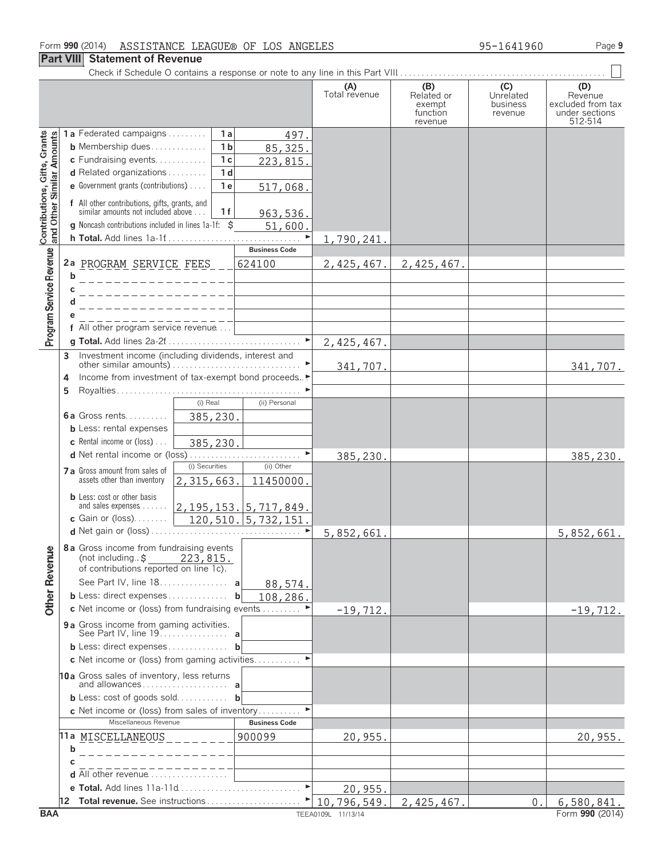#### **Part VIII** Statement of Revenue

|                                                           |                                                                                                                                                                                                                                                                                                                                                                                          | (A)<br>Total revenue | (B)<br>Related or<br>exempt<br>function<br>revenue | (C)<br>Unrelated<br>business<br>revenue | (D)<br>Revenue<br>excluded from tax<br>under sections<br>512-514 |
|-----------------------------------------------------------|------------------------------------------------------------------------------------------------------------------------------------------------------------------------------------------------------------------------------------------------------------------------------------------------------------------------------------------------------------------------------------------|----------------------|----------------------------------------------------|-----------------------------------------|------------------------------------------------------------------|
| Contributions, Gifts, Grants<br>and Other Similar Amounts | 1a Federated campaigns<br>1 a<br>497.<br><b>b</b> Membership dues<br>1 <sub>b</sub><br>85, 325.<br>c Fundraising events<br>1 <sub>c</sub><br>223,815.<br>$d$ Related organizations<br>1 <sub>d</sub><br><b>e</b> Government grants (contributions) $\ldots$<br>1 e<br>517,068.<br>f All other contributions, gifts, grants, and<br>similar amounts not included above<br>1 f<br>963,536. |                      |                                                    |                                         |                                                                  |
|                                                           | <b>q</b> Noncash contributions included in lines 1a-1f: \$<br>51,600.                                                                                                                                                                                                                                                                                                                    | 1,790,241.           |                                                    |                                         |                                                                  |
|                                                           | <b>Business Code</b>                                                                                                                                                                                                                                                                                                                                                                     |                      |                                                    |                                         |                                                                  |
| Program Service Revenue                                   | 2a PROGRAM SERVICE FEES __<br>624100<br>b                                                                                                                                                                                                                                                                                                                                                | 2,425,467.           | 2,425,467.                                         |                                         |                                                                  |
|                                                           | C                                                                                                                                                                                                                                                                                                                                                                                        |                      |                                                    |                                         |                                                                  |
|                                                           | All other program service revenue                                                                                                                                                                                                                                                                                                                                                        |                      |                                                    |                                         |                                                                  |
|                                                           |                                                                                                                                                                                                                                                                                                                                                                                          | 2, 425, 467.         |                                                    |                                         |                                                                  |
|                                                           | 3<br>Income from investment of tax-exempt bond proceeds▶<br>4                                                                                                                                                                                                                                                                                                                            | 341,707.             |                                                    |                                         | 341,707.                                                         |
|                                                           | 5                                                                                                                                                                                                                                                                                                                                                                                        |                      |                                                    |                                         |                                                                  |
|                                                           | (i) Real<br>(ii) Personal<br>6a Gross rents<br>385, 230.<br><b>b</b> Less: rental expenses<br><b>c</b> Rental income or (loss) $\ldots$<br>385,230.                                                                                                                                                                                                                                      |                      |                                                    |                                         |                                                                  |
|                                                           |                                                                                                                                                                                                                                                                                                                                                                                          | 385,230.             |                                                    |                                         | 385,230.                                                         |
|                                                           | (i) Securities<br>(ii) Other<br>7 a Gross amount from sales of<br>assets other than inventory<br>$2, 315, 663.$ 11450000.<br><b>b</b> Less: cost or other basis<br>and sales expenses  2, 195, 153. 5, 717, 849.<br>c Gain or (loss)   120, 510. $ 5, 732, 151$ .                                                                                                                        |                      |                                                    |                                         |                                                                  |
|                                                           |                                                                                                                                                                                                                                                                                                                                                                                          | 5,852,661.           |                                                    |                                         | 5,852,661.                                                       |
| <b>Other Revenue</b>                                      | 8a Gross income from fundraising events<br>(not including $\frac{223}{100}$ , 815.<br>of contributions reported on line 1c).<br>See Part IV, line 18. a<br>88,574.<br><b>b</b> Less: direct expenses<br>b<br>108,286.<br>c Net income or (loss) from fundraising events ▶                                                                                                                |                      |                                                    |                                         |                                                                  |
|                                                           | 9 a Gross income from gaming activities.                                                                                                                                                                                                                                                                                                                                                 | $-19,712.$           |                                                    |                                         | $-19,712.$                                                       |
|                                                           | See Part IV, line 19. <b>a</b><br><b>b</b> Less: direct expenses <b>b</b>                                                                                                                                                                                                                                                                                                                |                      |                                                    |                                         |                                                                  |
|                                                           | c Net income or (loss) from gaming activities                                                                                                                                                                                                                                                                                                                                            |                      |                                                    |                                         |                                                                  |
|                                                           | 10a Gross sales of inventory, less returns<br><b>b</b> Less: cost of goods sold <b>b</b>                                                                                                                                                                                                                                                                                                 |                      |                                                    |                                         |                                                                  |
|                                                           | c Net income or (loss) from sales of inventory<br>Miscellaneous Revenue<br><b>Business Code</b>                                                                                                                                                                                                                                                                                          |                      |                                                    |                                         |                                                                  |
|                                                           | 11a MISCELLANEOUS<br>900099<br>b                                                                                                                                                                                                                                                                                                                                                         | 20,955.              |                                                    |                                         | 20,955.                                                          |
|                                                           | d All other revenue                                                                                                                                                                                                                                                                                                                                                                      |                      |                                                    |                                         |                                                                  |
|                                                           | e Total. Add lines 11a-11d                                                                                                                                                                                                                                                                                                                                                               | 20,955.              |                                                    |                                         |                                                                  |
|                                                           |                                                                                                                                                                                                                                                                                                                                                                                          |                      | 2, 425, 467.                                       | 0.                                      | 6,580,841.                                                       |
| <b>BAA</b>                                                |                                                                                                                                                                                                                                                                                                                                                                                          | TEEA0109L 11/13/14   |                                                    |                                         | Form 990 (2014)                                                  |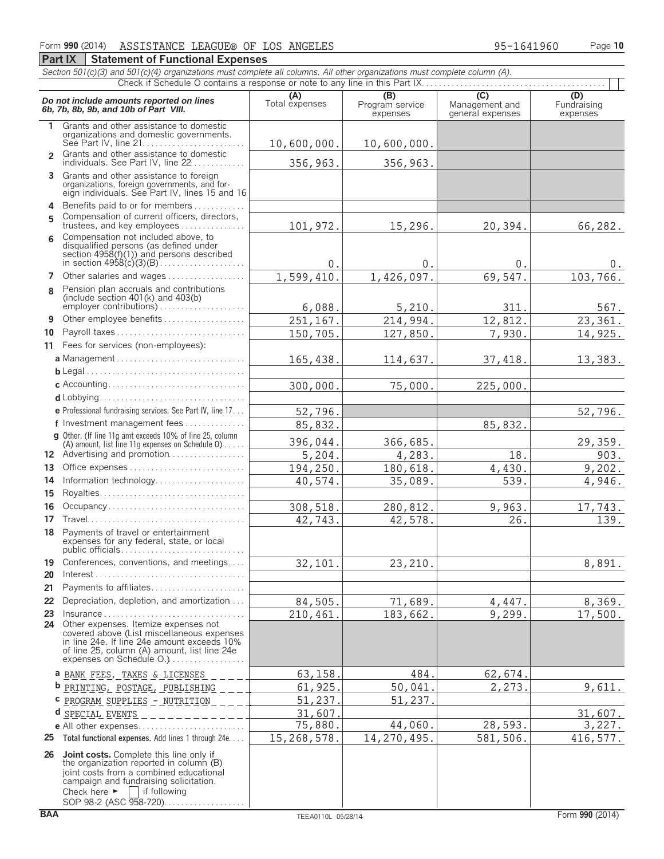#### **Part IX | Statement of Functional Expenses**

*Section 501(c)(3) and 501(c)(4) organizations must complete all columns. All other organizations must complete column (A).* Check if Schedule O contains a response or note to any line in this Part IX. . . . . . . . . . . . . . . . . . . . . . . . . . . . . . . . . . . . . . . . . . .

|                | Do not include amounts reported on lines<br>6b, 7b, 8b, 9b, and 10b of Part VIII.                                                                                                                                                                       | (A)<br>Total expenses  | (B)<br>Program service<br>expenses | (C)<br>Management and<br>general expenses | (D)<br>Fundraising<br>expenses |
|----------------|---------------------------------------------------------------------------------------------------------------------------------------------------------------------------------------------------------------------------------------------------------|------------------------|------------------------------------|-------------------------------------------|--------------------------------|
| 1              | Grants and other assistance to domestic<br>organizations and domestic governments.                                                                                                                                                                      | 10,600,000.            | 10,600,000.                        |                                           |                                |
| $\mathfrak{p}$ | Grants and other assistance to domestic<br>individuals. See Part IV, line 22                                                                                                                                                                            | 356,963.               | 356,963.                           |                                           |                                |
| 3              | Grants and other assistance to foreign<br>organizations, foreign governments, and for-<br>eign individuals. See Part IV, lines 15 and 16                                                                                                                |                        |                                    |                                           |                                |
| 4              | Benefits paid to or for members                                                                                                                                                                                                                         |                        |                                    |                                           |                                |
| 5              | Compensation of current officers, directors,<br>trustees, and key employees                                                                                                                                                                             | 101,972.               | 15,296.                            | 20,394.                                   | 66,282.                        |
| ĥ              | Compensation not included above, to<br>disqualified persons (as defined under<br>section 4958(f)(1)) and persons described                                                                                                                              |                        |                                    |                                           |                                |
| $\overline{ }$ | Other salaries and wages                                                                                                                                                                                                                                | 0.<br>1,599,410.       | 0.<br>1,426,097.                   | 0.<br>69,547.                             | 0.<br>103,766.                 |
| $\mathbf{R}$   | Pension plan accruals and contributions                                                                                                                                                                                                                 |                        |                                    |                                           |                                |
|                | (include section $401(k)$ and $403(b)$                                                                                                                                                                                                                  | 6,088.                 | 5,210.                             | 311                                       | 567.                           |
| 9              | Other employee benefits                                                                                                                                                                                                                                 | 251,167.               | 214,994.                           | 12,812.                                   | 23,361.                        |
| 10             | Payroll taxes                                                                                                                                                                                                                                           | 150,705.               | 127,850.                           | 7,930.                                    | 14,925.                        |
|                | 11 Fees for services (non-employees):                                                                                                                                                                                                                   |                        |                                    |                                           |                                |
|                |                                                                                                                                                                                                                                                         | 165,438.               | 114,637.                           | 37, 418.                                  | 13,383.                        |
|                |                                                                                                                                                                                                                                                         |                        |                                    |                                           |                                |
|                |                                                                                                                                                                                                                                                         | 300,000.               | 75,000.                            | 225,000                                   |                                |
|                | e Professional fundraising services. See Part IV, line 17                                                                                                                                                                                               |                        |                                    |                                           |                                |
|                | f Investment management fees                                                                                                                                                                                                                            | 52,796.                |                                    |                                           | 52,796.                        |
|                | g Other. (If line 11g amt exceeds 10% of line 25, column                                                                                                                                                                                                | 85,832.                |                                    | 85,832.                                   |                                |
|                | (A) amount, list line 11g expenses on Schedule $0$ )                                                                                                                                                                                                    | 396,044.               | 366,685.                           |                                           | 29,359.                        |
| 13             | 12 Advertising and promotion                                                                                                                                                                                                                            | 5,204.<br>194,250.     | 4,283.                             | 18.                                       | 903.                           |
| 14             |                                                                                                                                                                                                                                                         | 40,574.                | 180,618.<br>35,089.                | 4,430.<br>539.                            | 9,202.<br>4,946.               |
| 15             |                                                                                                                                                                                                                                                         |                        |                                    |                                           |                                |
| 16             | Occupancy                                                                                                                                                                                                                                               | 308,518.               | 280,812.                           | 9,963.                                    | 17,743.                        |
| 17             |                                                                                                                                                                                                                                                         | 42,743.                | 42,578.                            | 26.                                       | 139.                           |
|                | 18 Payments of travel or entertainment<br>expenses for any federal, state, or local                                                                                                                                                                     |                        |                                    |                                           |                                |
|                | 19 Conferences, conventions, and meetings                                                                                                                                                                                                               | 32,101.                | 23, 210.                           |                                           | 8,891.                         |
|                | 20 Interest.                                                                                                                                                                                                                                            |                        |                                    |                                           |                                |
| 21             | Payments to affiliates                                                                                                                                                                                                                                  |                        |                                    |                                           |                                |
| 22<br>23       | Depreciation, depletion, and amortization                                                                                                                                                                                                               | 84,505.                | 71,689.                            | 4,447.                                    | 8,369.                         |
|                | Insurance<br>24 Other expenses. Itemize expenses not<br>covered above (List miscellaneous expenses<br>in line 24e. If line 24e amount exceeds 10%<br>of line 25, column (A) amount, list line 24e                                                       | 210,461.               | 183,662.                           | 9,299.                                    | 17,500.                        |
|                | <b>a</b> BANK FEES, TAXES & LICENSES                                                                                                                                                                                                                    | 63,158                 | 484                                | 62,674                                    |                                |
|                | <b>b</b> PRINTING, POSTAGE, PUBLISHING                                                                                                                                                                                                                  | 61,925                 | 50,041                             | 2,273                                     | 9,611.                         |
|                | C PROGRAM SUPPLIES - NUTRITION                                                                                                                                                                                                                          | 51,237                 | 51,237                             |                                           |                                |
|                | d SPECIAL EVENTS                                                                                                                                                                                                                                        | 31,607                 |                                    |                                           | 31,607.                        |
|                | 25 Total functional expenses. Add lines 1 through 24e                                                                                                                                                                                                   | 75,880.<br>15,268,578. | 44,060.<br>14,270,495.             | 28,593.<br>581,506.                       | 3,227.<br>416,577.             |
|                |                                                                                                                                                                                                                                                         |                        |                                    |                                           |                                |
| 26             | Joint costs. Complete this line only if<br>the organization reported in column (B)<br>joint costs from a combined educational<br>campaign and fundraising solicitation.<br>Check here $\blacktriangleright$<br>  if following<br>SOP 98-2 (ASC 958-720) |                        |                                    |                                           |                                |
| <b>BAA</b>     |                                                                                                                                                                                                                                                         | TEEA0110L 05/28/14     |                                    |                                           | Form 990 (2014)                |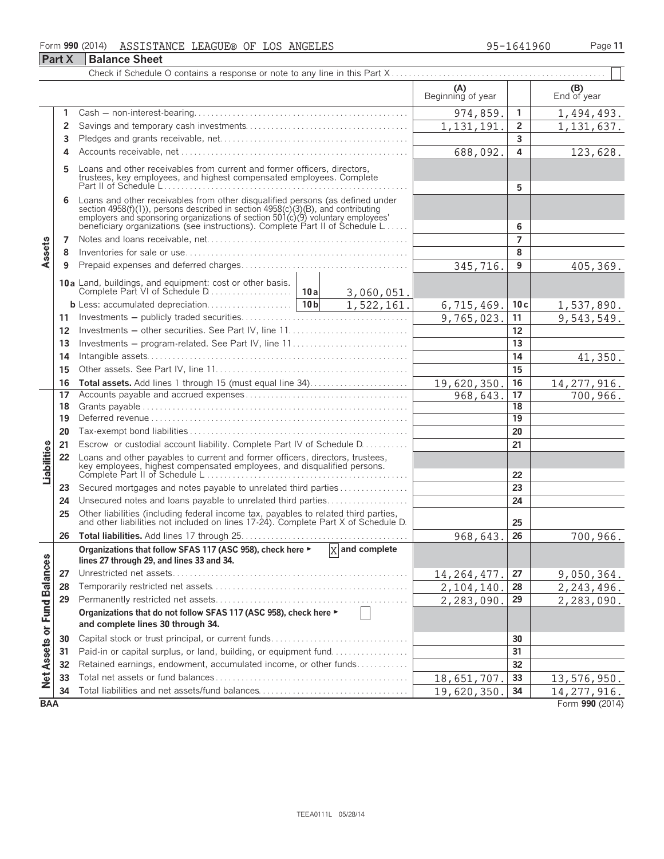#### Form **990** (2014) ASSISTANCE LEAGUE® OF LOS ANGELES 95-1641960 Page **11** ASSISTANCE LEAGUE® OF LOS ANGELES 95-1641960

|                             | <b>Part X</b> | <b>Balance Sheet</b>                                                                                                                                                                                                                                                                                                 |  |                             |                          |                |                    |
|-----------------------------|---------------|----------------------------------------------------------------------------------------------------------------------------------------------------------------------------------------------------------------------------------------------------------------------------------------------------------------------|--|-----------------------------|--------------------------|----------------|--------------------|
|                             |               |                                                                                                                                                                                                                                                                                                                      |  |                             |                          |                |                    |
|                             |               |                                                                                                                                                                                                                                                                                                                      |  |                             | (A)<br>Beginning of year |                | (B)<br>End of year |
|                             | 1             |                                                                                                                                                                                                                                                                                                                      |  |                             | 974,859.                 | $\mathbf{1}$   | 1,494,493.         |
|                             | 2             |                                                                                                                                                                                                                                                                                                                      |  |                             | 1, 131, 191.             | $\overline{2}$ | 1, 131, 637.       |
|                             | 3             |                                                                                                                                                                                                                                                                                                                      |  |                             |                          | 3              |                    |
|                             | 4             |                                                                                                                                                                                                                                                                                                                      |  |                             | 688,092.                 | 4              | 123,628.           |
|                             | 5             | Loans and other receivables from current and former officers, directors,<br>trustees, key employees, and highest compensated employees. Complete                                                                                                                                                                     |  |                             |                          | 5              |                    |
|                             | 6             | Loans and other receivables from other disqualified persons (as defined under<br>section 4958(f)(1)), persons described in section 4958(c)(3)(B), and contributing<br>employers and sponsoring organizations of section 501(c)(9) voluntary employees'<br>beneficiary organizations (see instructions). Complete Par |  |                             |                          | 6              |                    |
|                             | 7             |                                                                                                                                                                                                                                                                                                                      |  |                             |                          | $\overline{7}$ |                    |
| Assets                      | 8             |                                                                                                                                                                                                                                                                                                                      |  |                             |                          | 8              |                    |
|                             | 9             |                                                                                                                                                                                                                                                                                                                      |  |                             | 345,716.                 | 9              | 405,369.           |
|                             |               |                                                                                                                                                                                                                                                                                                                      |  |                             |                          |                |                    |
|                             |               |                                                                                                                                                                                                                                                                                                                      |  | 1,522,161.                  | 6, 715, 469.             | 10c            | 1,537,890.         |
|                             | 11            |                                                                                                                                                                                                                                                                                                                      |  |                             | 9,765,023.               | 11             | 9,543,549.         |
|                             | 12            |                                                                                                                                                                                                                                                                                                                      |  |                             |                          | 12             |                    |
|                             | 13            | Investments – program-related. See Part IV, line 11                                                                                                                                                                                                                                                                  |  |                             |                          | 13             |                    |
|                             | 14            |                                                                                                                                                                                                                                                                                                                      |  |                             | 14                       | 41,350.        |                    |
|                             | 15            |                                                                                                                                                                                                                                                                                                                      |  | 15                          |                          |                |                    |
|                             | 16            |                                                                                                                                                                                                                                                                                                                      |  |                             | 19,620,350               | 16             | 14, 277, 916.      |
|                             | 17            |                                                                                                                                                                                                                                                                                                                      |  |                             | $\overline{968, 643}$ .  | 17             | 700,966.           |
|                             | 18            |                                                                                                                                                                                                                                                                                                                      |  |                             | 18                       |                |                    |
|                             | 19            |                                                                                                                                                                                                                                                                                                                      |  |                             | $\overline{19}$          |                |                    |
|                             | 20            |                                                                                                                                                                                                                                                                                                                      |  |                             |                          | 20             |                    |
|                             | 21            | Escrow or custodial account liability. Complete Part IV of Schedule D.                                                                                                                                                                                                                                               |  |                             |                          | 21             |                    |
| Liabilities                 | 22            | Loans and other payables to current and former officers, directors, trustees,<br>key employees, highest compensated employees, and disqualified persons.                                                                                                                                                             |  |                             |                          | 22             |                    |
|                             | 23            | Secured mortgages and notes payable to unrelated third parties                                                                                                                                                                                                                                                       |  |                             |                          | 23             |                    |
|                             | 24            | Unsecured notes and loans payable to unrelated third parties                                                                                                                                                                                                                                                         |  |                             |                          | 24             |                    |
|                             | 25            |                                                                                                                                                                                                                                                                                                                      |  |                             |                          |                |                    |
|                             |               | Other liabilities (including federal income tax, payables to related third parties, and other liabilities not included on lines 17-24). Complete Part X of Schedule D.                                                                                                                                               |  |                             |                          | 25             |                    |
|                             | 26            |                                                                                                                                                                                                                                                                                                                      |  |                             | 968,643.                 | 26             | 700,966.           |
|                             |               | Organizations that follow SFAS 117 (ASC 958), check here ►<br>lines 27 through 29, and lines 33 and 34.                                                                                                                                                                                                              |  | $\overline{X}$ and complete |                          |                |                    |
|                             | 27            |                                                                                                                                                                                                                                                                                                                      |  |                             | 14, 264, 477             | 27             | 9,050,364.         |
|                             | 28            |                                                                                                                                                                                                                                                                                                                      |  |                             | 2,104,140                | 28             | 2, 243, 496.       |
|                             | 29            |                                                                                                                                                                                                                                                                                                                      |  |                             | 2,283,090.               | 29             | 2, 283, 090.       |
| Net Assets or Fund Balances |               | Organizations that do not follow SFAS 117 (ASC 958), check here ►<br>and complete lines 30 through 34.                                                                                                                                                                                                               |  |                             |                          |                |                    |
|                             | 30            | Capital stock or trust principal, or current funds                                                                                                                                                                                                                                                                   |  |                             |                          | 30             |                    |
|                             | 31            | Paid-in or capital surplus, or land, building, or equipment fund                                                                                                                                                                                                                                                     |  |                             | 31                       |                |                    |
|                             | 32            | Retained earnings, endowment, accumulated income, or other funds                                                                                                                                                                                                                                                     |  |                             |                          | 32             |                    |
|                             | 33            |                                                                                                                                                                                                                                                                                                                      |  |                             | 18,651,707               | 33             | 13, 576, 950.      |
|                             | 34            |                                                                                                                                                                                                                                                                                                                      |  |                             | 19,620,350               | 34             | 14, 277, 916.      |
| <b>BAA</b>                  |               |                                                                                                                                                                                                                                                                                                                      |  |                             |                          |                | Form 990 (2014)    |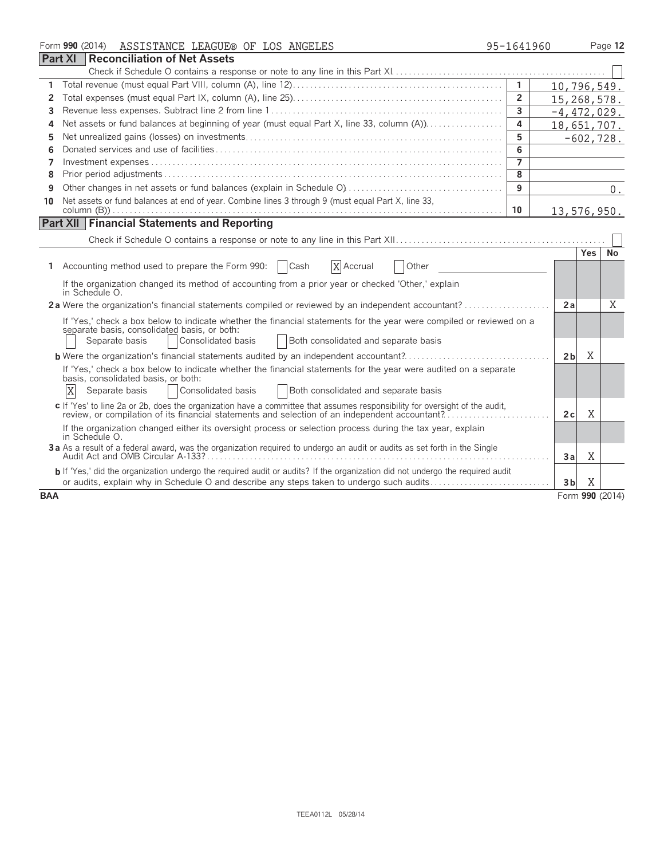|            | Form 990 (2014)<br>ASSISTANCE LEAGUE® OF LOS ANGELES                                                                                                                                                                                                 | 95-1641960     |                     | Page 12 |
|------------|------------------------------------------------------------------------------------------------------------------------------------------------------------------------------------------------------------------------------------------------------|----------------|---------------------|---------|
|            | <b>Part XI Reconciliation of Net Assets</b>                                                                                                                                                                                                          |                |                     |         |
|            |                                                                                                                                                                                                                                                      |                |                     |         |
| 1          |                                                                                                                                                                                                                                                      | $\mathbf{1}$   | 10,796,549.         |         |
| 2          |                                                                                                                                                                                                                                                      | $\overline{2}$ | 15,268,578.         |         |
| 3          |                                                                                                                                                                                                                                                      | $\overline{3}$ | $-4,472,029.$       |         |
| 4          | Net assets or fund balances at beginning of year (must equal Part X, line 33, column (A))                                                                                                                                                            | 4              | 18,651,707.         |         |
| 5          |                                                                                                                                                                                                                                                      | 5              | $-602, 728.$        |         |
| 6          |                                                                                                                                                                                                                                                      | 6              |                     |         |
| 7          |                                                                                                                                                                                                                                                      | $\overline{7}$ |                     |         |
| 8          |                                                                                                                                                                                                                                                      | 8              |                     |         |
| 9          |                                                                                                                                                                                                                                                      | 9              |                     | 0.      |
| 10         | Net assets or fund balances at end of year. Combine lines 3 through 9 (must equal Part X, line 33,                                                                                                                                                   | 10             | 13,576,950.         |         |
|            | <b>Part XII Financial Statements and Reporting</b>                                                                                                                                                                                                   |                |                     |         |
|            |                                                                                                                                                                                                                                                      |                |                     |         |
|            |                                                                                                                                                                                                                                                      |                | <b>Yes</b>          | No      |
| 1.         | X Accrual<br>Accounting method used to prepare the Form 990:<br>Cash<br>Other                                                                                                                                                                        |                |                     |         |
|            | If the organization changed its method of accounting from a prior year or checked 'Other,' explain<br>in Schedule O.                                                                                                                                 |                |                     |         |
|            | 2a Were the organization's financial statements compiled or reviewed by an independent accountant?                                                                                                                                                   |                | 2a                  | Χ       |
|            | If 'Yes,' check a box below to indicate whether the financial statements for the year were compiled or reviewed on a<br>separate basis, consolidated basis, or both:<br>Consolidated basis<br>Both consolidated and separate basis<br>Separate basis |                |                     |         |
|            | <b>b</b> Were the organization's financial statements audited by an independent accountant?                                                                                                                                                          |                | X<br>2 <sub>b</sub> |         |
|            | If 'Yes,' check a box below to indicate whether the financial statements for the year were audited on a separate<br>basis, consolidated basis, or both:<br>X<br>Consolidated basis<br>Separate basis<br>Both consolidated and separate basis         |                |                     |         |
|            | c If 'Yes' to line 2a or 2b, does the organization have a committee that assumes responsibility for oversight of the audit,<br>review, or compilation of its financial statements and selection of an independent accountant?                        |                | Χ<br>2c             |         |
|            | If the organization changed either its oversight process or selection process during the tax year, explain<br>in Schedule O.                                                                                                                         |                |                     |         |
|            | 3a As a result of a federal award, was the organization required to undergo an audit or audits as set forth in the Single<br>Audit Act and OMB Circular A-133?                                                                                       |                | X<br>3a             |         |
|            | b If 'Yes,' did the organization undergo the required audit or audits? If the organization did not undergo the required audit<br>or audits, explain why in Schedule O and describe any steps taken to undergo such audits                            |                | 3 <sub>b</sub><br>X |         |
| <b>BAA</b> |                                                                                                                                                                                                                                                      |                | Form 990 (2014)     |         |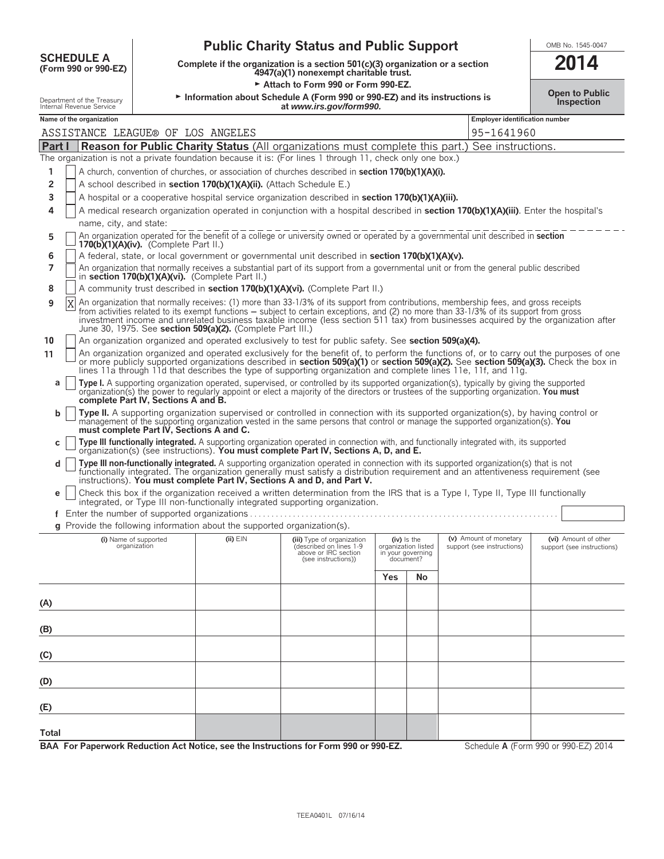|                                           | <b>Public Charity Status and Public S</b>                                                              |
|-------------------------------------------|--------------------------------------------------------------------------------------------------------|
| <b>SCHEDULE A</b><br>(Form 990 or 990-EZ) | Complete if the organization is a section $501(c)(3)$ organiz<br>4947(a)(1) nonexempt charitable trust |

**Pupport**  $\frac{60 \text{ MB No. } 1545 \cdot 004^2}{2014}$ **(Form 990 or 990-EZ) Complete if the organization is a section 501(c)(3) organization or a section 2014 4947(a)(1) nonexempt charitable trust.**

Attach to Form 990 or Form 990-EZ.

**Department of the Treasury Finformation about Schedule A (Form 990 or 990-EZ) and its instructions is**<br>Internal Revenue Service **at** *www.irs.gov/form990.* 

|  | OMB No. 1545-0047 |
|--|-------------------|
|  |                   |

| <b>Open to Public</b> |  |
|-----------------------|--|
| <b>Inspection</b>     |  |

|                | Name of the organization                                                                                                                                                                                                                                                                                                                                                                                                         |              |                                                                                                      |     |                                                                      | Employer identification number                       |                                                    |  |  |
|----------------|----------------------------------------------------------------------------------------------------------------------------------------------------------------------------------------------------------------------------------------------------------------------------------------------------------------------------------------------------------------------------------------------------------------------------------|--------------|------------------------------------------------------------------------------------------------------|-----|----------------------------------------------------------------------|------------------------------------------------------|----------------------------------------------------|--|--|
|                | ASSISTANCE LEAGUE® OF LOS ANGELES                                                                                                                                                                                                                                                                                                                                                                                                |              |                                                                                                      |     |                                                                      |                                                      | 95-1641960                                         |  |  |
| Part I         | Reason for Public Charity Status (All organizations must complete this part.) See instructions.                                                                                                                                                                                                                                                                                                                                  |              |                                                                                                      |     |                                                                      |                                                      |                                                    |  |  |
|                | The organization is not a private foundation because it is: (For lines 1 through 11, check only one box.)                                                                                                                                                                                                                                                                                                                        |              |                                                                                                      |     |                                                                      |                                                      |                                                    |  |  |
| 1              | A church, convention of churches, or association of churches described in <b>section 170(b)(1)(A)(i).</b>                                                                                                                                                                                                                                                                                                                        |              |                                                                                                      |     |                                                                      |                                                      |                                                    |  |  |
| 2              | A school described in section 170(b)(1)(A)(ii). (Attach Schedule E.)                                                                                                                                                                                                                                                                                                                                                             |              |                                                                                                      |     |                                                                      |                                                      |                                                    |  |  |
| 3              | A hospital or a cooperative hospital service organization described in section 170(b)(1)(A)(iii).                                                                                                                                                                                                                                                                                                                                |              |                                                                                                      |     |                                                                      |                                                      |                                                    |  |  |
| 4              | A medical research organization operated in conjunction with a hospital described in section 170(b)(1)(A)(iii). Enter the hospital's                                                                                                                                                                                                                                                                                             |              |                                                                                                      |     |                                                                      |                                                      |                                                    |  |  |
|                | name, city, and state:                                                                                                                                                                                                                                                                                                                                                                                                           |              |                                                                                                      |     |                                                                      |                                                      |                                                    |  |  |
| 5              | An organization operated for the benefit of a college or university owned or operated by a governmental unit described in section<br>170(b)(1)(A)(iv). (Complete Part II.)                                                                                                                                                                                                                                                       |              |                                                                                                      |     |                                                                      |                                                      |                                                    |  |  |
| 6              | A federal, state, or local government or governmental unit described in section 170(b)(1)(A)(v).                                                                                                                                                                                                                                                                                                                                 |              |                                                                                                      |     |                                                                      |                                                      |                                                    |  |  |
| $\overline{7}$ | An organization that normally receives a substantial part of its support from a governmental unit or from the general public described<br>in section 170(b)(1)(A)(vi). (Complete Part II.)                                                                                                                                                                                                                                       |              |                                                                                                      |     |                                                                      |                                                      |                                                    |  |  |
| 8              | A community trust described in section 170(b)(1)(A)(vi). (Complete Part II.)                                                                                                                                                                                                                                                                                                                                                     |              |                                                                                                      |     |                                                                      |                                                      |                                                    |  |  |
| X<br>9         | An organization that normally receives: (1) more than 33-1/3% of its support from contributions, membership fees, and gross receipts from activities related to its exempt functions – subject to certain exceptions, and (2)<br>investment income and unrelated business taxable income (less section 511 tax) from businesses acquired by the organization after<br>June 30, 1975. See section 509(a)(2). (Complete Part III.) |              |                                                                                                      |     |                                                                      |                                                      |                                                    |  |  |
| 10             | An organization organized and operated exclusively to test for public safety. See section 509(a)(4).                                                                                                                                                                                                                                                                                                                             |              |                                                                                                      |     |                                                                      |                                                      |                                                    |  |  |
| 11             | An organization organized and operated exclusively for the benefit of, to perform the functions of, or to carry out the purposes of one<br>or more publicly supported organizations described in section 509(a)(1) or section 509(a)(2). See section 509(a)(3). Check the box in<br>lines 11a through 11d that describes the type of supporting organization and complete lines 11e, 11f, and 11g.                               |              |                                                                                                      |     |                                                                      |                                                      |                                                    |  |  |
| а              | Type I. A supporting organization operated, supervised, or controlled by its supported organization(s), typically by giving the supported<br>organization(s) the power to regularly appoint or elect a majority of the directors or trustees of the supporting organization. You must<br>complete Part IV, Sections A and B.                                                                                                     |              |                                                                                                      |     |                                                                      |                                                      |                                                    |  |  |
| b              | Type II. A supporting organization supervised or controlled in connection with its supported organization(s), by having control or<br>management of the supporting organization vested in the same persons that control or manage the supported organization(s). You<br>must complete Part IV, Sections A and C.                                                                                                                 |              |                                                                                                      |     |                                                                      |                                                      |                                                    |  |  |
| C              | Type III functionally integrated. A supporting organization operated in connection with, and functionally integrated with, its supported organization(s) (see instructions). You must complete Part IV, Sections A, D, and E.                                                                                                                                                                                                    |              |                                                                                                      |     |                                                                      |                                                      |                                                    |  |  |
| d              | Type III non-functionally integrated. A supporting organization operated in connection with its supported organization(s) that is not<br>functionally integrated. The organization generally must satisfy a distribution requirement and an attentiveness requirement (see instructions). You must complete Part IV, Sections A and D, and Part V.                                                                               |              |                                                                                                      |     |                                                                      |                                                      |                                                    |  |  |
| е              | Check this box if the organization received a written determination from the IRS that is a Type I, Type II, Type III functionally<br>integrated, or Type III non-functionally integrated supporting organization.                                                                                                                                                                                                                |              |                                                                                                      |     |                                                                      |                                                      |                                                    |  |  |
|                |                                                                                                                                                                                                                                                                                                                                                                                                                                  |              |                                                                                                      |     |                                                                      |                                                      |                                                    |  |  |
|                | g Provide the following information about the supported organization(s).                                                                                                                                                                                                                                                                                                                                                         |              |                                                                                                      |     |                                                                      |                                                      |                                                    |  |  |
|                | (i) Name of supported<br>organization                                                                                                                                                                                                                                                                                                                                                                                            | $(ii)$ $EIN$ | (iii) Type of organization<br>(described on lines 1-9<br>above or IRC section<br>(see instructions)) |     | (iv) Is the<br>organization listed<br>in your governing<br>document? | (v) Amount of monetary<br>support (see instructions) | (vi) Amount of other<br>support (see instructions) |  |  |
|                |                                                                                                                                                                                                                                                                                                                                                                                                                                  |              |                                                                                                      | Yes | No                                                                   |                                                      |                                                    |  |  |
| (A)            |                                                                                                                                                                                                                                                                                                                                                                                                                                  |              |                                                                                                      |     |                                                                      |                                                      |                                                    |  |  |
| (B)            |                                                                                                                                                                                                                                                                                                                                                                                                                                  |              |                                                                                                      |     |                                                                      |                                                      |                                                    |  |  |
| (C)            |                                                                                                                                                                                                                                                                                                                                                                                                                                  |              |                                                                                                      |     |                                                                      |                                                      |                                                    |  |  |
| (D)            |                                                                                                                                                                                                                                                                                                                                                                                                                                  |              |                                                                                                      |     |                                                                      |                                                      |                                                    |  |  |
| (E)            |                                                                                                                                                                                                                                                                                                                                                                                                                                  |              |                                                                                                      |     |                                                                      |                                                      |                                                    |  |  |
| Total          |                                                                                                                                                                                                                                                                                                                                                                                                                                  |              |                                                                                                      |     |                                                                      |                                                      |                                                    |  |  |

**BAA For Paperwork Reduction Act Notice, see the Instructions for Form 990 or 990-EZ.** Schedule A (Form 990 or 990-EZ) 2014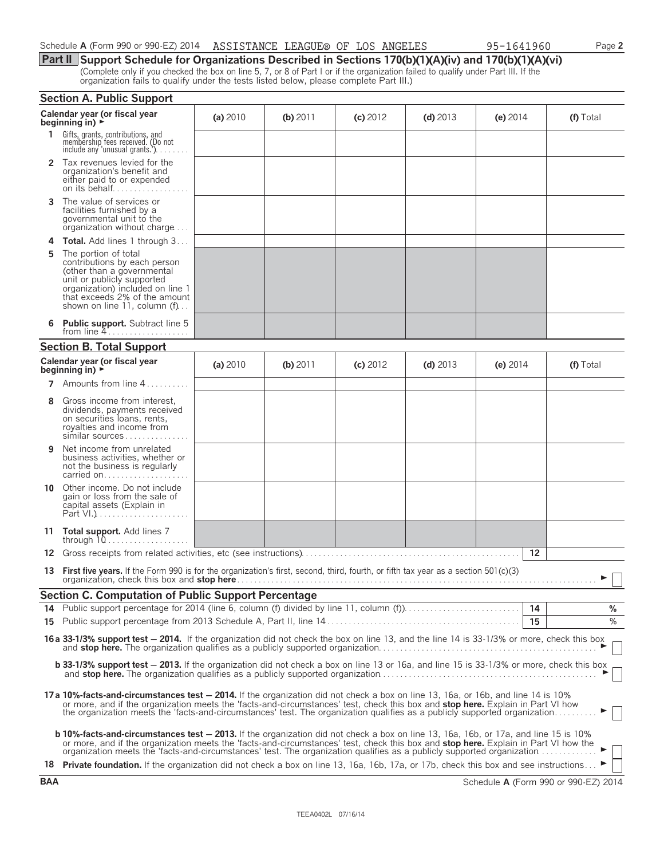|  | Part II Support Schedule for Organizations Described in Sections 170(b)(1)(A)(iv) and 170(b)(1)(A)(vi) |  |
|--|--------------------------------------------------------------------------------------------------------|--|

(Complete only if you checked the box on line 5, 7, or 8 of Part I or if the organization failed to qualify under Part III. If the organization fails to qualify under the tests listed below, please complete Part III.)

|                                                                                                                | <b>Section A. Public Support</b>                                                                                                                                                                                                                                                                                                                                                  |          |            |            |            |            |           |
|----------------------------------------------------------------------------------------------------------------|-----------------------------------------------------------------------------------------------------------------------------------------------------------------------------------------------------------------------------------------------------------------------------------------------------------------------------------------------------------------------------------|----------|------------|------------|------------|------------|-----------|
|                                                                                                                | Calendar year (or fiscal year<br>beginning in) $\blacktriangleright$                                                                                                                                                                                                                                                                                                              | (a) 2010 | (b) $2011$ | $(c)$ 2012 | (d) $2013$ | (e) $2014$ | (f) Total |
| Gifts, grants, contributions, and<br>1.<br>membership fees received. (Do not<br>include any 'unusual grants.') |                                                                                                                                                                                                                                                                                                                                                                                   |          |            |            |            |            |           |
|                                                                                                                | 2 Tax revenues levied for the<br>organization's benefit and<br>either paid to or expended<br>on its behalf                                                                                                                                                                                                                                                                        |          |            |            |            |            |           |
| 3                                                                                                              | The value of services or<br>facilities furnished by a<br>governmental unit to the<br>organization without charge                                                                                                                                                                                                                                                                  |          |            |            |            |            |           |
| 4                                                                                                              | <b>Total.</b> Add lines 1 through 3                                                                                                                                                                                                                                                                                                                                               |          |            |            |            |            |           |
| 5                                                                                                              | The portion of total<br>contributions by each person<br>(other than a governmental<br>unit or publicly supported<br>organization) included on line 1<br>that exceeds 2% of the amount<br>shown on line 11, column (f)                                                                                                                                                             |          |            |            |            |            |           |
|                                                                                                                | <b>Public support.</b> Subtract line 5                                                                                                                                                                                                                                                                                                                                            |          |            |            |            |            |           |
|                                                                                                                | <b>Section B. Total Support</b>                                                                                                                                                                                                                                                                                                                                                   |          |            |            |            |            |           |
|                                                                                                                | Calendar year (or fiscal year<br>beginning in) $\blacktriangleright$                                                                                                                                                                                                                                                                                                              | (a) 2010 | (b) $2011$ | $(c)$ 2012 | (d) $2013$ | (e) $2014$ | (f) Total |
| 7                                                                                                              | Amounts from line 4                                                                                                                                                                                                                                                                                                                                                               |          |            |            |            |            |           |
| 8                                                                                                              | Gross income from interest,<br>dividends, payments received<br>on securities loans, rents,<br>royalties and income from<br>similar sources                                                                                                                                                                                                                                        |          |            |            |            |            |           |
| 9                                                                                                              | Net income from unrelated<br>business activities, whether or<br>not the business is regularly<br>carried on                                                                                                                                                                                                                                                                       |          |            |            |            |            |           |
| 10                                                                                                             | Other income. Do not include<br>gain or loss from the sale of<br>capital assets (Explain in                                                                                                                                                                                                                                                                                       |          |            |            |            |            |           |
| 11                                                                                                             | <b>Total support.</b> Add lines 7                                                                                                                                                                                                                                                                                                                                                 |          |            |            |            |            |           |
| 12                                                                                                             |                                                                                                                                                                                                                                                                                                                                                                                   |          |            |            |            | 12         |           |
| 13                                                                                                             | <b>First five years.</b> If the Form 990 is for the organization's first, second, third, fourth, or fifth tax year as a section $501(c)(3)$<br>organization, check this box and stop here.                                                                                                                                                                                        |          |            |            |            |            |           |
|                                                                                                                | <b>Section C. Computation of Public Support Percentage</b>                                                                                                                                                                                                                                                                                                                        |          |            |            |            |            |           |
|                                                                                                                |                                                                                                                                                                                                                                                                                                                                                                                   |          |            |            |            |            | $\%$      |
|                                                                                                                |                                                                                                                                                                                                                                                                                                                                                                                   |          |            |            |            | 15         | $\%$      |
|                                                                                                                | 16a 33-1/3% support test - 2014. If the organization did not check the box on line 13, and the line 14 is 33-1/3% or more, check this box                                                                                                                                                                                                                                         |          |            |            |            |            |           |
|                                                                                                                | <b>b 33-1/3% support test - 2013.</b> If the organization did not check a box on line 13 or 16a, and line 15 is 33-1/3% or more, check this box                                                                                                                                                                                                                                   |          |            |            |            |            |           |
|                                                                                                                | 17a 10%-facts-and-circumstances test - 2014. If the organization did not check a box on line 13, 16a, or 16b, and line 14 is 10%<br>or more, and if the organization meets the 'facts-and-circumstances' test, check this box and stop here. Explain in Part VI how<br>the organization meets the 'facts-and-circumstances' test. The organization qualifies as a pub             |          |            |            |            |            |           |
|                                                                                                                | <b>b 10%-facts-and-circumstances test - 2013.</b> If the organization did not check a box on line 13, 16a, 16b, or 17a, and line 15 is 10%<br>or more, and if the organization meets the 'facts-and-circumstances' test, check this box and <b>stop here.</b> Explain in Part VI how the organization meets the 'facts-and-circumstances' test. The organization qualifies as a p |          |            |            |            |            |           |
|                                                                                                                | 18 Private foundation. If the organization did not check a box on line 13, 16a, 16b, 17a, or 17b, check this box and see instructions                                                                                                                                                                                                                                             |          |            |            |            |            |           |

**BAA** Schedule **A** (Form 990 or 990-EZ) 2014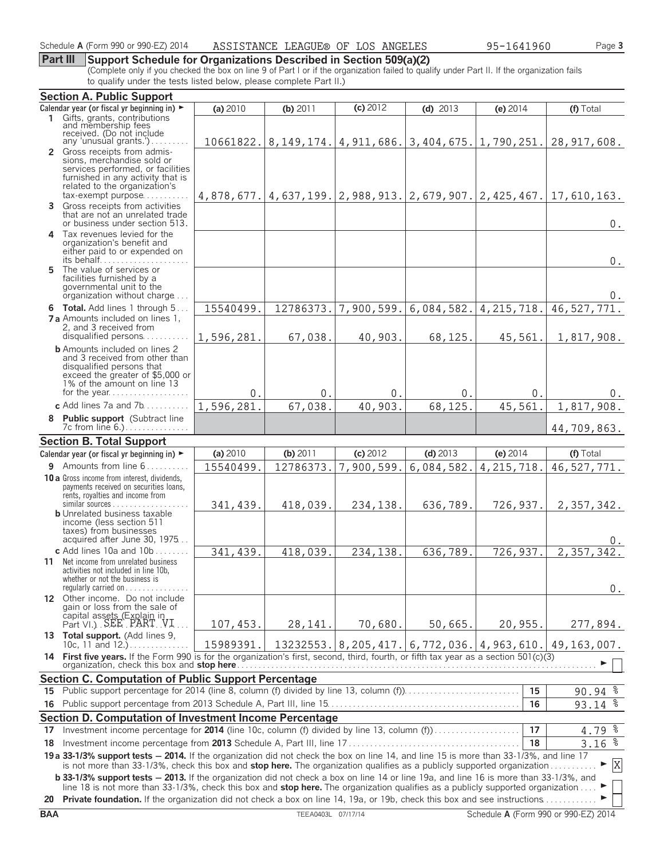#### **Part III Support Schedule for Organizations Described in Section 509(a)(2)**

(Complete only if you checked the box on line 9 of Part I or if the organization failed to qualify under Part II. If the organization fails to qualify under the tests listed below, please complete Part II.)

|    | <b>Section A. Public Support</b>                                                                                                                                                                                                                                 |            |            |            |            |                                                                       |                                                                                |
|----|------------------------------------------------------------------------------------------------------------------------------------------------------------------------------------------------------------------------------------------------------------------|------------|------------|------------|------------|-----------------------------------------------------------------------|--------------------------------------------------------------------------------|
|    | Calendar year (or fiscal yr beginning in) $\blacktriangleright$                                                                                                                                                                                                  | (a) 2010   | (b) $2011$ | (c) 2012   | $(d)$ 2013 | (e) 2014                                                              | (f) Total                                                                      |
|    | 1 Gifts, grants, contributions<br>and membership fees                                                                                                                                                                                                            |            |            |            |            |                                                                       |                                                                                |
|    | received. (Do not include                                                                                                                                                                                                                                        |            |            |            |            |                                                                       |                                                                                |
|    | any 'unusual grants.')                                                                                                                                                                                                                                           |            |            |            |            | 10661822.   8, 149, 174.   4, 911, 686.   3, 404, 675.   1, 790, 251. | 28, 917, 608.                                                                  |
|    | 2 Gross receipts from admis-<br>sions, merchandise sold or                                                                                                                                                                                                       |            |            |            |            |                                                                       |                                                                                |
|    | services performed, or facilities                                                                                                                                                                                                                                |            |            |            |            |                                                                       |                                                                                |
|    | furnished in any activity that is                                                                                                                                                                                                                                |            |            |            |            |                                                                       |                                                                                |
|    | related to the organization's<br>$tax$ -exempt purpose                                                                                                                                                                                                           |            |            |            |            |                                                                       | $4,878,677.$ $4,637,199.$ $2,988,913.$ $2,679,907.$ $2,425,467.$ $17,610,163.$ |
|    | 3 Gross receipts from activities                                                                                                                                                                                                                                 |            |            |            |            |                                                                       |                                                                                |
|    | that are not an unrelated trade                                                                                                                                                                                                                                  |            |            |            |            |                                                                       |                                                                                |
|    | or business under section 513.<br>4 Tax revenues levied for the                                                                                                                                                                                                  |            |            |            |            |                                                                       | $0$ .                                                                          |
|    | organization's benefit and                                                                                                                                                                                                                                       |            |            |            |            |                                                                       |                                                                                |
|    | either paid to or expended on                                                                                                                                                                                                                                    |            |            |            |            |                                                                       |                                                                                |
|    | 5 The value of services or                                                                                                                                                                                                                                       |            |            |            |            |                                                                       | $0$ .                                                                          |
|    | facilities furnished by a                                                                                                                                                                                                                                        |            |            |            |            |                                                                       |                                                                                |
|    | governmental unit to the                                                                                                                                                                                                                                         |            |            |            |            |                                                                       |                                                                                |
|    | organization without charge                                                                                                                                                                                                                                      |            |            |            |            |                                                                       | 0.                                                                             |
|    | 6 Total. Add lines 1 through 5                                                                                                                                                                                                                                   | 15540499.  |            |            |            | 12786373. 7, 900, 599. 6, 084, 582. 4, 215, 718.                      | 46, 527, 771.                                                                  |
|    | <b>7 a</b> Amounts included on lines 1,<br>2, and 3 received from                                                                                                                                                                                                |            |            |            |            |                                                                       |                                                                                |
|    | disqualified persons                                                                                                                                                                                                                                             | 1,596,281. | 67,038.    | 40,903.    | 68,125.    | 45,561.                                                               | 1,817,908.                                                                     |
|    | <b>b</b> Amounts included on lines 2                                                                                                                                                                                                                             |            |            |            |            |                                                                       |                                                                                |
|    | and 3 received from other than                                                                                                                                                                                                                                   |            |            |            |            |                                                                       |                                                                                |
|    | disqualified persons that<br>exceed the greater of \$5,000 or                                                                                                                                                                                                    |            |            |            |            |                                                                       |                                                                                |
|    | 1% of the amount on line 13                                                                                                                                                                                                                                      |            |            |            |            |                                                                       |                                                                                |
|    |                                                                                                                                                                                                                                                                  | 0.         | 0.         | 0.         | 0.         | 0.                                                                    | 0.                                                                             |
|    | c Add lines $7a$ and $7b$                                                                                                                                                                                                                                        | 1,596,281. | 67,038.    | 40,903.    | 68,125.    | 45,561.                                                               | 1,817,908.                                                                     |
|    | 8 Public support (Subtract line<br>7c from line 6.)                                                                                                                                                                                                              |            |            |            |            |                                                                       | 44,709,863.                                                                    |
|    | <b>Section B. Total Support</b>                                                                                                                                                                                                                                  |            |            |            |            |                                                                       |                                                                                |
|    |                                                                                                                                                                                                                                                                  | (a) 2010   | (b) 2011   | (c) 2012   | $(d)$ 2013 | (e) 2014                                                              | (f) Total                                                                      |
|    | Calendar year (or fiscal yr beginning in) ►                                                                                                                                                                                                                      |            |            |            |            |                                                                       |                                                                                |
|    | 9 Amounts from line 6<br>10 a Gross income from interest, dividends,                                                                                                                                                                                             | 15540499.  | 12786373.  | 7,900,599. |            | $6,084,582.$ 4, 215, 718.                                             | 46, 527, 771.                                                                  |
|    | payments received on securities loans,                                                                                                                                                                                                                           |            |            |            |            |                                                                       |                                                                                |
|    | rents, royalties and income from                                                                                                                                                                                                                                 |            |            |            |            |                                                                       |                                                                                |
|    | <b>b</b> Unrelated business taxable                                                                                                                                                                                                                              | 341,439.   | 418,039.   | 234, 138.  | 636,789.   | 726,937.                                                              | 2,357,342.                                                                     |
|    | income (less section 511                                                                                                                                                                                                                                         |            |            |            |            |                                                                       |                                                                                |
|    | taxes) from businesses                                                                                                                                                                                                                                           |            |            |            |            |                                                                       |                                                                                |
|    | acquired after June 30, 1975<br>c Add lines $10a$ and $10b$                                                                                                                                                                                                      |            |            |            |            |                                                                       | 0.                                                                             |
|    | <b>11</b> Net income from unrelated business                                                                                                                                                                                                                     | 341,439.   | 418,039.   | 234,138.   | 636,789.   | 726,937.                                                              | 2,357,342.                                                                     |
|    | activities not included in line 10b,                                                                                                                                                                                                                             |            |            |            |            |                                                                       |                                                                                |
|    | whether or not the business is                                                                                                                                                                                                                                   |            |            |            |            |                                                                       |                                                                                |
|    | regularly carried on $\dots\dots\dots$<br>12 Other income. Do not include                                                                                                                                                                                        |            |            |            |            |                                                                       | $0$ .                                                                          |
|    | gain or loss from the sale of                                                                                                                                                                                                                                    |            |            |            |            |                                                                       |                                                                                |
|    | capital assets (Explain in<br>Part VI.) SEE PART VI                                                                                                                                                                                                              |            |            |            |            |                                                                       |                                                                                |
|    | 13 Total support. (Add lines 9,                                                                                                                                                                                                                                  | 107,453.   | 28,141.    | 70,680.    | 50,665.    | 20,955.                                                               | 277,894.                                                                       |
|    | 10c, 11 and 12.)                                                                                                                                                                                                                                                 | 15989391.  |            |            |            |                                                                       | $13232553.$   8, 205, 417.   6, 772, 036.   4, 963, 610.   49, 163, 007.       |
|    | 14 First five years. If the Form 990 is for the organization's first, second, third, fourth, or fifth tax year as a section 501(c)(3)                                                                                                                            |            |            |            |            |                                                                       |                                                                                |
|    |                                                                                                                                                                                                                                                                  |            |            |            |            |                                                                       |                                                                                |
|    | <b>Section C. Computation of Public Support Percentage</b>                                                                                                                                                                                                       |            |            |            |            |                                                                       |                                                                                |
|    |                                                                                                                                                                                                                                                                  |            |            |            |            | 15                                                                    | $90.94$ $%$                                                                    |
| 16 |                                                                                                                                                                                                                                                                  |            |            |            |            | 16                                                                    | $93.14$ $%$                                                                    |
|    | Section D. Computation of Investment Income Percentage                                                                                                                                                                                                           |            |            |            |            |                                                                       |                                                                                |
|    | 17 Investment income percentage for 2014 (line 10c, column (f) divided by line 13, column (f)                                                                                                                                                                    |            |            |            |            | 17                                                                    | 4.79 $\frac{8}{3}$                                                             |
| 18 |                                                                                                                                                                                                                                                                  |            |            |            |            | 18                                                                    | $3.16 \frac{2}{6}$                                                             |
|    | 19a 33-1/3% support tests - 2014. If the organization did not check the box on line 14, and line 15 is more than 33-1/3%, and line 17<br>is not more than 33-1/3%, check this box and stop here. The organization qualifies as a publicly supported organization |            |            |            |            |                                                                       | X                                                                              |
|    | <b>b 33-1/3% support tests - 2013.</b> If the organization did not check a box on line 14 or line 19a, and line 16 is more than 33-1/3%, and                                                                                                                     |            |            |            |            |                                                                       |                                                                                |
|    | line 18 is not more than 33-1/3%, check this box and stop here. The organization qualifies as a publicly supported organization                                                                                                                                  |            |            |            |            |                                                                       |                                                                                |
|    | 20 Private foundation. If the organization did not check a box on line 14, 19a, or 19b, check this box and see instructions                                                                                                                                      |            |            |            |            |                                                                       |                                                                                |
|    |                                                                                                                                                                                                                                                                  |            |            |            |            |                                                                       |                                                                                |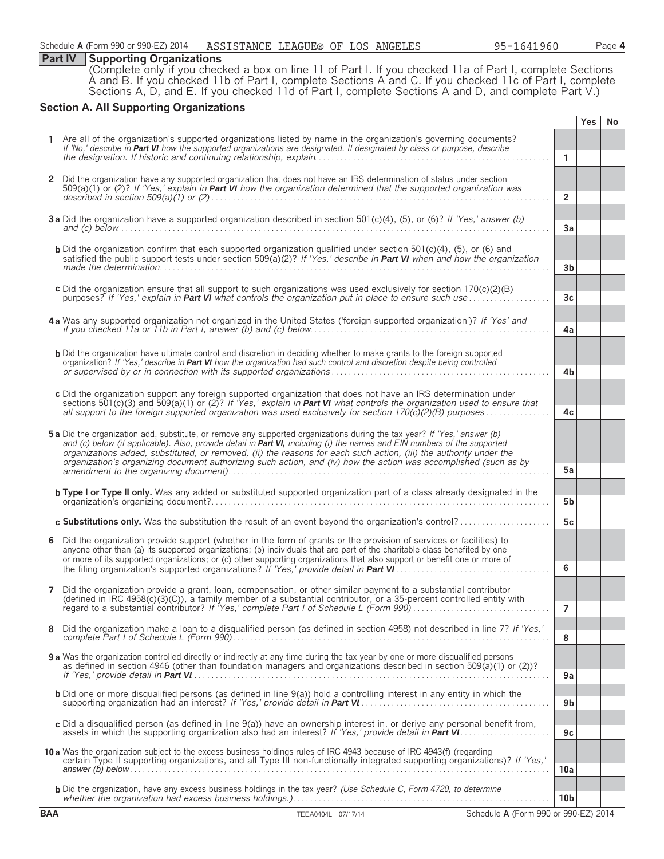#### **Part IV Supporting Organizations**

(Complete only if you checked a box on line 11 of Part I. If you checked 11a of Part I, complete Sections A and B. If you checked 11b of Part I, complete Sections A and C. If you checked 11c of Part I, complete Sections A, D, and E. If you checked 11d of Part I, complete Sections A and D, and complete Part V.)

#### **Section A. All Supporting Organizations**

|                       |                                                                                                                                                                                                                                                                                                                                                                                                                                                                                                |                 | <b>Yes</b> | No. |
|-----------------------|------------------------------------------------------------------------------------------------------------------------------------------------------------------------------------------------------------------------------------------------------------------------------------------------------------------------------------------------------------------------------------------------------------------------------------------------------------------------------------------------|-----------------|------------|-----|
|                       | Are all of the organization's supported organizations listed by name in the organization's governing documents?<br>If 'No,' describe in Part VI how the supported organizations are designated. If designated by class or purpose, describe                                                                                                                                                                                                                                                    |                 |            |     |
|                       |                                                                                                                                                                                                                                                                                                                                                                                                                                                                                                | $\mathbf{1}$    |            |     |
| $\mathbf{2}^{\prime}$ | Did the organization have any supported organization that does not have an IRS determination of status under section<br>$509(a)(1)$ or (2)? If 'Yes,' explain in <b>Part VI</b> how the organization determined that the supported organization was                                                                                                                                                                                                                                            | $\overline{2}$  |            |     |
|                       |                                                                                                                                                                                                                                                                                                                                                                                                                                                                                                |                 |            |     |
|                       | 3a Did the organization have a supported organization described in section 501(c)(4), (5), or (6)? If 'Yes,' answer (b)<br>and (c) below $\ldots$ $\ldots$ $\ldots$ $\ldots$ $\ldots$ $\ldots$ $\ldots$ $\ldots$ $\ldots$ $\ldots$ $\ldots$ $\ldots$ $\ldots$ $\ldots$ $\ldots$                                                                                                                                                                                                                | 3a              |            |     |
|                       | <b>b</b> Did the organization confirm that each supported organization qualified under section $501(c)(4)$ , $(5)$ , or $(6)$ and<br>satisfied the public support tests under section 509( $a(2)$ ? If 'Yes,' describe in Part VI when and how the organization                                                                                                                                                                                                                                | 3 <sub>b</sub>  |            |     |
|                       |                                                                                                                                                                                                                                                                                                                                                                                                                                                                                                |                 |            |     |
|                       | c Did the organization ensure that all support to such organizations was used exclusively for section $170(c)(2)(B)$<br>purposes? If 'Yes,' explain in Part VI what controls the organization put in place to ensure such use                                                                                                                                                                                                                                                                  | 3 <sub>c</sub>  |            |     |
|                       | 4a Was any supported organization not organized in the United States ('foreign supported organization')? If 'Yes' and                                                                                                                                                                                                                                                                                                                                                                          | 4a              |            |     |
|                       | <b>b</b> Did the organization have ultimate control and discretion in deciding whether to make grants to the foreign supported<br>organization? If 'Yes,' describe in Part VI how the organization had such control and discretion despite being controlled                                                                                                                                                                                                                                    | 4b              |            |     |
|                       |                                                                                                                                                                                                                                                                                                                                                                                                                                                                                                |                 |            |     |
|                       | c Did the organization support any foreign supported organization that does not have an IRS determination under<br>sections 501(c)(3) and 509(a)(1) or (2)? If 'Yes,' explain in <b>Part VI</b> what controls the organization used to ensure that<br>all support to the foreign supported organization was used exclusively for section $170(\tilde{c})(2)(B)$ purposes                                                                                                                       | 4 <sub>c</sub>  |            |     |
|                       |                                                                                                                                                                                                                                                                                                                                                                                                                                                                                                |                 |            |     |
|                       | 5a Did the organization add, substitute, or remove any supported organizations during the tax year? If 'Yes,' answer (b)<br>and (c) below (if applicable). Also, provide detail in Part VI, including (i) the names and EIN numbers of the supported<br>organizations added, substituted, or removed, (ii) the reasons for each such action, (iii) the authority under the<br>organization's organizing document authorizing such action, and (iv) how the action was accomplished (such as by |                 |            |     |
|                       |                                                                                                                                                                                                                                                                                                                                                                                                                                                                                                | 5a              |            |     |
|                       |                                                                                                                                                                                                                                                                                                                                                                                                                                                                                                |                 |            |     |
|                       | <b>b Type I or Type II only.</b> Was any added or substituted supported organization part of a class already designated in the                                                                                                                                                                                                                                                                                                                                                                 | 5 <sub>b</sub>  |            |     |
|                       | c Substitutions only. Was the substitution the result of an event beyond the organization's control?                                                                                                                                                                                                                                                                                                                                                                                           | 5c              |            |     |
| 6                     | Did the organization provide support (whether in the form of grants or the provision of services or facilities) to<br>anyone other than (a) its supported organizations; (b) individuals that are part of the charitable class benefited by one<br>or more of its supported organizations; or (c) other supporting organizations that also support or benefit one or more of                                                                                                                   |                 |            |     |
|                       |                                                                                                                                                                                                                                                                                                                                                                                                                                                                                                | 6               |            |     |
| 7                     | Did the organization provide a grant, loan, compensation, or other similar payment to a substantial contributor<br>(defined in IRC 4958(c)(3)(C)), a family member of a substantial contributor, or a 35-percent controlled entity with                                                                                                                                                                                                                                                        | 7               |            |     |
|                       |                                                                                                                                                                                                                                                                                                                                                                                                                                                                                                |                 |            |     |
| 8                     | Did the organization make a loan to a disqualified person (as defined in section 4958) not described in line 7? If 'Yes,'                                                                                                                                                                                                                                                                                                                                                                      | 8               |            |     |
|                       | 9 a Was the organization controlled directly or indirectly at any time during the tax year by one or more disqualified persons<br>as defined in section 4946 (other than foundation managers and organizations described in section 509(a)(1) or (2))?                                                                                                                                                                                                                                         | 9a              |            |     |
|                       |                                                                                                                                                                                                                                                                                                                                                                                                                                                                                                |                 |            |     |
|                       | <b>b</b> Did one or more disqualified persons (as defined in line 9(a)) hold a controlling interest in any entity in which the                                                                                                                                                                                                                                                                                                                                                                 | 9 <sub>b</sub>  |            |     |
|                       | c Did a disqualified person (as defined in line 9(a)) have an ownership interest in, or derive any personal benefit from,<br>assets in which the supporting organization also had an interest? If 'Yes,' provide detail in Part VI                                                                                                                                                                                                                                                             | 9c              |            |     |
|                       | 10 a Was the organization subject to the excess business holdings rules of IRC 4943 because of IRC 4943(f) (regarding                                                                                                                                                                                                                                                                                                                                                                          |                 |            |     |
|                       | certain Type II supporting organizations, and all Type III non-functionally integrated supporting organizations)? If 'Yes,'<br>answer (b) below. $\ldots$ . $\ldots$ . $\ldots$ . $\ldots$ . $\ldots$ . $\ldots$ . $\ldots$ . $\ldots$ . $\ldots$ . $\ldots$ . $\ldots$ . $\ldots$ . $\ldots$ . $\ldots$ . $\ldots$                                                                                                                                                                            | 10a             |            |     |
|                       | b Did the organization, have any excess business holdings in the tax year? (Use Schedule C, Form 4720, to determine                                                                                                                                                                                                                                                                                                                                                                            |                 |            |     |
|                       |                                                                                                                                                                                                                                                                                                                                                                                                                                                                                                | 10 <sub>b</sub> |            |     |
| <b>BAA</b>            | TEEA0404L 07/17/14 Schedule A (Form 990 or 990-EZ) 2014                                                                                                                                                                                                                                                                                                                                                                                                                                        |                 |            |     |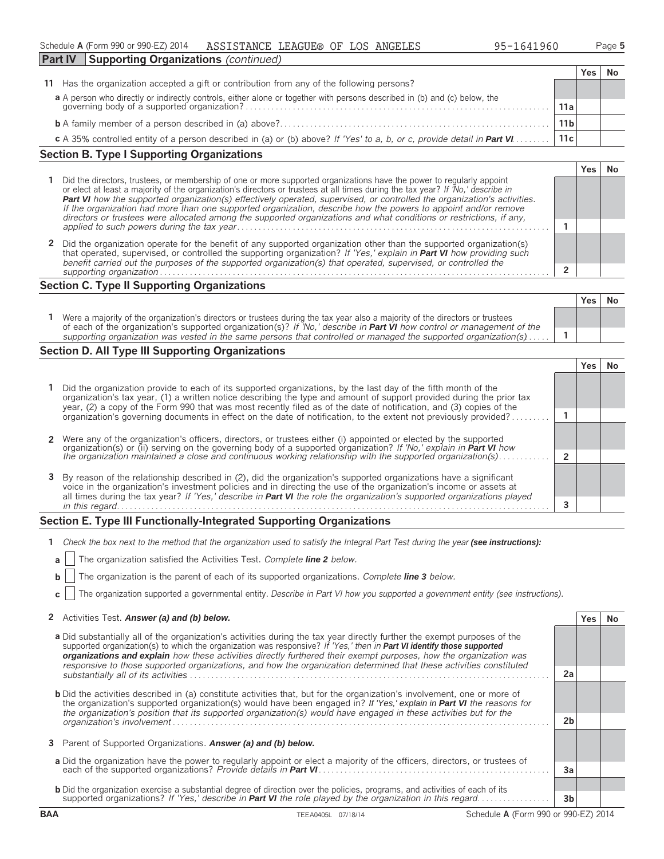| Schedule A (Form 990 or 990-EZ) 2014 | ASSISTANCE LEAGUE® OF LOS ANGELES |  |  |  | 95-1641960 | Page 5 |
|--------------------------------------|-----------------------------------|--|--|--|------------|--------|
|--------------------------------------|-----------------------------------|--|--|--|------------|--------|

|  | 95-1641960 |  |
|--|------------|--|
|  |            |  |

| <b>Part IV</b><br>Supporting Organizations (continued)                                                                                                                       |     |  |  |  |
|------------------------------------------------------------------------------------------------------------------------------------------------------------------------------|-----|--|--|--|
|                                                                                                                                                                              |     |  |  |  |
| Has the organization accepted a gift or contribution from any of the following persons?<br>11                                                                                |     |  |  |  |
|                                                                                                                                                                              |     |  |  |  |
| a A person who directly or indirectly controls, either alone or together with persons described in (b) and (c) below, the governing body of a supported organization?<br>11a |     |  |  |  |
|                                                                                                                                                                              |     |  |  |  |
|                                                                                                                                                                              |     |  |  |  |
| c A 35% controlled entity of a person described in (a) or (b) above? If 'Yes' to a, b, or c, provide detail in <b>Part VI</b>                                                | 11c |  |  |  |

## **Section B. Type I Supporting Organizations**

| Did the directors, trustees, or membership of one or more supported organizations have the power to regularly appoint<br>or elect at least a majority of the organization's directors or trustees at all times during the tax year? If 'No,' describe in<br>Part VI how the supported organization(s) effectively operated, supervised, or controlled the organization's activities.<br>If the organization had more than one supported organization, describe how the powers to appoint and/or remove<br>directors or trustees were allocated among the supported organizations and what conditions or restrictions, if any, |  |  |
|-------------------------------------------------------------------------------------------------------------------------------------------------------------------------------------------------------------------------------------------------------------------------------------------------------------------------------------------------------------------------------------------------------------------------------------------------------------------------------------------------------------------------------------------------------------------------------------------------------------------------------|--|--|
|                                                                                                                                                                                                                                                                                                                                                                                                                                                                                                                                                                                                                               |  |  |
| Did the organization operate for the benefit of any supported organization other than the supported organization(s)<br>that operated, supervised, or controlled the supporting organization? If 'Yes,' explain in Part VI how providing such<br>benefit carried out the purposes of the supported organization(s) that operated, supervised, or controlled the<br>supporting organization                                                                                                                                                                                                                                     |  |  |

## **Section C. Type II Supporting Organizations**

| Were a majority of the organization's directors or trustees during the tax year also a majority of the directors or trustees<br>of each of the organization's supported organization(s)? If 'No,' describe in <b>Part VI</b> how control or management of the |                                                                                                                 | Yes | Νc |
|---------------------------------------------------------------------------------------------------------------------------------------------------------------------------------------------------------------------------------------------------------------|-----------------------------------------------------------------------------------------------------------------|-----|----|
|                                                                                                                                                                                                                                                               |                                                                                                                 |     |    |
|                                                                                                                                                                                                                                                               | supporting organization was vested in the same persons that controlled or managed the supported organization(s) |     |    |

## **Section D. All Type III Supporting Organizations**

| 1 Did the organization provide to each of its supported organizations, by the last day of the fifth month of the<br>organization's tax year, (1) a written notice describing the type and amount of support provided during the prior tax<br>year, (2) a copy of the Form 990 that was most recently filed as of the date of notification, and (3) copies of the            |  |  |  |  |  |  |  |
|-----------------------------------------------------------------------------------------------------------------------------------------------------------------------------------------------------------------------------------------------------------------------------------------------------------------------------------------------------------------------------|--|--|--|--|--|--|--|
| organization's governing documents in effect on the date of notification, to the extent not previously provided?                                                                                                                                                                                                                                                            |  |  |  |  |  |  |  |
|                                                                                                                                                                                                                                                                                                                                                                             |  |  |  |  |  |  |  |
|                                                                                                                                                                                                                                                                                                                                                                             |  |  |  |  |  |  |  |
| 2 Were any of the organization's officers, directors, or trustees either (i) appointed or elected by the supported organization(s) or (ii) serving on the governing body of a supported organization? If 'No,' explain in <b>Par</b>                                                                                                                                        |  |  |  |  |  |  |  |
| 3 By reason of the relationship described in (2), did the organization's supported organizations have a significant<br>voice in the organization's investment policies and in directing the use of the organization's income or assets at<br>all times during the tax year? If 'Yes,' describe in <b>Part VI</b> the role the organization's supported organizations played |  |  |  |  |  |  |  |
| in this regard.                                                                                                                                                                                                                                                                                                                                                             |  |  |  |  |  |  |  |

## **Section E. Type III Functionally-Integrated Supporting Organizations**

| 1 Check the box next to the method that the organization used to satisfy the Integral Part Test during the year (see instructions): |  |  |
|-------------------------------------------------------------------------------------------------------------------------------------|--|--|
|                                                                                                                                     |  |  |

|  |  |  | <b>a</b>   The organization satisfied the Activities Test. Complete line 2 below. |  |  |  |  |  |  |
|--|--|--|-----------------------------------------------------------------------------------|--|--|--|--|--|--|
|--|--|--|-----------------------------------------------------------------------------------|--|--|--|--|--|--|

|  | <b>b</b> $ $ The organization is the parent of each of its supported organizations. Complete line 3 below. |  |  |  |  |
|--|------------------------------------------------------------------------------------------------------------|--|--|--|--|
|  |                                                                                                            |  |  |  |  |

**c** The organization supported a governmental entity. *Describe in Part VI how you supported a government entity (see instructions).*

| 2 Activities Test. Answer (a) and (b) below. | Yes   No |  |  |
|----------------------------------------------|----------|--|--|
|----------------------------------------------|----------|--|--|

| a Did substantially all of the organization's activities during the tax year directly further the exempt purposes of the<br>supported organization(s) to which the organization was responsive? If 'Yes,' then in Part VI identify those supported<br>organizations and explain how these activities directly furthered their exempt purposes, how the organization was<br>responsive to those supported organizations, and how the organization determined that these activities constituted |                |  |
|-----------------------------------------------------------------------------------------------------------------------------------------------------------------------------------------------------------------------------------------------------------------------------------------------------------------------------------------------------------------------------------------------------------------------------------------------------------------------------------------------|----------------|--|
|                                                                                                                                                                                                                                                                                                                                                                                                                                                                                               | 2a             |  |
| <b>b</b> Did the activities described in (a) constitute activities that, but for the organization's involvement, one or more of<br>the organization's supported organization(s) would have been engaged in? If 'Yes,' explain in <b>Part VI</b> the reasons for<br>the organization's position that its supported organization(s) would have engaged in these activities but for the                                                                                                          |                |  |
|                                                                                                                                                                                                                                                                                                                                                                                                                                                                                               | 2 <sub>b</sub> |  |
| 3 Parent of Supported Organizations. Answer (a) and (b) below.                                                                                                                                                                                                                                                                                                                                                                                                                                |                |  |
| a Did the organization have the power to regularly appoint or elect a majority of the officers, directors, or trustees of                                                                                                                                                                                                                                                                                                                                                                     | 3a             |  |
| <b>b</b> Did the organization exercise a substantial degree of direction over the policies, programs, and activities of each of its                                                                                                                                                                                                                                                                                                                                                           |                |  |
| supported organizations? If 'Yes,' describe in Part VI the role played by the organization in this regard                                                                                                                                                                                                                                                                                                                                                                                     | 3 <sub>b</sub> |  |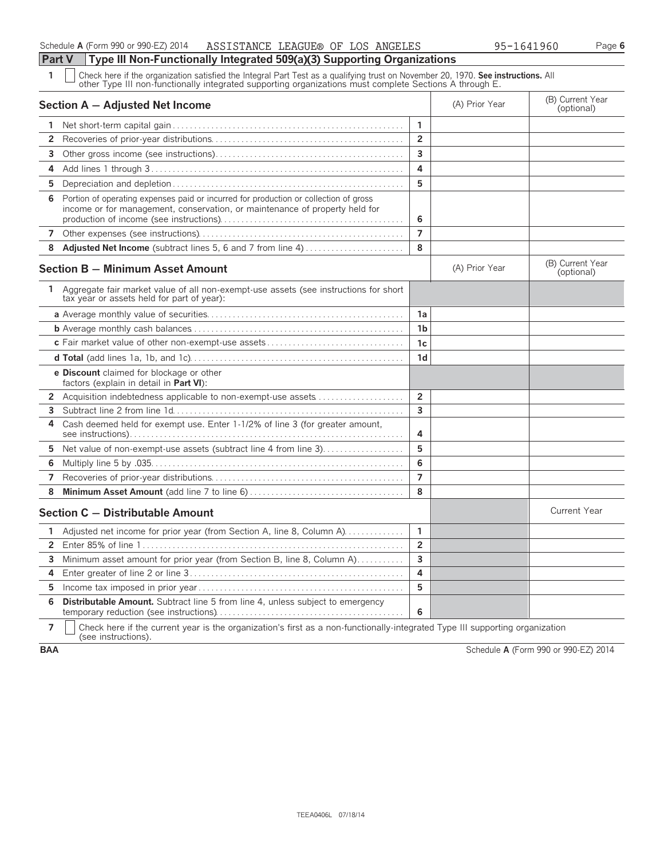**Part V** Type III Non-Functionally Integrated 509(a)(3) Supporting Organizations

**1** Check here if the organization satisfied the Integral Part Test as a qualifying trust on November 20, 1970. **See instructions.** All other Type III non-functionally integrated supporting organizations must complete Sections A through E.

|                | Section A - Adjusted Net Income                                                                                                                                     |                | (A) Prior Year | (B) Current Year<br>(optional) |
|----------------|---------------------------------------------------------------------------------------------------------------------------------------------------------------------|----------------|----------------|--------------------------------|
| 1.             |                                                                                                                                                                     | 1              |                |                                |
| 2              |                                                                                                                                                                     | $\overline{2}$ |                |                                |
| 3              |                                                                                                                                                                     | 3              |                |                                |
| 4              |                                                                                                                                                                     | 4              |                |                                |
| 5              |                                                                                                                                                                     | 5              |                |                                |
| 6              | Portion of operating expenses paid or incurred for production or collection of gross<br>income or for management, conservation, or maintenance of property held for | 6              |                |                                |
| 7              |                                                                                                                                                                     | $\overline{7}$ |                |                                |
| 8              | Adjusted Net Income (subtract lines 5, 6 and 7 from line 4)                                                                                                         | 8              |                |                                |
|                | <b>Section B - Minimum Asset Amount</b>                                                                                                                             |                | (A) Prior Year | (B) Current Year<br>(optional) |
| 1.             | Aggregate fair market value of all non-exempt-use assets (see instructions for short<br>tax year or assets held for part of year):                                  |                |                |                                |
|                |                                                                                                                                                                     | 1a             |                |                                |
|                |                                                                                                                                                                     | 1 <sub>b</sub> |                |                                |
|                |                                                                                                                                                                     | 1c             |                |                                |
|                |                                                                                                                                                                     | 1 <sub>d</sub> |                |                                |
|                | <b>e Discount</b> claimed for blockage or other<br>factors (explain in detail in Part VI):                                                                          |                |                |                                |
| 2              | Acquisition indebtedness applicable to non-exempt-use assets                                                                                                        | $\overline{2}$ |                |                                |
| 3              |                                                                                                                                                                     | 3              |                |                                |
| 4              | Cash deemed held for exempt use. Enter 1-1/2% of line 3 (for greater amount,                                                                                        | 4              |                |                                |
| 5              | Net value of non-exempt-use assets (subtract line 4 from line 3)                                                                                                    | 5              |                |                                |
| 6              |                                                                                                                                                                     | 6              |                |                                |
| 7              |                                                                                                                                                                     | $\overline{7}$ |                |                                |
| 8              |                                                                                                                                                                     | 8              |                |                                |
|                | Section C - Distributable Amount                                                                                                                                    |                |                | <b>Current Year</b>            |
| 1              | Adjusted net income for prior year (from Section A, line 8, Column A)                                                                                               | $\mathbf{1}$   |                |                                |
| $\overline{2}$ |                                                                                                                                                                     | $\overline{2}$ |                |                                |
| 3              | Minimum asset amount for prior year (from Section B, line 8, Column A)                                                                                              | 3              |                |                                |
| 4              |                                                                                                                                                                     | 4              |                |                                |
| 5              |                                                                                                                                                                     | 5              |                |                                |
| 6              | Distributable Amount. Subtract line 5 from line 4, unless subject to emergency                                                                                      | 6              |                |                                |

**7**  $\mid$  Check here if the current year is the organization's first as a non-functionally-integrated Type III supporting organization (see instructions).

**BAA** Schedule **A** (Form 990 or 990-EZ) 2014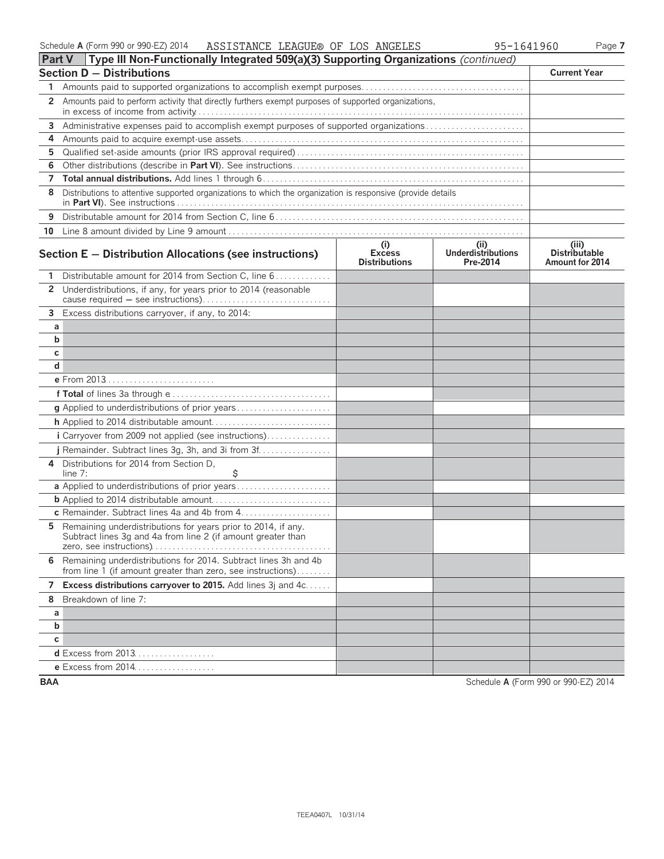| Schedule A (Form 990 or 990-EZ) 2014 | ASSISTANCE LEAGUE® OF LOS ANGELES |  |  |  | 95-1641960 | Page 7 |
|--------------------------------------|-----------------------------------|--|--|--|------------|--------|
|--------------------------------------|-----------------------------------|--|--|--|------------|--------|

| <b>Part V</b> | Type III Non-Functionally Integrated 509(a)(3) Supporting Organizations (continued)                                            |                                              |                                               |                                                  |
|---------------|--------------------------------------------------------------------------------------------------------------------------------|----------------------------------------------|-----------------------------------------------|--------------------------------------------------|
|               | Section D - Distributions                                                                                                      |                                              |                                               | <b>Current Year</b>                              |
| 1.            |                                                                                                                                |                                              |                                               |                                                  |
| 2             | Amounts paid to perform activity that directly furthers exempt purposes of supported organizations,                            |                                              |                                               |                                                  |
| 3             | Administrative expenses paid to accomplish exempt purposes of supported organizations                                          |                                              |                                               |                                                  |
| 4             |                                                                                                                                |                                              |                                               |                                                  |
| 5             |                                                                                                                                |                                              |                                               |                                                  |
| 6             |                                                                                                                                |                                              |                                               |                                                  |
| 7             |                                                                                                                                |                                              |                                               |                                                  |
| 8             | Distributions to attentive supported organizations to which the organization is responsive (provide details                    |                                              |                                               |                                                  |
| 9             |                                                                                                                                |                                              |                                               |                                                  |
| 10            |                                                                                                                                |                                              |                                               |                                                  |
|               | Section E - Distribution Allocations (see instructions)                                                                        | (i)<br><b>Excess</b><br><b>Distributions</b> | (ii)<br><b>Underdistributions</b><br>Pre-2014 | (iii)<br><b>Distributable</b><br>Amount for 2014 |
| 1             | Distributable amount for 2014 from Section C, line 6                                                                           |                                              |                                               |                                                  |
| $\mathbf{2}$  | Underdistributions, if any, for years prior to 2014 (reasonable                                                                |                                              |                                               |                                                  |
| 3             | Excess distributions carryover, if any, to 2014:                                                                               |                                              |                                               |                                                  |
| а             |                                                                                                                                |                                              |                                               |                                                  |
| b             |                                                                                                                                |                                              |                                               |                                                  |
| С             |                                                                                                                                |                                              |                                               |                                                  |
| d             |                                                                                                                                |                                              |                                               |                                                  |
|               | e From 2013                                                                                                                    |                                              |                                               |                                                  |
|               |                                                                                                                                |                                              |                                               |                                                  |
|               |                                                                                                                                |                                              |                                               |                                                  |
|               |                                                                                                                                |                                              |                                               |                                                  |
|               | i Carryover from 2009 not applied (see instructions)                                                                           |                                              |                                               |                                                  |
|               | j Remainder. Subtract lines 3g, 3h, and 3i from 3f                                                                             |                                              |                                               |                                                  |
| 4             | Distributions for 2014 from Section D,<br>\$<br>line $7:$                                                                      |                                              |                                               |                                                  |
|               |                                                                                                                                |                                              |                                               |                                                  |
|               |                                                                                                                                |                                              |                                               |                                                  |
|               |                                                                                                                                |                                              |                                               |                                                  |
| 5             | Remaining underdistributions for years prior to 2014, if any.<br>Subtract lines 3g and 4a from line 2 (if amount greater than  |                                              |                                               |                                                  |
| 6             | Remaining underdistributions for 2014. Subtract lines 3h and 4b<br>from line 1 (if amount greater than zero, see instructions) |                                              |                                               |                                                  |
|               | 7 Excess distributions carryover to 2015. Add lines 3j and 4c                                                                  |                                              |                                               |                                                  |
| 8             | Breakdown of line 7:                                                                                                           |                                              |                                               |                                                  |
| а             |                                                                                                                                |                                              |                                               |                                                  |
| b             |                                                                                                                                |                                              |                                               |                                                  |
| C             |                                                                                                                                |                                              |                                               |                                                  |
|               | $d$ Excess from 2013.                                                                                                          |                                              |                                               |                                                  |
|               | e Excess from 2014.                                                                                                            |                                              |                                               |                                                  |
| <b>BAA</b>    |                                                                                                                                |                                              |                                               | Schedule A (Form 990 or 990-EZ) 2014             |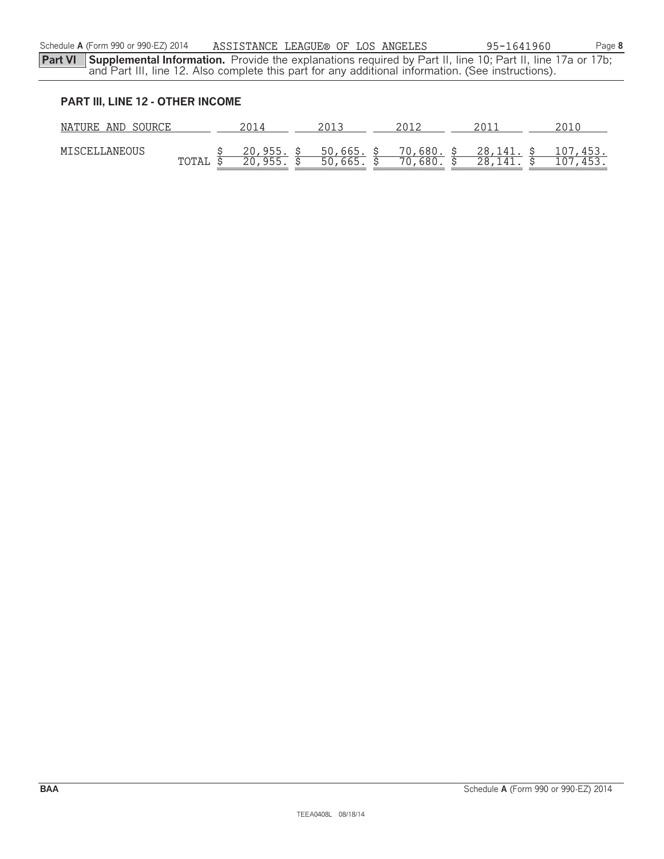**Part VI Supplemental Information.** Provide the explanations required by Part II, line 10; Part II, line 17a or 17b; and Part III, line 12. Also complete this part for any additional information. (See instructions).

#### **PART III, LINE 12 - OTHER INCOME**

| NATURE<br>AND<br>SOURCE |       | 2014                |                          |                          |                                |                              |
|-------------------------|-------|---------------------|--------------------------|--------------------------|--------------------------------|------------------------------|
| MISCELLANEOUS           | TOTAL | 955.<br>$955$<br>20 | 665.<br>50,<br>665<br>50 | 680<br>70.<br>680<br>7 N | 28<br>141<br>$\Lambda$ 1<br>28 | 453.<br>$\Delta$ 5 3<br>, ﺳﺪ |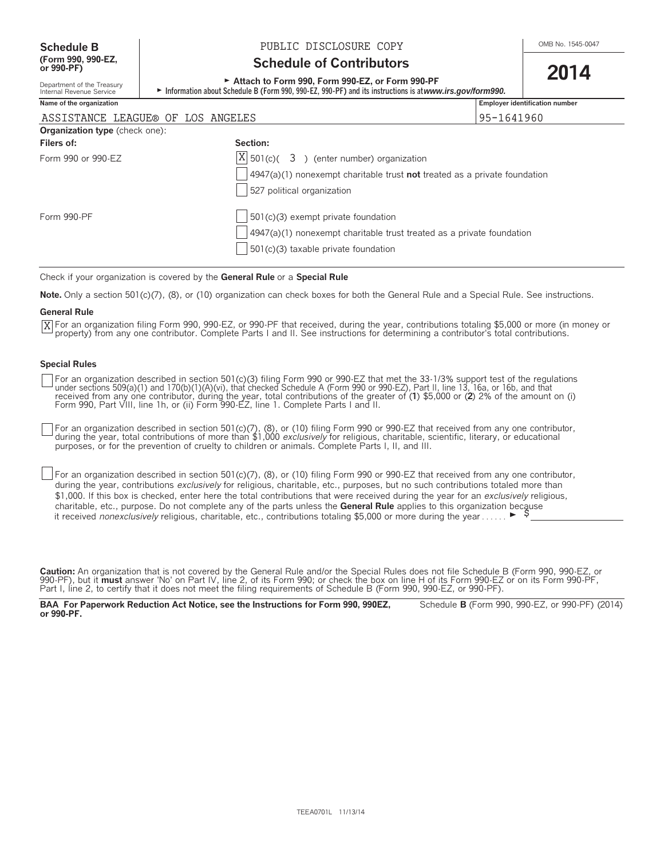#### **Schedule B**  $\bigcup_{\text{OMB No. 1545-0047}}$  PUBLIC DISCLOSURE COPY

#### **Schedule of Contributors**

<sup>G</sup>**Attach to Form 990, Form 990-EZ, or Form 990-PF 2014** ► Information about Schedule B (Form 990, 990-EZ, 990-PF) and its instructions is at *www.irs.gov/form990.* 

Department of the Treasury<br>Internal Revenue Service

| Name of the organization              | Employer identification number |  |  |  |  |  |  |
|---------------------------------------|--------------------------------|--|--|--|--|--|--|
| ASSISTANCE LEAGUE® OF LOS ANGELES     | 95-1641960                     |  |  |  |  |  |  |
| <b>Organization type</b> (check one): |                                |  |  |  |  |  |  |

| Filers of:         | Section:                                                                    |
|--------------------|-----------------------------------------------------------------------------|
| Form 990 or 990-EZ | $ X $ 501(c)( 3) (enter number) organization                                |
|                    | $4947(a)(1)$ nonexempt charitable trust not treated as a private foundation |
|                    | 527 political organization                                                  |
| Form 990-PF        | $501(c)(3)$ exempt private foundation                                       |
|                    | $4947(a)(1)$ nonexempt charitable trust treated as a private foundation     |
|                    | $501(c)(3)$ taxable private foundation                                      |

Check if your organization is covered by the **General Rule** or a **Special Rule**

**Note.** Only a section 501(c)(7), (8), or (10) organization can check boxes for both the General Rule and a Special Rule. See instructions.

#### **General Rule**

For an organization filing Form 990, 990-EZ, or 990-PF that received, during the year, contributions totaling \$5,000 or more (in money or Xproperty) from any one contributor. Complete Parts I and II. See instructions for determining a contributor's total contributions.

#### **Special Rules**

For an organization described in section 501(c)(3) filing Form 990 or 990-EZ that met the 33-1/3% support test of the regulations<br>under sections 509(a)(1) and 170(b)(1)(A)(vi), that checked Schedule A (Form 990 or 990-EZ),

For an organization described in section 501(c)(7), (8), or (10) filing Form 990 or 990-EZ that received from any one contributor, during the year, total contributions of more than \$1,000 *exclusively* for religious, charitable, scientific, literary, or educational purposes, or for the prevention of cruelty to children or animals. Complete Parts I, II, and III.

For an organization described in section 501(c)(7), (8), or (10) filing Form 990 or 990-EZ that received from any one contributor, during the year, contributions *exclusively* for religious, charitable, etc., purposes, but no such contributions totaled more than \$1,000. If this box is checked, enter here the total contributions that were received during the year for an *exclusively* religious, charitable, etc., purpose. Do not complete any of the parts unless the **General Rule** applies to this organization because it received *nonexclusively* religious, charitable, etc., contributions totaling \$5,000 or more during the year . . . . .  $\blacktriangleright$ 

**Caution:** An organization that is not covered by the General Rule and/or the Special Rules does not file Schedule B (Form 990, 990-EZ, or 990-PF), but it **must** answer 'No' on Part IV, line 2, of its Form 990; or check the box on line H of its Form 990-EZ or on its Form 990-PF, Part I, line 2, to certify that it does not meet the filing requirements of Schedule B (Form 990, 990-EZ, or 990-PF).

**BAA For Paperwork Reduction Act Notice, see the Instructions for Form 990, 990EZ,** Schedule **B** (Form 990, 990-EZ, or 990-PF) (2014) **or 990-PF.**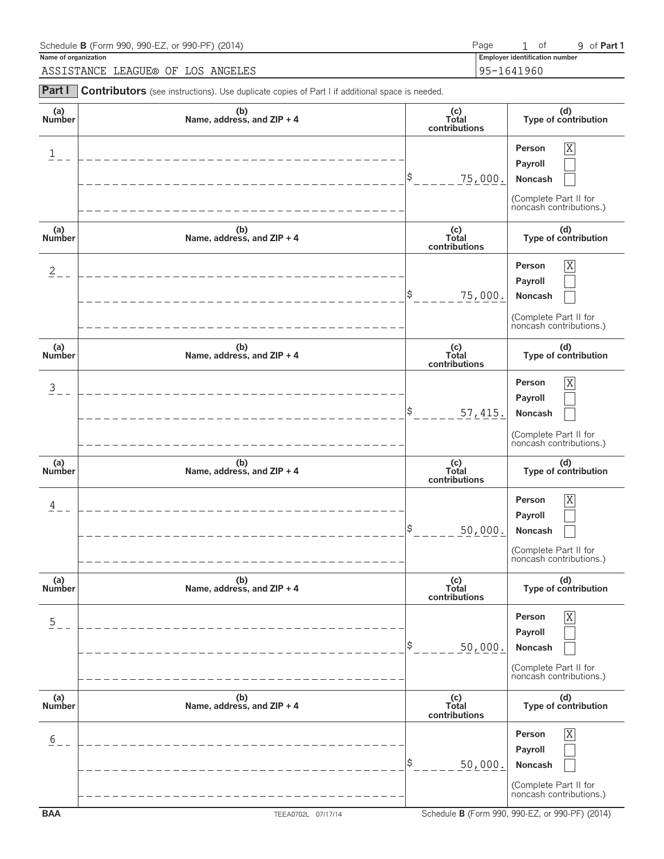| <b>Employer identification number</b><br>Name of organization | Schedule <b>B</b> (Form 990, 990-EZ, or 990-PF) (2014) | Page | 0Ť | 9 of <b>Part 1</b> |
|---------------------------------------------------------------|--------------------------------------------------------|------|----|--------------------|
|                                                               |                                                        |      |    |                    |
| 195-1641960<br>ASSISTANCE LEAGUE® OF LOS ANGELES              |                                                        |      |    |                    |

| Part I               | Contributors (see instructions). Use duplicate copies of Part I if additional space is needed. |                               |                                                                                                    |
|----------------------|------------------------------------------------------------------------------------------------|-------------------------------|----------------------------------------------------------------------------------------------------|
| (a)<br>Number        | (b)<br>Name, address, and $ZIP + 4$                                                            | (c)<br>Total<br>contributions | (d)<br>Type of contribution                                                                        |
| $\overline{\perp}$   | --------------                                                                                 | l\$<br>75,000.                | X<br>Person<br>Payroll<br>Noncash<br>(Complete Part II for<br>noncash contributions.)              |
| (a)<br>Number        | (b)<br>Name, address, and ZIP + 4                                                              | (c)<br>Total<br>contributions | (d)<br>Type of contribution                                                                        |
| $\overline{2}$       | _______________                                                                                | \$<br>75,000.                 | $\overline{X}$<br>Person<br>Payroll<br>Noncash<br>(Complete Part II for<br>noncash contributions.) |
| (a)<br><b>Number</b> | (b)<br>Name, address, and ZIP + 4                                                              | (c)<br>Total<br>contributions | (d)<br>Type of contribution                                                                        |
| $\overline{3}$       |                                                                                                | 57, 415.                      | $\overline{X}$<br>Person<br>Payroll<br>Noncash<br>(Complete Part II for<br>noncash contributions.) |
|                      |                                                                                                |                               |                                                                                                    |
| (a)<br>Number        | (b)<br>Name, address, and ZIP + 4                                                              | (c)<br>Total<br>contributions | (d)<br>Type of contribution                                                                        |
| 4                    |                                                                                                | 50,000.                       | $\overline{X}$<br>Person<br>Payroll<br>Noncash<br>(Complete Part II for<br>noncash contributions.) |
| (a)<br>Number        | (b)<br>Name, address, and ZIP + 4                                                              | (c)<br>Total<br>contributions | (d)<br>Type of contribution                                                                        |
| $\overline{5}$       |                                                                                                | 50,000.                       | $\overline{X}$<br>Person<br>Payroll<br>Noncash<br>(Complete Part II for<br>noncash contributions.) |
| (a)<br>Number        | (b)<br>Name, address, and ZIP + 4                                                              | (c)<br>Total<br>contributions | (d)<br>Type of contribution                                                                        |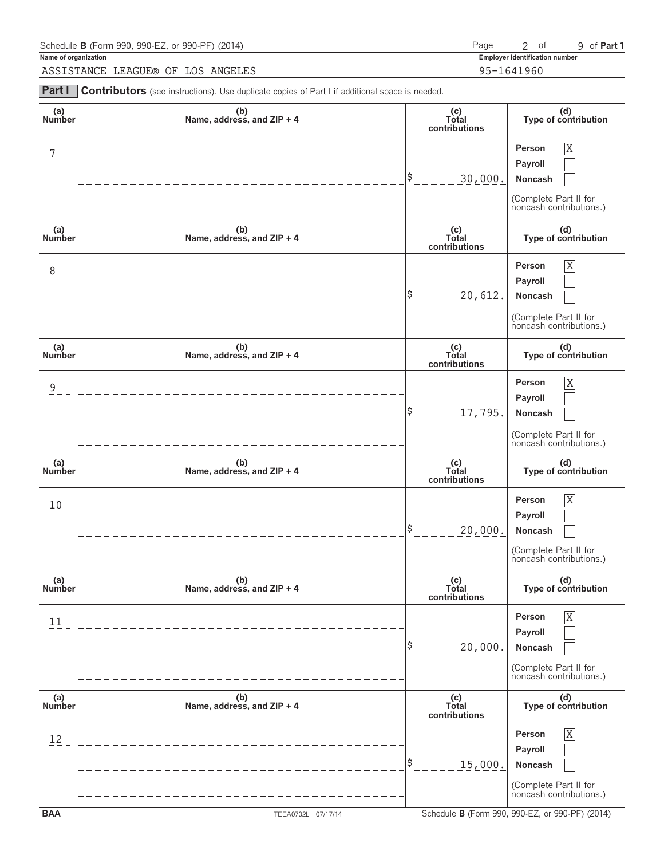| Schedule <b>B</b> (Form 990, 990-EZ, or 990-PF) (2014) | Page                                  | ot. | of <b>Part 1</b> |
|--------------------------------------------------------|---------------------------------------|-----|------------------|
| Name of organization                                   | <b>Employer identification number</b> |     |                  |
| ASSISTANCE LEAGUE® OF LOS ANGELES                      | 195-1641960                           |     |                  |

| Part I               | Contributors (see instructions). Use duplicate copies of Part I if additional space is needed. |                               |                                                                                                             |
|----------------------|------------------------------------------------------------------------------------------------|-------------------------------|-------------------------------------------------------------------------------------------------------------|
| (a)<br>Number        | (b)<br>Name, address, and ZIP + 4                                                              | (c)<br>Total<br>contributions | (d)<br>Type of contribution                                                                                 |
| 7                    |                                                                                                | \$<br>30,000.                 | $\overline{X}$<br>Person<br>Payroll<br>Noncash<br>(Complete Part II for<br>noncash contributions.)          |
| (a)<br>Number        | (b)<br>Name, address, and ZIP + 4                                                              | (c)<br>Total<br>contributions | (d)<br>Type of contribution                                                                                 |
| $\overline{8}$       |                                                                                                | \$<br>20,612.                 | $\overline{X}$<br>Person<br>Payroll<br>Noncash<br>(Complete Part II for<br>noncash contributions.)          |
| (a)<br><b>Number</b> | (b)<br>Name, address, and ZIP + 4                                                              | (c)<br>Total<br>contributions | (d)<br>Type of contribution                                                                                 |
| $\overline{9}$       |                                                                                                | \$<br>17,795.                 | $\overline{\text{X}}$<br>Person<br>Payroll<br>Noncash<br>(Complete Part II for<br>noncash contributions.)   |
| (a)<br>Number        | (b)<br>Name, address, and ZIP + 4                                                              | (c)<br>Total<br>contributions | (d)<br>Type of contribution                                                                                 |
| 10                   |                                                                                                | \$<br>20,000.                 | $\overline{\mathrm{X}}$<br>Person<br>Payroll<br>Noncash<br>(Complete Part II for<br>noncash contributions.) |
| (a)<br>Number        | (b)<br>Name, address, and ZIP + 4                                                              | (c)<br>Total<br>contributions | (d)<br>Type of contribution                                                                                 |
| 11                   |                                                                                                | 20,000.                       | Χ<br>Person<br>Payroll<br>Noncash<br>(Complete Part II for<br>noncash contributions.)                       |
| (a)<br>Number        | (b)<br>Name, address, and ZIP + 4                                                              | (c)<br>Total<br>contributions | (d)<br>Type of contribution                                                                                 |
| 12                   |                                                                                                | \$<br>15,000.                 | Χ<br>Person<br>Payroll<br>Noncash<br>(Complete Part II for<br>noncash contributions.)                       |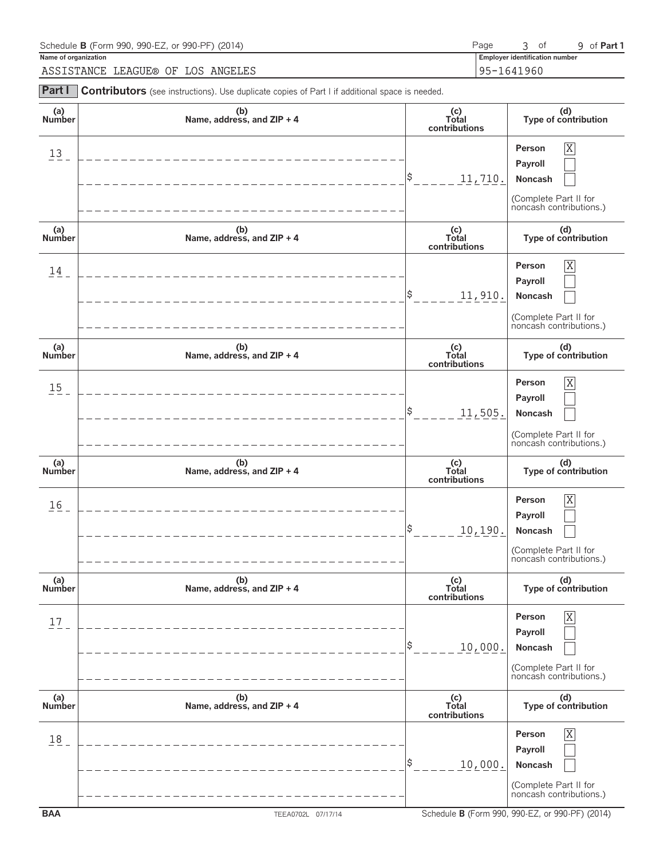| Schedule <b>B</b> (Form 990, 990-EZ, or 990-PF) (2014) | Page                                  | 0Ť | 9 of <b>Part 1</b> |
|--------------------------------------------------------|---------------------------------------|----|--------------------|
| Name of organization                                   | <b>Employer identification number</b> |    |                    |
| ASSISTANCE LEAGUE® OF LOS ANGELES                      | 195-1641960                           |    |                    |

| Part I               | Contributors (see instructions). Use duplicate copies of Part I if additional space is needed. |                               |                                                                                                             |
|----------------------|------------------------------------------------------------------------------------------------|-------------------------------|-------------------------------------------------------------------------------------------------------------|
| (a)<br>Number        | (b)<br>Name, address, and $ZIP + 4$                                                            | (c)<br>Total<br>contributions | (d)<br>Type of contribution                                                                                 |
| $13 -$               |                                                                                                | 11,710.                       | $\overline{\mathrm{X}}$<br>Person<br>Payroll<br>Noncash<br>(Complete Part II for<br>noncash contributions.) |
| (a)<br>Number        | (b)<br>Name, address, and ZIP + 4                                                              | (c)<br>Total<br>contributions | (d)<br>Type of contribution                                                                                 |
| $14 -$               |                                                                                                | 11,910.                       | $\overline{X}$<br>Person<br>Payroll<br>Noncash<br>(Complete Part II for<br>noncash contributions.)          |
| (a)<br>Number        | (b)<br>Name, address, and ZIP + 4                                                              | (c)<br>Total<br>contributions | (d)<br>Type of contribution                                                                                 |
| $15 -$               |                                                                                                | 11,505.                       | $\overline{\text{X}}$<br>Person<br>Payroll<br>Noncash<br>(Complete Part II for<br>noncash contributions.)   |
| (a)<br>Number        | (b)<br>Name, address, and ZIP + 4                                                              | (c)<br>Total<br>contributions | (d)<br>Type of contribution                                                                                 |
| $16 -$               |                                                                                                | 10, 190.                      | X<br>Person<br>Payroll<br>Noncash<br>(Complete Part II for<br>noncash contributions.)                       |
| (a)<br><b>Number</b> | (b)<br>Name, address, and ZIP + 4                                                              | (c)<br>Total<br>contributions | (d)<br>Type of contribution                                                                                 |
| 17                   |                                                                                                | 10,000.                       | Person<br>Payroll<br>Noncash<br>(Complete Part II for<br>noncash contributions.)                            |
| (a)<br>Number        | (b)<br>Name, address, and ZIP + 4                                                              | (c)<br>Total<br>contributions | (d)<br>Type of contribution                                                                                 |
| 18                   |                                                                                                | 10,000.                       | Person<br>Payroll<br>Noncash<br>(Complete Part II for<br>noncash contributions.)                            |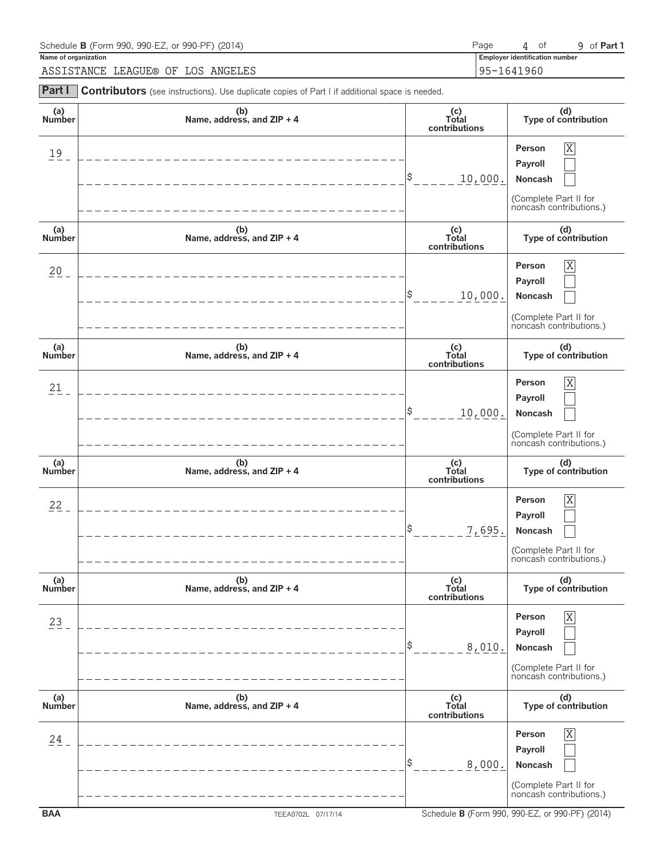| Schedule <b>B</b> (Form 990, 990-EZ, or 990-PF) (2014) | Page                                  | 0Ť | of <b>Part 1</b> |
|--------------------------------------------------------|---------------------------------------|----|------------------|
| Name of organization                                   | <b>Employer identification number</b> |    |                  |
| ASSISTANCE LEAGUE® OF LOS ANGELES                      | 195-1641960                           |    |                  |

| Part I               | <b>Contributors</b> (see instructions). Use duplicate copies of Part I if additional space is needed. |                               |                                                                                                             |
|----------------------|-------------------------------------------------------------------------------------------------------|-------------------------------|-------------------------------------------------------------------------------------------------------------|
| (a)<br>Number        | (b)<br>Name, address, and $ZIP + 4$                                                                   | (c)<br>Total<br>contributions | (d)<br>Type of contribution                                                                                 |
| $19 -$               |                                                                                                       | 10,000.                       | $\overline{\mathrm{X}}$<br>Person<br>Payroll<br>Noncash<br>(Complete Part II for<br>noncash contributions.) |
| (a)<br>Number        | (b)<br>Name, address, and ZIP + 4                                                                     | (c)<br>Total<br>contributions | (d)<br>Type of contribution                                                                                 |
| $20 -$               |                                                                                                       | 10,000.                       | $\overline{X}$<br>Person<br>Payroll<br>Noncash<br>(Complete Part II for<br>noncash contributions.)          |
| (a)<br>Number        | (b)<br>Name, address, and ZIP + 4                                                                     | (c)<br>Total<br>contributions | (d)<br>Type of contribution                                                                                 |
| 21                   |                                                                                                       | 10,000.                       | $\overline{\text{X}}$<br>Person<br>Payroll<br>Noncash<br>(Complete Part II for<br>noncash contributions.)   |
| (a)<br>Number        | (b)<br>Name, address, and ZIP + 4                                                                     | (c)<br>Total<br>contributions | (d)<br>Type of contribution                                                                                 |
| $22 -$               |                                                                                                       | 7,695.                        | X<br>Person<br>Payroll<br>Noncash<br>(Complete Part II for<br>noncash contributions.)                       |
| (a)<br><b>Number</b> | (b)<br>Name, address, and ZIP + 4                                                                     | (c)<br>Total<br>contributions | (d)<br>Type of contribution                                                                                 |
| 23                   |                                                                                                       | 8,010.                        | Person<br>Payroll<br>Noncash<br>(Complete Part II for<br>noncash contributions.)                            |
| (a)<br>Number        | (b)<br>Name, address, and ZIP + 4                                                                     | (c)<br>Total<br>contributions | (d)<br>Type of contribution                                                                                 |
| $24$ .               |                                                                                                       | 8,000.                        | Person<br>Payroll<br>Noncash<br>(Complete Part II for<br>noncash contributions.)                            |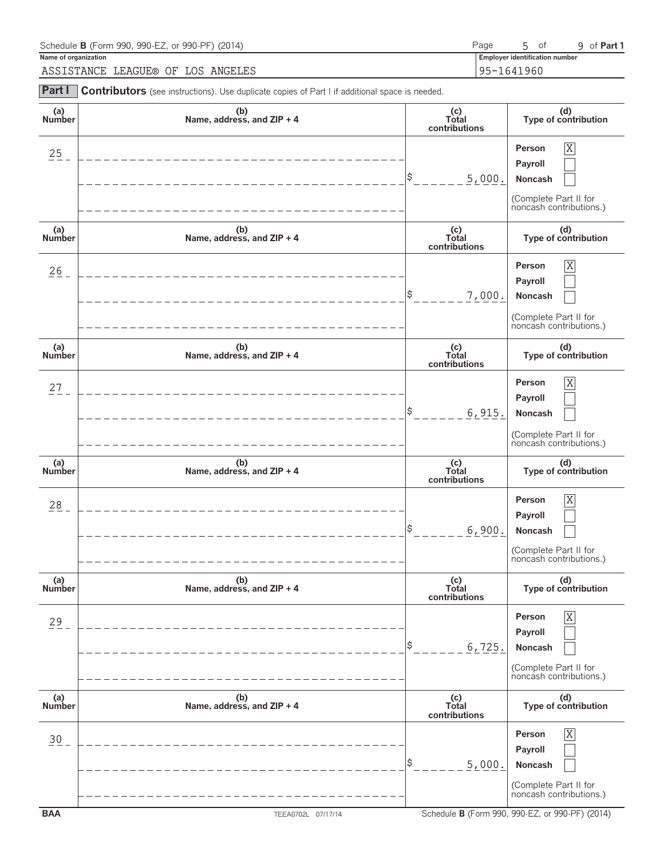| Schedule <b>B</b> (Form 990, 990-EZ, or 990-PF) (2014) | Page<br>Οt |  |                                       | of <b>Part 1</b> |
|--------------------------------------------------------|------------|--|---------------------------------------|------------------|
| Name of organization                                   |            |  | <b>Employer identification number</b> |                  |
| ASSISTANCE LEAGUE® OF LOS ANGELES                      | 95-1641960 |  |                                       |                  |

| Part I               | <b>Contributors</b> (see instructions). Use duplicate copies of Part I if additional space is needed. |                               |                                                                                                             |
|----------------------|-------------------------------------------------------------------------------------------------------|-------------------------------|-------------------------------------------------------------------------------------------------------------|
| (a)<br>Number        | (b)<br>Name, address, and $ZIP + 4$                                                                   | (c)<br>Total<br>contributions | (d)<br>Type of contribution                                                                                 |
| $25 -$               |                                                                                                       | 5,000.                        | $\overline{\mathrm{X}}$<br>Person<br>Payroll<br>Noncash<br>(Complete Part II for<br>noncash contributions.) |
| (a)<br>Number        | (b)<br>Name, address, and ZIP + 4                                                                     | (c)<br>Total<br>contributions | (d)<br>Type of contribution                                                                                 |
| $26 -$               |                                                                                                       | 7,000.                        | $\overline{X}$<br>Person<br>Payroll<br>Noncash<br>(Complete Part II for<br>noncash contributions.)          |
| (a)<br>Number        | (b)<br>Name, address, and ZIP + 4                                                                     | (c)<br>Total<br>contributions | (d)<br>Type of contribution                                                                                 |
| $27 -$               |                                                                                                       | 6,915.                        | $\overline{\text{X}}$<br>Person<br>Payroll<br>Noncash<br>(Complete Part II for<br>noncash contributions.)   |
| (a)<br>Number        | (b)<br>Name, address, and ZIP + 4                                                                     | (c)<br>Total<br>contributions | (d)<br>Type of contribution                                                                                 |
| $28 -$               |                                                                                                       | 6,900.                        | X<br>Person<br>Payroll<br>Noncash<br>(Complete Part II for<br>noncash contributions.)                       |
| (a)<br><b>Number</b> | (b)<br>Name, address, and ZIP + 4                                                                     | (c)<br>Total<br>contributions | (d)<br>Type of contribution                                                                                 |
| $29$ .               |                                                                                                       | 6,725.                        | Person<br>Payroll<br>Noncash<br>(Complete Part II for<br>noncash contributions.)                            |
| (a)<br>Number        | (b)<br>Name, address, and ZIP + 4                                                                     | (c)<br>Total<br>contributions | (d)<br>Type of contribution                                                                                 |
| 30                   |                                                                                                       | 5,000.                        | Person<br>Payroll<br>Noncash<br>(Complete Part II for<br>noncash contributions.)                            |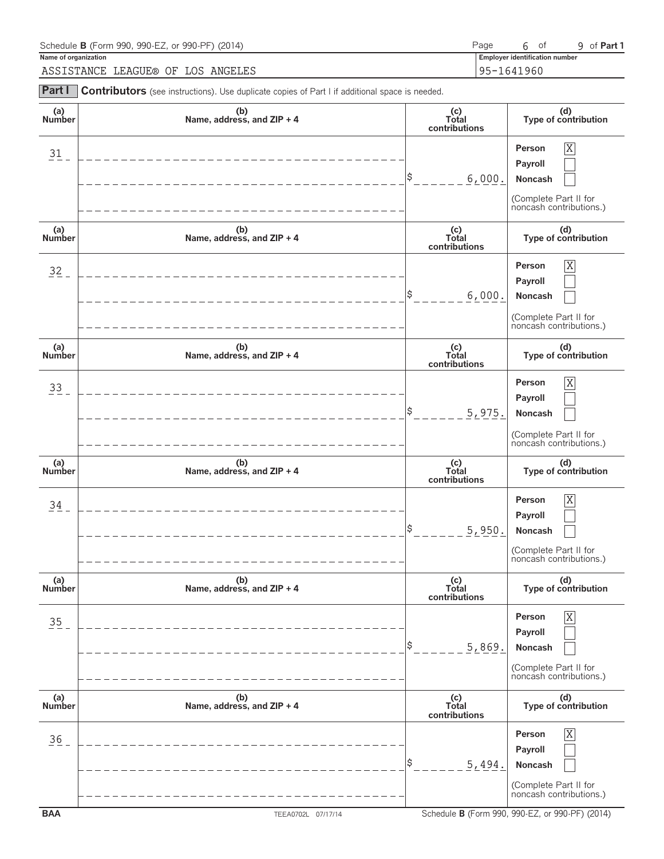| Schedule <b>B</b> (Form 990, 990-EZ, or 990-PF) (2014) | Page        | 0Ť                                    | of <b>Part 1</b> |
|--------------------------------------------------------|-------------|---------------------------------------|------------------|
| Name of organization                                   |             | <b>Employer identification number</b> |                  |
| ASSISTANCE LEAGUE® OF LOS ANGELES                      | 195-1641960 |                                       |                  |

| Part I               | Contributors (see instructions). Use duplicate copies of Part I if additional space is needed. |                               |                                                                                                             |
|----------------------|------------------------------------------------------------------------------------------------|-------------------------------|-------------------------------------------------------------------------------------------------------------|
| (a)<br>Number        | (b)<br>Name, address, and $ZIP + 4$                                                            | (c)<br>Total<br>contributions | (d)<br>Type of contribution                                                                                 |
| $31 -$               |                                                                                                | 6,000.                        | $\overline{\mathrm{X}}$<br>Person<br>Payroll<br>Noncash<br>(Complete Part II for<br>noncash contributions.) |
| (a)<br>Number        | (b)<br>Name, address, and ZIP + 4                                                              | (c)<br>Total<br>contributions | (d)<br>Type of contribution                                                                                 |
| $32 -$               |                                                                                                | 6,000.                        | $\overline{X}$<br>Person<br>Payroll<br>Noncash<br>(Complete Part II for<br>noncash contributions.)          |
| (a)<br>Number        | (b)<br>Name, address, and ZIP + 4                                                              | (c)<br>Total<br>contributions | (d)<br>Type of contribution                                                                                 |
| $33 -$               |                                                                                                | 5,975.                        | $\overline{\text{X}}$<br>Person<br>Payroll<br>Noncash<br>(Complete Part II for<br>noncash contributions.)   |
| (a)<br>Number        | (b)<br>Name, address, and ZIP + 4                                                              | (c)<br>Total<br>contributions | (d)<br>Type of contribution                                                                                 |
| $34 -$               |                                                                                                | 5,950.                        | X<br>Person<br>Payroll<br>Noncash<br>(Complete Part II for<br>noncash contributions.)                       |
| (a)<br><b>Number</b> | (b)<br>Name, address, and ZIP + 4                                                              | (c)<br>Total<br>contributions | (d)<br>Type of contribution                                                                                 |
| $35$ .               |                                                                                                | 5,869.                        | Person<br>Payroll<br>Noncash<br>(Complete Part II for<br>noncash contributions.)                            |
| (a)<br>Number        | (b)<br>Name, address, and ZIP + 4                                                              | (c)<br>Total<br>contributions | (d)<br>Type of contribution                                                                                 |
| 36                   |                                                                                                | 5,494.                        | Person<br>Payroll<br>Noncash<br>(Complete Part II for<br>noncash contributions.)                            |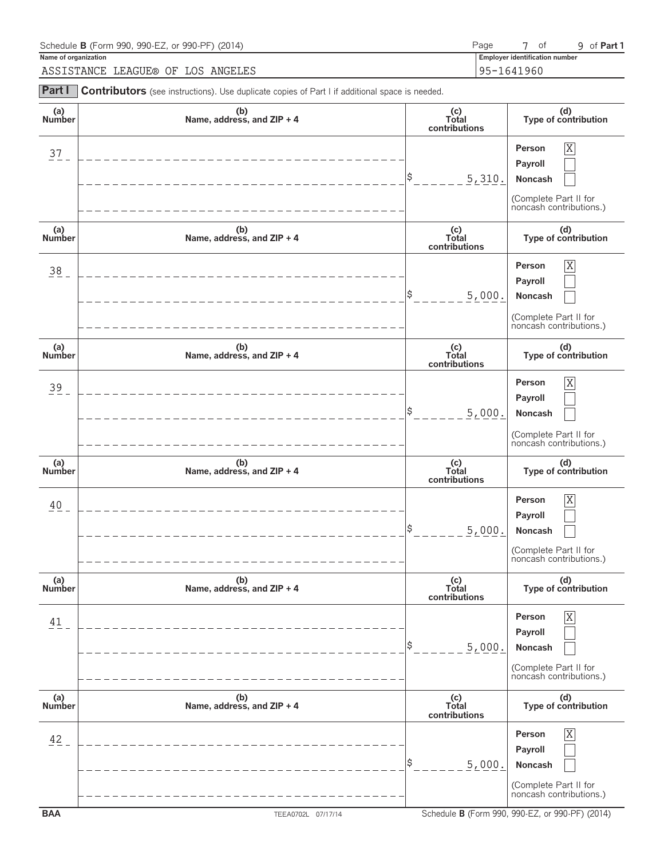| Schedule <b>B</b> (Form 990, 990-EZ, or 990-PF) (2014) | Page       |  | 01                                    | of <b>Part 1</b> |
|--------------------------------------------------------|------------|--|---------------------------------------|------------------|
| Name of organization                                   |            |  | <b>Employer identification number</b> |                  |
| ASSISTANCE LEAGUE® OF LOS ANGELES                      | 95-1641960 |  |                                       |                  |

| Part I               | Contributors (see instructions). Use duplicate copies of Part I if additional space is needed. |                               |                                                                                                             |
|----------------------|------------------------------------------------------------------------------------------------|-------------------------------|-------------------------------------------------------------------------------------------------------------|
| (a)<br>Number        | (b)<br>Name, address, and $ZIP + 4$                                                            | (c)<br>Total<br>contributions | (d)<br>Type of contribution                                                                                 |
| $37 -$               |                                                                                                | 5,310.                        | $\overline{\mathrm{X}}$<br>Person<br>Payroll<br>Noncash<br>(Complete Part II for<br>noncash contributions.) |
| (a)<br>Number        | (b)<br>Name, address, and ZIP + 4                                                              | (c)<br>Total<br>contributions | (d)<br>Type of contribution                                                                                 |
| $38 -$               |                                                                                                | 5,000.                        | $\overline{X}$<br>Person<br>Payroll<br>Noncash<br>(Complete Part II for<br>noncash contributions.)          |
| (a)<br>Number        | (b)<br>Name, address, and ZIP + 4                                                              | (c)<br>Total<br>contributions | (d)<br>Type of contribution                                                                                 |
| $39 -$               |                                                                                                | 5,000.                        | $\overline{\text{X}}$<br>Person<br>Payroll<br>Noncash<br>(Complete Part II for<br>noncash contributions.)   |
| (a)<br>Number        | (b)<br>Name, address, and ZIP + 4                                                              | (c)<br>Total<br>contributions | (d)<br>Type of contribution                                                                                 |
| $\frac{40}{1}$       |                                                                                                | 5,000.                        | X<br>Person<br>Payroll<br>Noncash<br>(Complete Part II for<br>noncash contributions.)                       |
| (a)<br><b>Number</b> | (b)<br>Name, address, and ZIP + 4                                                              | (c)<br>Total<br>contributions | (d)<br>Type of contribution                                                                                 |
| $\frac{41}{}$        |                                                                                                | 5,000.                        | Person<br>Payroll<br>Noncash<br>(Complete Part II for<br>noncash contributions.)                            |
| (a)<br>Number        | (b)<br>Name, address, and ZIP + 4                                                              | (c)<br>Total<br>contributions | (d)<br>Type of contribution                                                                                 |
| $\frac{42}{1}$       |                                                                                                | 5,000.                        | Person<br>Payroll<br>Noncash<br>(Complete Part II for<br>noncash contributions.)                            |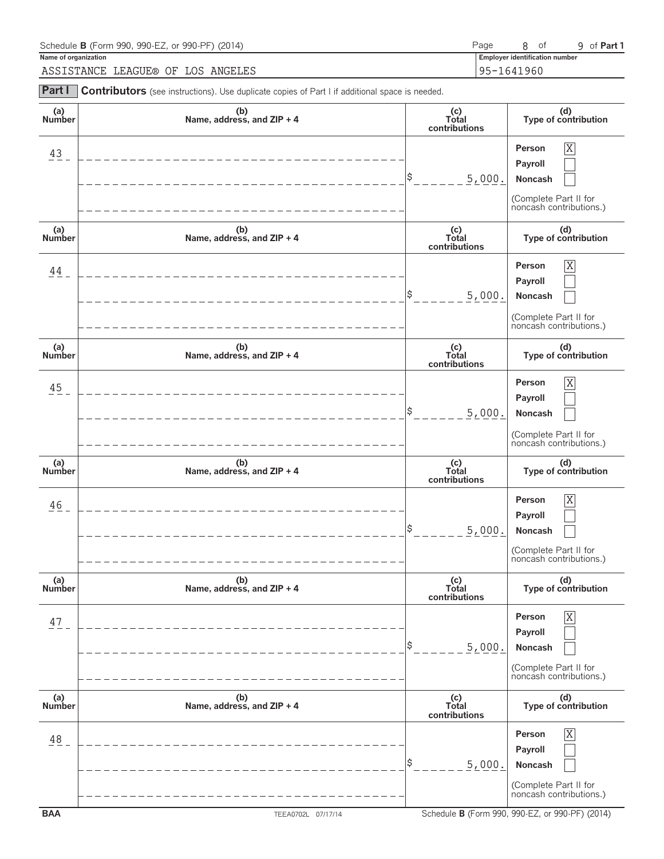| Schedule <b>B</b> (Form 990, 990-EZ, or 990-PF) (2014) | Page        | 0Ť | of <b>Part</b> 1                      |
|--------------------------------------------------------|-------------|----|---------------------------------------|
| Name of organization                                   |             |    | <b>Employer identification number</b> |
| ASSISTANCE LEAGUE® OF LOS ANGELES                      | 195-1641960 |    |                                       |

| Part I               | Contributors (see instructions). Use duplicate copies of Part I if additional space is needed. |                               |                                                                                                             |
|----------------------|------------------------------------------------------------------------------------------------|-------------------------------|-------------------------------------------------------------------------------------------------------------|
| (a)<br>Number        | (b)<br>Name, address, and $ZIP + 4$                                                            | (c)<br>Total<br>contributions | (d)<br>Type of contribution                                                                                 |
| $\frac{43}{1}$       |                                                                                                | 5,000.                        | $\overline{\mathrm{X}}$<br>Person<br>Payroll<br>Noncash<br>(Complete Part II for<br>noncash contributions.) |
| (a)<br>Number        | (b)<br>Name, address, and ZIP + 4                                                              | (c)<br>Total<br>contributions | (d)<br>Type of contribution                                                                                 |
| $44 -$               |                                                                                                | 5,000.                        | $\overline{\text{X}}$<br>Person<br>Payroll<br>Noncash<br>(Complete Part II for<br>noncash contributions.)   |
| (a)<br>Number        | (b)<br>Name, address, and ZIP + 4                                                              | (c)<br>Total<br>contributions | (d)<br>Type of contribution                                                                                 |
| $\frac{45}{1}$       |                                                                                                | 5,000.                        | $\overline{\text{X}}$<br>Person<br>Payroll<br>Noncash<br>(Complete Part II for<br>noncash contributions.)   |
| (a)<br>Number        | (b)<br>Name, address, and ZIP + 4                                                              | (c)<br>Total<br>contributions | (d)<br>Type of contribution                                                                                 |
| 46                   |                                                                                                | 5,000.                        | X<br>Person<br>Payroll<br>Noncash<br>(Complete Part II for<br>noncash contributions.)                       |
| (a)<br><b>Number</b> | (b)<br>Name, address, and ZIP + 4                                                              | (c)<br>Total<br>contributions | (d)<br>Type of contribution                                                                                 |
| $\frac{47}{1}$       |                                                                                                | 5,000.                        | Person<br>Payroll<br>Noncash<br>(Complete Part II for<br>noncash contributions.)                            |
| (a)<br>Number        | (b)<br>Name, address, and ZIP + 4                                                              | (c)<br>Total<br>contributions | (d)<br>Type of contribution                                                                                 |
| 48                   |                                                                                                | 5,000.                        | Person<br>Payroll<br>Noncash<br>(Complete Part II for<br>noncash contributions.)                            |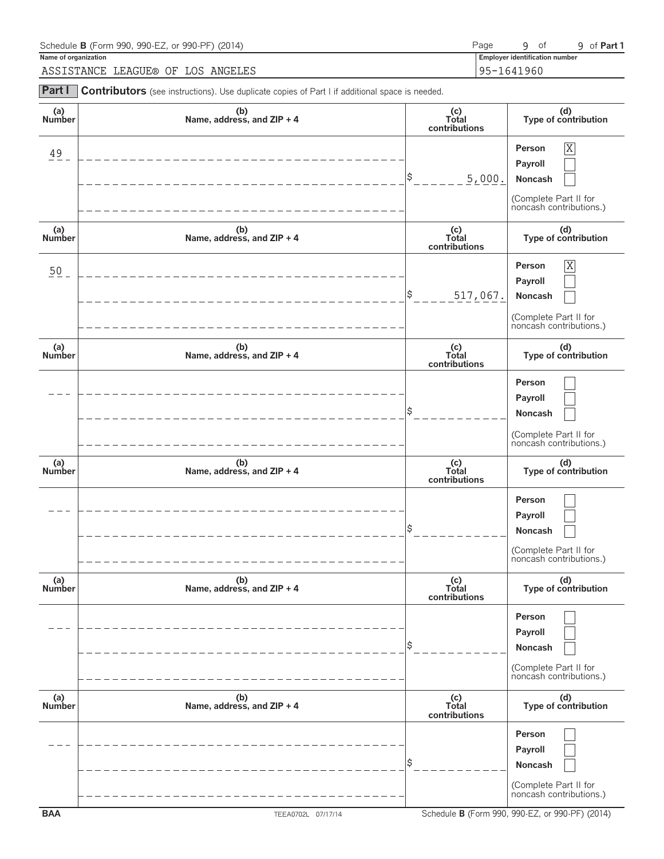| Schedule <b>B</b> (Form 990, 990-EZ, or 990-PF) (2014) | Page        | ot.                                   | 9 of <b>Part 1</b> |
|--------------------------------------------------------|-------------|---------------------------------------|--------------------|
| Name of organization                                   |             | <b>Employer identification number</b> |                    |
| ASSISTANCE LEAGUE® OF LOS ANGELES                      | 195-1641960 |                                       |                    |

| Part I               | Contributors (see instructions). Use duplicate copies of Part I if additional space is needed. |                               |                                                                                                             |
|----------------------|------------------------------------------------------------------------------------------------|-------------------------------|-------------------------------------------------------------------------------------------------------------|
| (a)<br>Number        | (b)<br>Name, address, and ZIP + 4                                                              | (c)<br>Total<br>contributions | (d)<br>Type of contribution                                                                                 |
| $49 -$               |                                                                                                | 5,000.                        | $\overline{\mathrm{X}}$<br>Person<br>Payroll<br>Noncash<br>(Complete Part II for<br>noncash contributions.) |
| (a)<br>Number        | (b)<br>Name, address, and ZIP + 4                                                              | (c)<br>Total<br>contributions | (d)<br>Type of contribution                                                                                 |
| $50 -$               |                                                                                                | 517,067.                      | $\overline{X}$<br>Person<br>Payroll<br>Noncash<br>(Complete Part II for<br>noncash contributions.)          |
| (a)<br>Number        | (b)<br>Name, address, and ZIP + 4                                                              | (c)<br>Total<br>contributions | (d)<br>Type of contribution                                                                                 |
|                      |                                                                                                |                               | Person<br>Payroll<br>Noncash<br>(Complete Part II for<br>noncash contributions.)                            |
| (a)<br>Number        | (b)<br>Name, address, and ZIP + 4                                                              | (c)<br>Total<br>contributions | (d)<br>Type of contribution                                                                                 |
|                      |                                                                                                |                               | Person<br>Payroll<br>Noncash<br>(Complete Part II for<br>noncash contributions.)                            |
| (a)<br><b>Number</b> | (b)<br>Name, address, and ZIP + 4                                                              | (c)<br>Total<br>contributions | (d)<br>Type of contribution                                                                                 |
|                      |                                                                                                |                               | Person<br>Payroll<br>Noncash<br>(Complete Part II for<br>noncash contributions.)                            |
| (a)<br>Number        | (b)<br>Name, address, and ZIP + 4                                                              | (c)<br>Total<br>contributions | (d)<br>Type of contribution                                                                                 |
|                      |                                                                                                |                               | Person<br>Payroll<br>Noncash<br>(Complete Part II for<br>noncash contributions.)                            |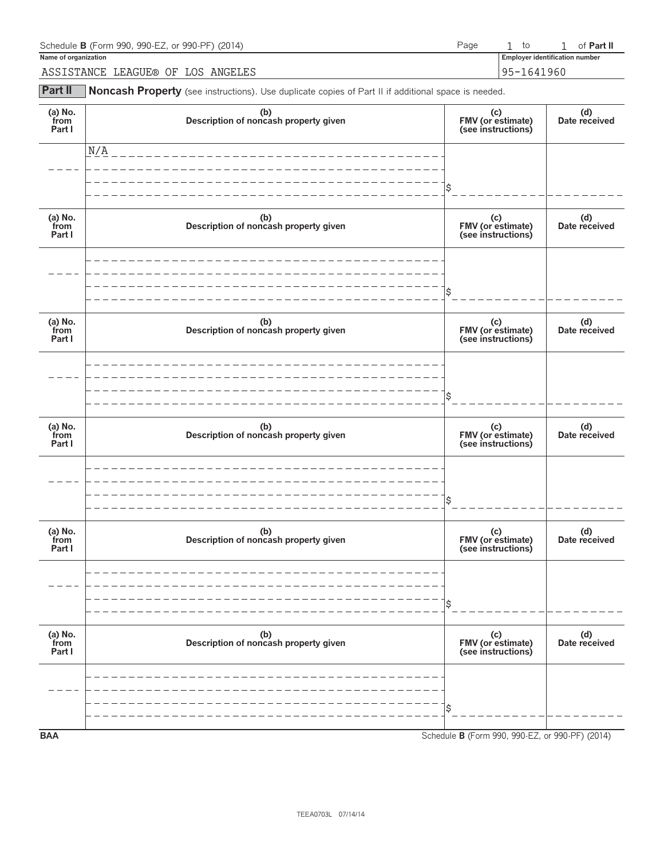| Schedule <b>B</b> (Form 990, 990-EZ, or 990-PF) (2014) | Page | to         | of <b>Part II</b>                     |
|--------------------------------------------------------|------|------------|---------------------------------------|
| Name of organization                                   |      |            | <b>Employer identification number</b> |
| ASSISTANCE LEAGUE® OF LOS ANGELES                      |      | 95-1641960 |                                       |
| $R_{\rm{max}}$                                         |      |            |                                       |

**Part II** Noncash Property (see instructions). Use duplicate copies of Part II if additional space is needed.

| (a) No.<br>from<br>Part I   | (b)<br>Description of noncash property given | (c)<br>FMV (or estimate)<br>(see instructions)  | (d)<br>Date received |
|-----------------------------|----------------------------------------------|-------------------------------------------------|----------------------|
|                             | $\mathrm{N}/\mathrm{A}$                      |                                                 |                      |
|                             |                                              |                                                 |                      |
|                             |                                              |                                                 |                      |
| (a) No.<br>from<br>Part I   | (b)<br>Description of noncash property given | (c)<br>FMV (or estimate)<br>(see instructions)  | (d)<br>Date received |
|                             |                                              |                                                 |                      |
|                             |                                              |                                                 |                      |
| $(a)$ No.<br>from<br>Part I | (b)<br>Description of noncash property given | (c)<br>FMV (or estimate)<br>(see instructions)  | (d)<br>Date received |
|                             |                                              |                                                 |                      |
|                             |                                              |                                                 |                      |
| (a) No.<br>from<br>Part I   | (b)<br>Description of noncash property given | (c)<br>FMV (or estimate)<br>(see instructions)  | (d)<br>Date received |
|                             |                                              |                                                 |                      |
|                             |                                              |                                                 |                      |
|                             |                                              |                                                 |                      |
| (a) No.<br>from<br>Part I   | (b)<br>Description of noncash property given | (c)<br>FMV (or estimate)<br>(see instructions)  | (d)<br>Date received |
|                             |                                              |                                                 |                      |
|                             |                                              |                                                 |                      |
| (a) No.<br>from<br>Part I   | (b)<br>Description of noncash property given | (c)<br>FMV (or estimate)<br>(see instructions)  | (d)<br>Date received |
|                             |                                              |                                                 |                      |
|                             |                                              |                                                 |                      |
| <b>BAA</b>                  |                                              | Schedule B (Form 990, 990-EZ, or 990-PF) (2014) |                      |
|                             |                                              |                                                 |                      |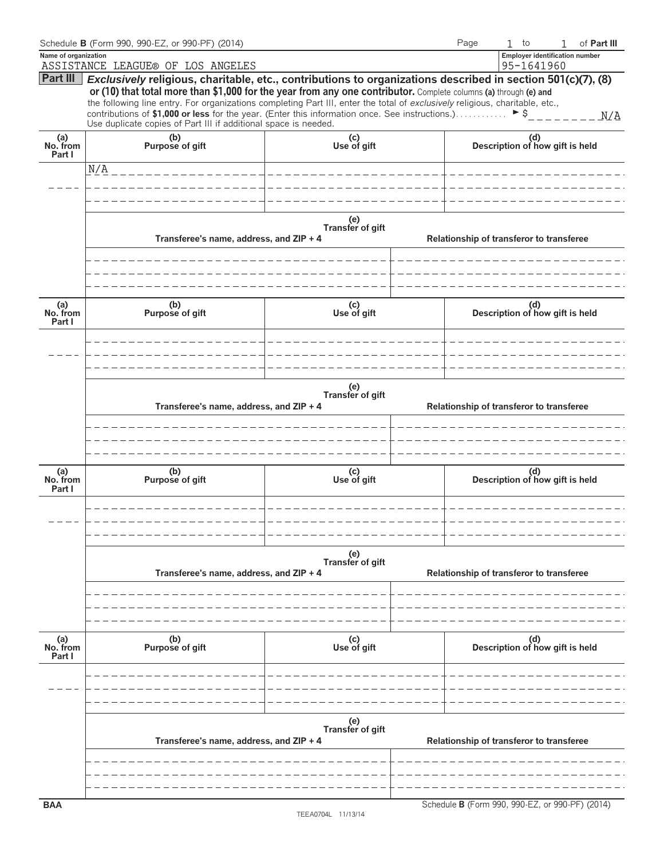|                           | Schedule B (Form 990, 990-EZ, or 990-PF) (2014)                                                                                                                                                                                                                                                                                                                                                                                                                                                                                                           |                                                   |       | Page | $1$ to                                              | $\mathbf{1}$ | of Part III |
|---------------------------|-----------------------------------------------------------------------------------------------------------------------------------------------------------------------------------------------------------------------------------------------------------------------------------------------------------------------------------------------------------------------------------------------------------------------------------------------------------------------------------------------------------------------------------------------------------|---------------------------------------------------|-------|------|-----------------------------------------------------|--------------|-------------|
| Name of organization      | ASSISTANCE LEAGUE® OF LOS ANGELES                                                                                                                                                                                                                                                                                                                                                                                                                                                                                                                         |                                                   |       |      | <b>Employer identification number</b><br>95-1641960 |              |             |
| Part III                  | Exclusively religious, charitable, etc., contributions to organizations described in section 501(c)(7), (8)<br>or (10) that total more than \$1,000 for the year from any one contributor. Complete columns (a) through (e) and<br>the following line entry. For organizations completing Part III, enter the total of exclusively religious, charitable, etc.,<br>contributions of \$1,000 or less for the year. (Enter this information once. See instructions.) $\triangleright$ \$<br>Use duplicate copies of Part III if additional space is needed. |                                                   |       |      |                                                     |              |             |
| (a)<br>No. from<br>Part I | (b)<br>Purpose of gift                                                                                                                                                                                                                                                                                                                                                                                                                                                                                                                                    | (c)<br>Use of gift                                |       |      | (d)<br>Description of how gift is held              |              |             |
|                           | N/A                                                                                                                                                                                                                                                                                                                                                                                                                                                                                                                                                       | _______________________                           |       |      |                                                     |              |             |
|                           |                                                                                                                                                                                                                                                                                                                                                                                                                                                                                                                                                           |                                                   |       |      |                                                     |              |             |
|                           | Transferee's name, address, and ZIP + 4                                                                                                                                                                                                                                                                                                                                                                                                                                                                                                                   | (e)<br>Transfer of gift<br>______________________ |       |      | Relationship of transferor to transferee            |              |             |
|                           |                                                                                                                                                                                                                                                                                                                                                                                                                                                                                                                                                           |                                                   |       |      |                                                     |              |             |
| (a)<br>No. from<br>Part I | (b)<br>Purpose of gift                                                                                                                                                                                                                                                                                                                                                                                                                                                                                                                                    | (c)<br>Use of gift                                |       |      | (d)<br>Description of how gift is held              |              |             |
|                           |                                                                                                                                                                                                                                                                                                                                                                                                                                                                                                                                                           |                                                   | _____ |      |                                                     |              |             |
|                           | Transferee's name, address, and ZIP + 4                                                                                                                                                                                                                                                                                                                                                                                                                                                                                                                   | (e)<br>Transfer of gift                           |       |      | Relationship of transferor to transferee            |              |             |
|                           |                                                                                                                                                                                                                                                                                                                                                                                                                                                                                                                                                           |                                                   |       |      |                                                     |              |             |
| (a)<br>No. from<br>Part I | (b)<br>Purpose of gift                                                                                                                                                                                                                                                                                                                                                                                                                                                                                                                                    | (c)<br>Use of gift                                |       |      | (d)<br>Description of how gift is held              |              |             |
|                           |                                                                                                                                                                                                                                                                                                                                                                                                                                                                                                                                                           |                                                   |       |      |                                                     |              |             |
|                           | Transferee's name, address, and ZIP + 4                                                                                                                                                                                                                                                                                                                                                                                                                                                                                                                   | (e)<br>Transfer of gift                           |       |      | Relationship of transferor to transferee            |              |             |
|                           |                                                                                                                                                                                                                                                                                                                                                                                                                                                                                                                                                           |                                                   |       |      |                                                     |              |             |
| (a)<br>No. from<br>Part I | (b)<br>Purpose of gift                                                                                                                                                                                                                                                                                                                                                                                                                                                                                                                                    | (c)<br>Use of gift                                |       |      | (d)<br>Description of how gift is held              |              |             |
|                           |                                                                                                                                                                                                                                                                                                                                                                                                                                                                                                                                                           |                                                   |       |      |                                                     |              |             |
|                           | Transferee's name, address, and ZIP + 4                                                                                                                                                                                                                                                                                                                                                                                                                                                                                                                   | (e)<br>Transfer of gift                           |       |      | Relationship of transferor to transferee            |              |             |
|                           |                                                                                                                                                                                                                                                                                                                                                                                                                                                                                                                                                           |                                                   |       |      |                                                     |              |             |
| <b>BAA</b>                |                                                                                                                                                                                                                                                                                                                                                                                                                                                                                                                                                           | TEE A0704L<br>11/12/1                             |       |      | Schedule B (Form 990, 990-EZ, or 990-PF) (2014)     |              |             |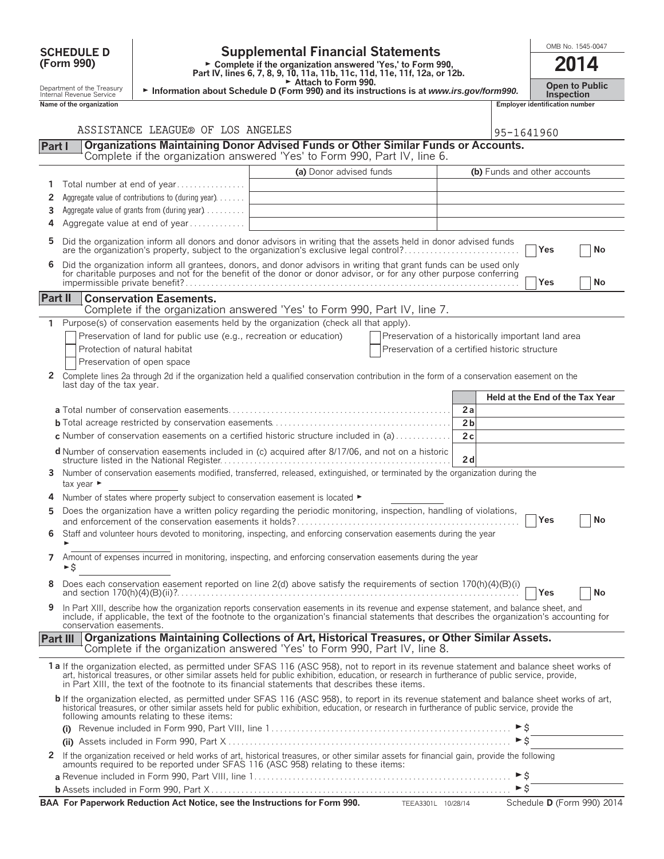| <b>Supplemental Financial Statements</b><br><b>SCHEDULE D</b> |                                                        |                                                                                |                                                                                                                                                                                                                                                                                                                                                                                                |                |                     | OMB No. 1545-0047                     |                                 |
|---------------------------------------------------------------|--------------------------------------------------------|--------------------------------------------------------------------------------|------------------------------------------------------------------------------------------------------------------------------------------------------------------------------------------------------------------------------------------------------------------------------------------------------------------------------------------------------------------------------------------------|----------------|---------------------|---------------------------------------|---------------------------------|
|                                                               | (Form 990)                                             |                                                                                | ► Complete if the organization answered 'Yes,' to Form 990,<br>Part IV, lines 6, 7, 8, 9, 10, 11a, 11b, 11c, 11d, 11e, 11f, 12a, or 12b.                                                                                                                                                                                                                                                       |                |                     |                                       | 2014                            |
|                                                               | Department of the Treasury<br>Internal Revenue Service |                                                                                | Attach to Form 990.<br>Information about Schedule D (Form 990) and its instructions is at www.irs.gov/form990.                                                                                                                                                                                                                                                                                 |                |                     | <b>Inspection</b>                     | <b>Open to Public</b>           |
|                                                               | Name of the organization                               |                                                                                |                                                                                                                                                                                                                                                                                                                                                                                                |                |                     | <b>Employer identification number</b> |                                 |
|                                                               |                                                        |                                                                                |                                                                                                                                                                                                                                                                                                                                                                                                |                |                     |                                       |                                 |
|                                                               |                                                        | ASSISTANCE LEAGUE® OF LOS ANGELES                                              | <b>Organizations Maintaining Donor Advised Funds or Other Similar Funds or Accounts.</b>                                                                                                                                                                                                                                                                                                       |                | 95-1641960          |                                       |                                 |
| Part I                                                        |                                                        |                                                                                | Complete if the organization answered 'Yes' to Form 990, Part IV, line 6.                                                                                                                                                                                                                                                                                                                      |                |                     |                                       |                                 |
|                                                               |                                                        |                                                                                | (a) Donor advised funds                                                                                                                                                                                                                                                                                                                                                                        |                |                     | (b) Funds and other accounts          |                                 |
| 1                                                             |                                                        | Total number at end of year                                                    |                                                                                                                                                                                                                                                                                                                                                                                                |                |                     |                                       |                                 |
| 2                                                             |                                                        | Aggregate value of contributions to (during year)                              |                                                                                                                                                                                                                                                                                                                                                                                                |                |                     |                                       |                                 |
| 3<br>4                                                        |                                                        | Aggregate value of grants from (during year)<br>Aggregate value at end of year |                                                                                                                                                                                                                                                                                                                                                                                                |                |                     |                                       |                                 |
| 5                                                             |                                                        |                                                                                | Did the organization inform all donors and donor advisors in writing that the assets held in donor advised funds                                                                                                                                                                                                                                                                               |                |                     |                                       |                                 |
|                                                               |                                                        |                                                                                | are the organization's property, subject to the organization's exclusive legal control?<br>Did the organization inform all grantees, donors, and donor advisors in writing that grant funds can be used only                                                                                                                                                                                   |                |                     | Yes                                   | No                              |
|                                                               |                                                        |                                                                                | for charitable purposes and not for the benefit of the donor or donor advisor, or for any other purpose conferring                                                                                                                                                                                                                                                                             |                |                     | Yes                                   | No                              |
| Part II                                                       |                                                        | <b>Conservation Easements.</b>                                                 | Complete if the organization answered 'Yes' to Form 990, Part IV, line 7.                                                                                                                                                                                                                                                                                                                      |                |                     |                                       |                                 |
| 1                                                             |                                                        |                                                                                | Purpose(s) of conservation easements held by the organization (check all that apply).                                                                                                                                                                                                                                                                                                          |                |                     |                                       |                                 |
|                                                               |                                                        | Preservation of land for public use (e.g., recreation or education)            | Preservation of a historically important land area                                                                                                                                                                                                                                                                                                                                             |                |                     |                                       |                                 |
|                                                               |                                                        | Protection of natural habitat                                                  | Preservation of a certified historic structure                                                                                                                                                                                                                                                                                                                                                 |                |                     |                                       |                                 |
|                                                               |                                                        | Preservation of open space                                                     |                                                                                                                                                                                                                                                                                                                                                                                                |                |                     |                                       |                                 |
| 2                                                             | last day of the tax year.                              |                                                                                | Complete lines 2a through 2d if the organization held a qualified conservation contribution in the form of a conservation easement on the                                                                                                                                                                                                                                                      |                |                     |                                       |                                 |
|                                                               |                                                        |                                                                                |                                                                                                                                                                                                                                                                                                                                                                                                |                |                     |                                       | Held at the End of the Tax Year |
|                                                               |                                                        |                                                                                |                                                                                                                                                                                                                                                                                                                                                                                                | 2a             |                     |                                       |                                 |
|                                                               |                                                        |                                                                                |                                                                                                                                                                                                                                                                                                                                                                                                | 2 <sub>b</sub> |                     |                                       |                                 |
|                                                               |                                                        |                                                                                | <b>c</b> Number of conservation easements on a certified historic structure included in (a) $\dots$                                                                                                                                                                                                                                                                                            | 2c             |                     |                                       |                                 |
|                                                               |                                                        |                                                                                | <b>d</b> Number of conservation easements included in (c) acquired after 8/17/06, and not on a historic                                                                                                                                                                                                                                                                                        | 2d             |                     |                                       |                                 |
|                                                               | tax year ►                                             |                                                                                | Number of conservation easements modified, transferred, released, extinguished, or terminated by the organization during the                                                                                                                                                                                                                                                                   |                |                     |                                       |                                 |
|                                                               |                                                        | Number of states where property subject to conservation easement is located ►  |                                                                                                                                                                                                                                                                                                                                                                                                |                |                     |                                       |                                 |
|                                                               |                                                        |                                                                                | Does the organization have a written policy regarding the periodic monitoring, inspection, handling of violations,                                                                                                                                                                                                                                                                             |                |                     | $\exists$ Yes                         | <b>No</b>                       |
| 6                                                             |                                                        |                                                                                | Staff and volunteer hours devoted to monitoring, inspecting, and enforcing conservation easements during the year                                                                                                                                                                                                                                                                              |                |                     |                                       |                                 |
| 7                                                             |                                                        |                                                                                | Amount of expenses incurred in monitoring, inspecting, and enforcing conservation easements during the year                                                                                                                                                                                                                                                                                    |                |                     |                                       |                                 |
| 8                                                             | ►\$                                                    |                                                                                | Does each conservation easement reported on line 2(d) above satisfy the requirements of section 170(h)(4)(B)(i)                                                                                                                                                                                                                                                                                |                |                     |                                       |                                 |
|                                                               |                                                        |                                                                                |                                                                                                                                                                                                                                                                                                                                                                                                |                |                     | Yes                                   | No                              |
| 9                                                             | conservation easements.                                |                                                                                | In Part XIII, describe how the organization reports conservation easements in its revenue and expense statement, and balance sheet, and<br>include, if applicable, the text of the footnote to the organization's financial statements that describes the organization's accounting for                                                                                                        |                |                     |                                       |                                 |
|                                                               |                                                        |                                                                                | Part III   Organizations Maintaining Collections of Art, Historical Treasures, or Other Similar Assets.<br>Complete if the organization answered 'Yes' to Form 990, Part IV, line 8.                                                                                                                                                                                                           |                |                     |                                       |                                 |
|                                                               |                                                        |                                                                                | 1a If the organization elected, as permitted under SFAS 116 (ASC 958), not to report in its revenue statement and balance sheet works of<br>art, historical treasures, or other similar assets held for public exhibition, education, or research in furtherance of public service, provide,<br>in Part XIII, the text of the footnote to its financial statements that describes these items. |                |                     |                                       |                                 |
|                                                               |                                                        | following amounts relating to these items:                                     | <b>b</b> If the organization elected, as permitted under SFAS 116 (ASC 958), to report in its revenue statement and balance sheet works of art,<br>historical treasures, or other similar assets held for public exhibition, education, or research in furtherance of public service, provide the                                                                                              |                |                     |                                       |                                 |
|                                                               |                                                        |                                                                                |                                                                                                                                                                                                                                                                                                                                                                                                |                | ►Ŝ                  |                                       |                                 |
|                                                               |                                                        |                                                                                |                                                                                                                                                                                                                                                                                                                                                                                                |                | $\triangleright$ \$ |                                       |                                 |
| 2                                                             |                                                        |                                                                                | If the organization received or held works of art, historical treasures, or other similar assets for financial gain, provide the following<br>amounts required to be reported under SFAS 116 (ASC 958) relating to these items:                                                                                                                                                                |                | $\triangleright$ \$ |                                       |                                 |
|                                                               |                                                        |                                                                                |                                                                                                                                                                                                                                                                                                                                                                                                |                |                     |                                       |                                 |
|                                                               |                                                        |                                                                                |                                                                                                                                                                                                                                                                                                                                                                                                |                |                     |                                       |                                 |

| BAA For Paperwork Reduction Act Notice, see the Instructions for Form 990. | TEEA3301L 10/28/14 | Schedule D (Form 990) 2014 |
|----------------------------------------------------------------------------|--------------------|----------------------------|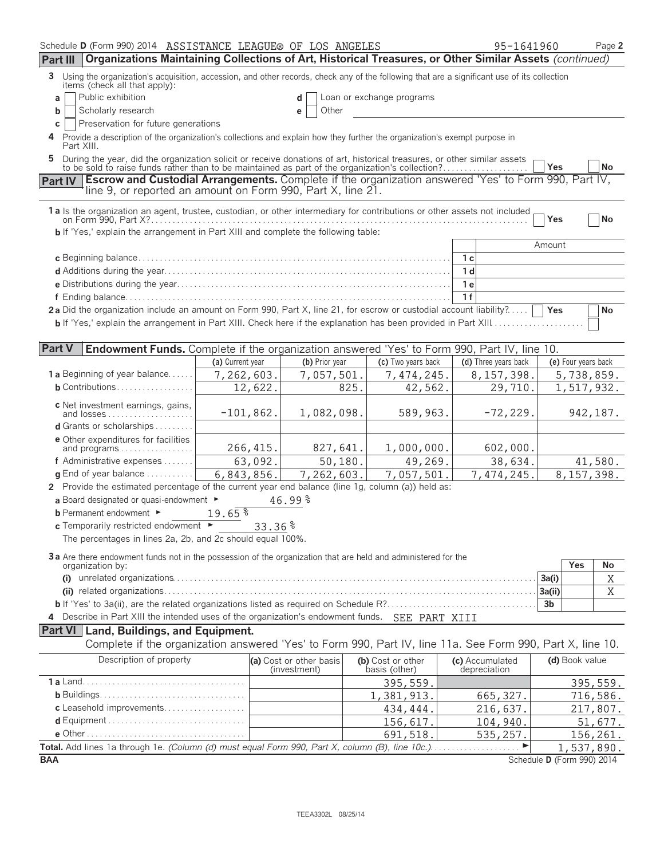| Schedule D (Form 990) 2014 ASSISTANCE LEAGUE® OF LOS ANGELES                                                                                                                                 |                  |                                         |                                    |                    | 95-1641960                      |                          |                            | Page 2    |
|----------------------------------------------------------------------------------------------------------------------------------------------------------------------------------------------|------------------|-----------------------------------------|------------------------------------|--------------------|---------------------------------|--------------------------|----------------------------|-----------|
| Organizations Maintaining Collections of Art, Historical Treasures, or Other Similar Assets (continued)<br>Part III                                                                          |                  |                                         |                                    |                    |                                 |                          |                            |           |
| 3<br>Using the organization's acquisition, accession, and other records, check any of the following that are a significant use of its collection                                             |                  |                                         |                                    |                    |                                 |                          |                            |           |
| items (check all that apply):                                                                                                                                                                |                  |                                         |                                    |                    |                                 |                          |                            |           |
| Public exhibition<br>a                                                                                                                                                                       |                  | d                                       | Loan or exchange programs          |                    |                                 |                          |                            |           |
| Scholarly research<br>b<br>Preservation for future generations                                                                                                                               |                  | Other<br>е                              |                                    |                    |                                 |                          |                            |           |
| C<br>Provide a description of the organization's collections and explain how they further the organization's exempt purpose in<br>4                                                          |                  |                                         |                                    |                    |                                 |                          |                            |           |
| Part XIII.                                                                                                                                                                                   |                  |                                         |                                    |                    |                                 |                          |                            |           |
| During the year, did the organization solicit or receive donations of art, historical treasures, or other similar assets<br>5                                                                |                  |                                         |                                    |                    |                                 |                          |                            |           |
| to be sold to raise funds rather than to be maintained as part of the organization's collection?                                                                                             |                  |                                         |                                    |                    |                                 | <b>Yes</b>               |                            | No        |
| <b>Escrow and Custodial Arrangements.</b> Complete if the organization answered 'Yes' to Form 990, Part IV,<br><b>Part IV</b><br>line 9, or reported an amount on Form 990, Part X, line 21. |                  |                                         |                                    |                    |                                 |                          |                            |           |
|                                                                                                                                                                                              |                  |                                         |                                    |                    |                                 |                          |                            |           |
| 1 a ls the organization an agent, trustee, custodian, or other intermediary for contributions or other assets not included                                                                   |                  |                                         |                                    |                    |                                 | Yes                      |                            | No        |
| <b>b</b> If 'Yes,' explain the arrangement in Part XIII and complete the following table:                                                                                                    |                  |                                         |                                    |                    |                                 |                          |                            |           |
|                                                                                                                                                                                              |                  |                                         |                                    |                    |                                 | Amount                   |                            |           |
|                                                                                                                                                                                              |                  |                                         |                                    |                    | 1 с                             |                          |                            |           |
|                                                                                                                                                                                              |                  |                                         |                                    |                    | 1 <sub>d</sub>                  |                          |                            |           |
|                                                                                                                                                                                              |                  |                                         |                                    |                    | 1 <sub>e</sub>                  |                          |                            |           |
|                                                                                                                                                                                              |                  |                                         |                                    |                    | 1f                              |                          |                            |           |
| 2a Did the organization include an amount on Form 990, Part X, line 21, for escrow or custodial account liability?                                                                           |                  |                                         |                                    |                    |                                 | Yes                      |                            | No        |
| <b>b</b> If 'Yes,' explain the arrangement in Part XIII. Check here if the explanation has been provided in Part XIII                                                                        |                  |                                         |                                    |                    |                                 |                          |                            |           |
|                                                                                                                                                                                              |                  |                                         |                                    |                    |                                 |                          |                            |           |
| <b>Part V</b><br>Endowment Funds. Complete if the organization answered 'Yes' to Form 990, Part IV, line 10.                                                                                 |                  |                                         |                                    |                    |                                 |                          |                            |           |
|                                                                                                                                                                                              | (a) Current year | (b) Prior year                          |                                    | (c) Two years back | (d) Three years back            |                          | (e) Four years back        |           |
| <b>1a</b> Beginning of year balance                                                                                                                                                          | 7,262,603.       | 7,057,501.                              |                                    | 7,474,245.         | 8,157,398.                      |                          | 5,738,859.                 |           |
| <b>b</b> Contributions                                                                                                                                                                       | 12,622.          |                                         | 825.                               | 42,562.            | 29,710.                         |                          | 1, 517, 932.               |           |
| c Net investment earnings, gains,                                                                                                                                                            | $-101,862.$      | 1,082,098.                              |                                    | 589,963.           | $-72, 229.$                     |                          |                            | 942, 187. |
| and losses<br><b>d</b> Grants or scholarships $\ldots \ldots$                                                                                                                                |                  |                                         |                                    |                    |                                 |                          |                            |           |
| <b>e</b> Other expenditures for facilities                                                                                                                                                   |                  |                                         |                                    |                    |                                 |                          |                            |           |
| and programs                                                                                                                                                                                 | 266, 415.        | 827,641.                                |                                    | 1,000,000.         | 602,000.                        |                          |                            |           |
| f Administrative expenses                                                                                                                                                                    | 63,092.          | 50,180.                                 |                                    | 49,269.            | 38,634.                         |                          |                            | 41,580.   |
| $q$ End of year balance $\dots\dots\dots$                                                                                                                                                    | 6,843,856.       | 7,262,603.                              |                                    | 7,057,501.         | 7,474,245.                      |                          | $\overline{8}$ , 157, 398. |           |
| 2 Provide the estimated percentage of the current year end balance (line 1g, column (a)) held as:                                                                                            |                  |                                         |                                    |                    |                                 |                          |                            |           |
| a Board designated or quasi-endowment $\blacktriangleright$                                                                                                                                  |                  | 46.99%                                  |                                    |                    |                                 |                          |                            |           |
| <b>b</b> Permanent endowment ►                                                                                                                                                               | 19.65%           |                                         |                                    |                    |                                 |                          |                            |           |
| c Temporarily restricted endowment ►                                                                                                                                                         | 33.36%           |                                         |                                    |                    |                                 |                          |                            |           |
| The percentages in lines 2a, 2b, and 2c should equal 100%.                                                                                                                                   |                  |                                         |                                    |                    |                                 |                          |                            |           |
| 3a Are there endowment funds not in the possession of the organization that are held and administered for the                                                                                |                  |                                         |                                    |                    |                                 |                          |                            |           |
| organization by:                                                                                                                                                                             |                  |                                         |                                    |                    |                                 |                          | Yes                        | No        |
|                                                                                                                                                                                              |                  |                                         |                                    |                    |                                 | 3a(i)                    |                            | Χ<br>X    |
|                                                                                                                                                                                              |                  |                                         |                                    |                    |                                 | 3a(ii)<br>3 <sub>b</sub> |                            |           |
| 4 Describe in Part XIII the intended uses of the organization's endowment funds. SEE PART XIII                                                                                               |                  |                                         |                                    |                    |                                 |                          |                            |           |
| Part VI   Land, Buildings, and Equipment.                                                                                                                                                    |                  |                                         |                                    |                    |                                 |                          |                            |           |
| Complete if the organization answered 'Yes' to Form 990, Part IV, line 11a. See Form 990, Part X, line 10.                                                                                   |                  |                                         |                                    |                    |                                 |                          |                            |           |
| Description of property                                                                                                                                                                      |                  |                                         |                                    |                    |                                 |                          | (d) Book value             |           |
|                                                                                                                                                                                              |                  | (a) Cost or other basis<br>(investment) | (b) Cost or other<br>basis (other) |                    | (c) Accumulated<br>depreciation |                          |                            |           |
|                                                                                                                                                                                              |                  |                                         |                                    | 395,559.           |                                 |                          |                            | 395,559.  |
|                                                                                                                                                                                              |                  |                                         |                                    | 1,381,913.         | 665, 327.                       |                          |                            | 716,586.  |
| c Leasehold improvements                                                                                                                                                                     |                  |                                         |                                    | 434, 444.          | 216,637.                        |                          |                            | 217,807.  |
|                                                                                                                                                                                              |                  |                                         |                                    | 156,617.           | 104,940.                        |                          |                            | 51,677.   |
|                                                                                                                                                                                              |                  |                                         |                                    | 691,518            | 535,257.                        |                          |                            | 156,261.  |
| Total. Add lines 1a through 1e. (Column (d) must equal Form 990, Part X, column (B), line 10c.)                                                                                              |                  |                                         |                                    |                    |                                 |                          | 1,537,890.                 |           |
| <b>BAA</b>                                                                                                                                                                                   |                  |                                         |                                    |                    |                                 |                          | Schedule D (Form 990) 2014 |           |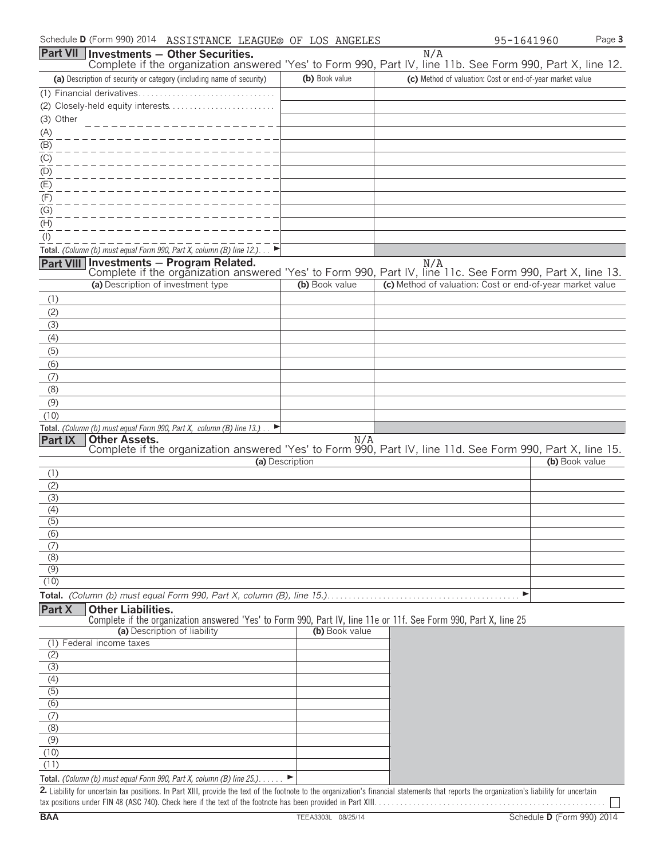|                         | Schedule D (Form 990) 2014<br>ASSISTANCE LEAGUE® OF LOS ANGELES                                                                                                                    |                 |     | 95-1641960                                                | Page 3 |
|-------------------------|------------------------------------------------------------------------------------------------------------------------------------------------------------------------------------|-----------------|-----|-----------------------------------------------------------|--------|
|                         | Part VII Investments - Other Securities.                                                                                                                                           |                 | N/A |                                                           |        |
|                         | Complete if the organization answered 'Yes' to Form 990, Part IV, line 11b. See Form 990, Part X, line 12.<br>(a) Description of security or category (including name of security) | (b) Book value  |     | (c) Method of valuation: Cost or end-of-year market value |        |
|                         |                                                                                                                                                                                    |                 |     |                                                           |        |
|                         |                                                                                                                                                                                    |                 |     |                                                           |        |
| (3) Other               |                                                                                                                                                                                    |                 |     |                                                           |        |
| (A)                     |                                                                                                                                                                                    |                 |     |                                                           |        |
| (B)                     |                                                                                                                                                                                    |                 |     |                                                           |        |
| (C)                     |                                                                                                                                                                                    |                 |     |                                                           |        |
| (D)                     |                                                                                                                                                                                    |                 |     |                                                           |        |
| (E)                     |                                                                                                                                                                                    |                 |     |                                                           |        |
| (F)                     |                                                                                                                                                                                    |                 |     |                                                           |        |
| (G)                     |                                                                                                                                                                                    |                 |     |                                                           |        |
| (H)                     |                                                                                                                                                                                    |                 |     |                                                           |        |
| $($ l $)$               |                                                                                                                                                                                    |                 |     |                                                           |        |
|                         | Total. (Column (b) must equal Form 990, Part X, column (B) line 12.). $\Box$                                                                                                       |                 |     |                                                           |        |
|                         | Part VIII Investments - Program Related.<br>Complete if the organization answered 'Yes' to Form 990, Part IV, line 11c. See Form 990, Part X, line 13.                             |                 | N/A |                                                           |        |
|                         | (a) Description of investment type                                                                                                                                                 | (b) Book value  |     | (c) Method of valuation: Cost or end-of-year market value |        |
| (1)                     |                                                                                                                                                                                    |                 |     |                                                           |        |
| (2)                     |                                                                                                                                                                                    |                 |     |                                                           |        |
| (3)                     |                                                                                                                                                                                    |                 |     |                                                           |        |
| (4)                     |                                                                                                                                                                                    |                 |     |                                                           |        |
| (5)                     |                                                                                                                                                                                    |                 |     |                                                           |        |
| (6)                     |                                                                                                                                                                                    |                 |     |                                                           |        |
| (7)                     |                                                                                                                                                                                    |                 |     |                                                           |        |
| (8)                     |                                                                                                                                                                                    |                 |     |                                                           |        |
| (9)                     |                                                                                                                                                                                    |                 |     |                                                           |        |
| (10)                    |                                                                                                                                                                                    |                 |     |                                                           |        |
|                         | Total. (Column (b) must equal Form 990, Part X, column (B) line 13.).                                                                                                              |                 |     |                                                           |        |
| <b>Part IX</b>          | Other Assets.<br>Complete if the organization answered 'Yes' to Form 990, Part IV, line 11d. See Form 990, Part X, line 15.                                                        |                 |     |                                                           |        |
|                         |                                                                                                                                                                                    | (a) Description |     | (b) Book value                                            |        |
| (1)                     |                                                                                                                                                                                    |                 |     |                                                           |        |
| (2)                     |                                                                                                                                                                                    |                 |     |                                                           |        |
| (3)                     |                                                                                                                                                                                    |                 |     |                                                           |        |
| (4)<br>(5)              |                                                                                                                                                                                    |                 |     |                                                           |        |
| (6)                     |                                                                                                                                                                                    |                 |     |                                                           |        |
| (7)                     |                                                                                                                                                                                    |                 |     |                                                           |        |
| (8)                     |                                                                                                                                                                                    |                 |     |                                                           |        |
| (9)                     |                                                                                                                                                                                    |                 |     |                                                           |        |
| (10)                    |                                                                                                                                                                                    |                 |     |                                                           |        |
|                         |                                                                                                                                                                                    |                 |     | ▶                                                         |        |
| Part X                  | <b>Other Liabilities.</b><br>Complete if the organization answered 'Yes' to Form 990, Part IV, line 11e or 11f. See Form 990, Part X, line 25                                      |                 |     |                                                           |        |
|                         | (a) Description of liability                                                                                                                                                       | (b) Book value  |     |                                                           |        |
| (1)                     | Federal income taxes                                                                                                                                                               |                 |     |                                                           |        |
| (2)                     |                                                                                                                                                                                    |                 |     |                                                           |        |
| $\overline{(3)}$        |                                                                                                                                                                                    |                 |     |                                                           |        |
| (4)                     |                                                                                                                                                                                    |                 |     |                                                           |        |
| (5)                     |                                                                                                                                                                                    |                 |     |                                                           |        |
| $\overline{(6)}$<br>(7) |                                                                                                                                                                                    |                 |     |                                                           |        |
| (8)                     |                                                                                                                                                                                    |                 |     |                                                           |        |
| (9)                     |                                                                                                                                                                                    |                 |     |                                                           |        |

(11) **Total.** *(Column (b) must equal Form 990, Part X, column (B) line 25.)*. . . . . . G

**2.** Liability for uncertain tax positions. In Part XIII, provide the text of the footnote to the organization's financial statements that reports the organization's liability for uncertain tax positions under FIN 48 (ASC 740). Check here if the text of the footnote has been provided in Part XIII. . . . . . . . . . . . . . . . . . . . . . . . . . . . . . . . . . . . . . . . . . . . . . . . . . . . . .

 $(10)$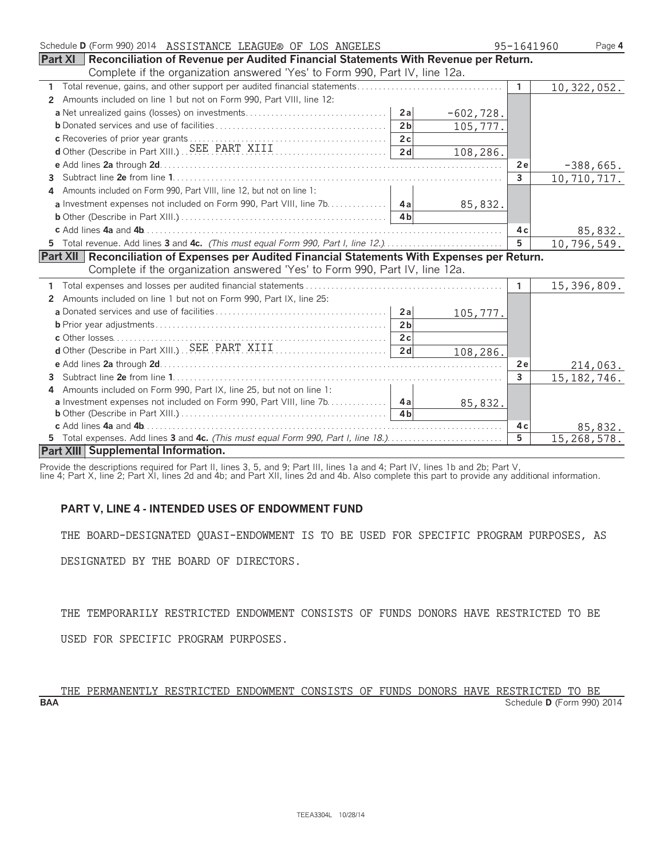| Schedule D (Form 990) 2014 ASSISTANCE LEAGUE® OF LOS ANGELES                                       | 95-1641960     | Page 4        |
|----------------------------------------------------------------------------------------------------|----------------|---------------|
| <b>Part XI</b> Reconciliation of Revenue per Audited Financial Statements With Revenue per Return. |                |               |
| Complete if the organization answered 'Yes' to Form 990, Part IV, line 12a.                        |                |               |
| $\mathbf{1}$                                                                                       | $\mathbf{1}$   | 10, 322, 052. |
| Amounts included on line 1 but not on Form 990, Part VIII, line 12:<br>2                           |                |               |
| $-602,728.$                                                                                        |                |               |
| 2 <sub>b</sub><br>105,777.                                                                         |                |               |
|                                                                                                    |                |               |
| c Recoveries of prior year grants<br>d'Other (Describe in Part XIII.)  SEE PART XIII<br>108,286.   |                |               |
|                                                                                                    | 2e             | $-388,665.$   |
| 3                                                                                                  | $\mathbf{3}$   | 10,710,717.   |
| Amounts included on Form 990, Part VIII, line 12, but not on line 1:                               |                |               |
| 85,832.                                                                                            |                |               |
|                                                                                                    |                |               |
|                                                                                                    | 4 c            | 85,832.       |
| 5 Total revenue. Add lines 3 and 4c. (This must equal Form 990, Part I, line 12.)                  | 5              | 10,796,549.   |
| Part XII   Reconciliation of Expenses per Audited Financial Statements With Expenses per Return.   |                |               |
| Complete if the organization answered 'Yes' to Form 990, Part IV, line 12a.                        |                |               |
|                                                                                                    | $\mathbf{1}$   | 15,396,809.   |
| Amounts included on line 1 but not on Form 990, Part IX, line 25:<br>$\mathbf{2}^{\circ}$          |                |               |
| 105,777.                                                                                           |                |               |
| 2 <sub>b</sub>                                                                                     |                |               |
|                                                                                                    |                |               |
| d Other (Describe in Part XIII.) . SEE PART XIII<br>2d<br>108,286.                                 |                |               |
|                                                                                                    | 2e             | 214,063.      |
| 3                                                                                                  | 3              | 15, 182, 746. |
| Amounts included on Form 990, Part IX, line 25, but not on line 1:<br>4                            |                |               |
| a Investment expenses not included on Form 990, Part VIII, line 7b. 4a<br>85,832.                  |                |               |
|                                                                                                    |                |               |
|                                                                                                    | 4c             | 85,832.       |
| 5 Total expenses. Add lines 3 and 4c. (This must equal Form 990, Part I, line 18.)                 | $\overline{5}$ | 15, 268, 578. |
| Part XIII Supplemental Information.                                                                |                |               |

Provide the descriptions required for Part II, lines 3, 5, and 9; Part III, lines 1a and 4; Part IV, lines 1b and 2b; Part V,

line 4; Part X, line 2; Part XI, lines 2d and 4b; and Part XII, lines 2d and 4b. Also complete this part to provide any additional information.

#### **PART V, LINE 4 - INTENDED USES OF ENDOWMENT FUND**

THE BOARD-DESIGNATED QUASI-ENDOWMENT IS TO BE USED FOR SPECIFIC PROGRAM PURPOSES, AS

DESIGNATED BY THE BOARD OF DIRECTORS.

THE TEMPORARILY RESTRICTED ENDOWMENT CONSISTS OF FUNDS DONORS HAVE RESTRICTED TO BE

USED FOR SPECIFIC PROGRAM PURPOSES.

**BAA** Schedule **D** (Form 990) 2014 THE PERMANENTLY RESTRICTED ENDOWMENT CONSISTS OF FUNDS DONORS HAVE RESTRICTED TO BE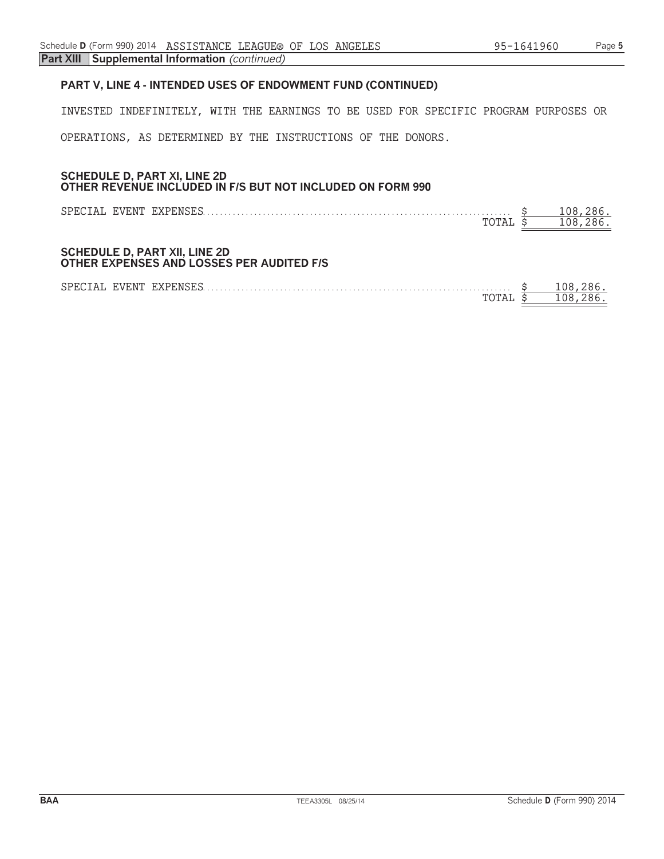## **PART V, LINE 4 - INTENDED USES OF ENDOWMENT FUND (CONTINUED)**

INVESTED INDEFINITELY, WITH THE EARNINGS TO BE USED FOR SPECIFIC PROGRAM PURPOSES OR

OPERATIONS, AS DETERMINED BY THE INSTRUCTIONS OF THE DONORS.

#### **SCHEDULE D, PART XI, LINE 2D OTHER REVENUE INCLUDED IN F/S BUT NOT INCLUDED ON FORM 990**

| <b>SPEC</b><br>$\Delta$ | . F.VENT | 7XPFN |  |
|-------------------------|----------|-------|--|
|                         |          | ⌒罒    |  |

#### **SCHEDULE D, PART XII, LINE 2D OTHER EXPENSES AND LOSSES PER AUDITED F/S**

| SPECIAL EVENT EXPENSES |       | '08.286. |
|------------------------|-------|----------|
|                        | TOTAL |          |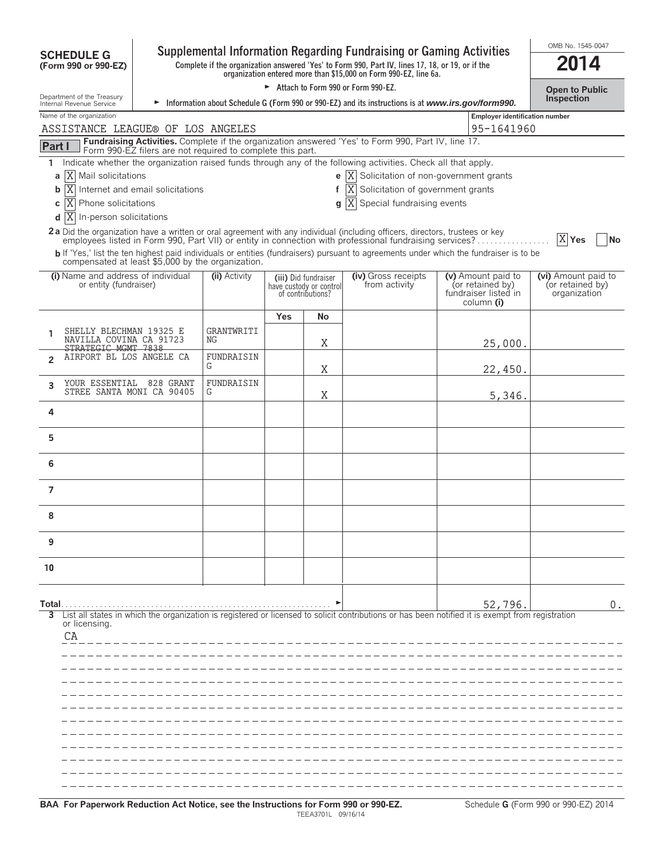|                | <b>SCHEDULE G</b><br>(Form 990 or 990-EZ)                                 |                                                            |                  |     |                                                                      | Supplemental Information Regarding Fundraising or Gaming Activities<br>Complete if the organization answered 'Yes' to Form 990, Part IV, lines 17, 18, or 19, or if the                                                                 |                                                                              | OMB No. 1545-0047                                       |
|----------------|---------------------------------------------------------------------------|------------------------------------------------------------|------------------|-----|----------------------------------------------------------------------|-----------------------------------------------------------------------------------------------------------------------------------------------------------------------------------------------------------------------------------------|------------------------------------------------------------------------------|---------------------------------------------------------|
|                |                                                                           |                                                            |                  |     |                                                                      | organization entered more than \$15,000 on Form 990-EZ, line 6a.<br>Attach to Form 990 or Form 990-EZ.                                                                                                                                  |                                                                              | <b>Open to Public</b>                                   |
|                | Department of the Treasury<br>Internal Revenue Service                    |                                                            |                  |     |                                                                      | Information about Schedule G (Form 990 or 990-EZ) and its instructions is at www.irs.gov/form990.                                                                                                                                       |                                                                              | Inspection                                              |
|                | Name of the organization                                                  |                                                            |                  |     |                                                                      |                                                                                                                                                                                                                                         | <b>Employer identification number</b>                                        |                                                         |
|                | ASSISTANCE LEAGUE® OF LOS ANGELES                                         |                                                            |                  |     |                                                                      |                                                                                                                                                                                                                                         | 95-1641960                                                                   |                                                         |
| Part I         |                                                                           | Form 990-EZ filers are not required to complete this part. |                  |     |                                                                      | Fundraising Activities. Complete if the organization answered 'Yes' to Form 990, Part IV, line 17.                                                                                                                                      |                                                                              |                                                         |
| 1.             |                                                                           |                                                            |                  |     |                                                                      | Indicate whether the organization raised funds through any of the following activities. Check all that apply.                                                                                                                           |                                                                              |                                                         |
| a              | ΙX<br>Mail solicitations                                                  |                                                            |                  |     | e  XI                                                                | Solicitation of non-government grants                                                                                                                                                                                                   |                                                                              |                                                         |
| b<br>C         | $\overline{\mathrm{X}}$<br>ΙX<br>Phone solicitations                      | Internet and email solicitations                           |                  |     | f                                                                    | Solicitation of government grants<br>Special fundraising events<br>$\overline{X}$                                                                                                                                                       |                                                                              |                                                         |
| d              | In-person solicitations<br>ΙX                                             |                                                            |                  |     | a                                                                    |                                                                                                                                                                                                                                         |                                                                              |                                                         |
|                |                                                                           |                                                            |                  |     |                                                                      | 2a Did the organization have a written or oral agreement with any individual (including officers, directors, trustees or key<br>employees listed in Form 990, Part VII) or entity in connection with professional fundraising services? |                                                                              | X Yes<br>l No                                           |
|                | compensated at least \$5,000 by the organization.                         |                                                            |                  |     |                                                                      | b If 'Yes,' list the ten highest paid individuals or entities (fundraisers) pursuant to agreements under which the fundraiser is to be                                                                                                  |                                                                              |                                                         |
|                | (i) Name and address of individual<br>or entity (fundraiser)              |                                                            | (ii) Activity    |     | (iii) Did fundraiser<br>have custody or control<br>of contributions? | (iv) Gross receipts<br>from activity                                                                                                                                                                                                    | (v) Amount paid to<br>(or retained by)<br>fundraiser listed in<br>column (i) | (vi) Amount paid to<br>(or retained by)<br>organization |
|                |                                                                           |                                                            |                  | Yes | No                                                                   |                                                                                                                                                                                                                                         |                                                                              |                                                         |
| 1              | SHELLY BLECHMAN 19325 E<br>NAVILLA COVINA CA 91723<br>STRATEGIC MGMT 7838 |                                                            | GRANTWRITI<br>NG |     | Χ                                                                    |                                                                                                                                                                                                                                         | 25,000.                                                                      |                                                         |
| $\overline{2}$ | AIRPORT BL LOS ANGELE CA                                                  |                                                            | FUNDRAISIN<br>G  |     | Χ                                                                    |                                                                                                                                                                                                                                         | 22,450.                                                                      |                                                         |
| 3              | YOUR ESSENTIAL 828 GRANT<br>STREE SANTA MONI CA 90405                     |                                                            | FUNDRAISIN<br>G  |     | Χ                                                                    |                                                                                                                                                                                                                                         | 5,346.                                                                       |                                                         |
| 4              |                                                                           |                                                            |                  |     |                                                                      |                                                                                                                                                                                                                                         |                                                                              |                                                         |
| 5              |                                                                           |                                                            |                  |     |                                                                      |                                                                                                                                                                                                                                         |                                                                              |                                                         |
| 6              |                                                                           |                                                            |                  |     |                                                                      |                                                                                                                                                                                                                                         |                                                                              |                                                         |
| 7              |                                                                           |                                                            |                  |     |                                                                      |                                                                                                                                                                                                                                         |                                                                              |                                                         |
| 8              |                                                                           |                                                            |                  |     |                                                                      |                                                                                                                                                                                                                                         |                                                                              |                                                         |
| 9              |                                                                           |                                                            |                  |     |                                                                      |                                                                                                                                                                                                                                         |                                                                              |                                                         |
| 10             |                                                                           |                                                            |                  |     |                                                                      |                                                                                                                                                                                                                                         |                                                                              |                                                         |
|                |                                                                           |                                                            |                  |     |                                                                      |                                                                                                                                                                                                                                         |                                                                              |                                                         |
| Total          |                                                                           |                                                            |                  |     |                                                                      | List all states in which the organization is registered or licensed to solicit contributions or has been notified it is exempt from registration                                                                                        | 52,796.                                                                      | $0$ .                                                   |
|                | or licensing.<br>CA                                                       |                                                            |                  |     |                                                                      |                                                                                                                                                                                                                                         |                                                                              |                                                         |
|                |                                                                           |                                                            |                  |     |                                                                      | _______________________                                                                                                                                                                                                                 |                                                                              |                                                         |
|                |                                                                           |                                                            |                  |     |                                                                      |                                                                                                                                                                                                                                         |                                                                              |                                                         |
|                |                                                                           |                                                            |                  |     |                                                                      |                                                                                                                                                                                                                                         |                                                                              |                                                         |
|                |                                                                           |                                                            |                  |     |                                                                      | _______________________________<br>____________________________                                                                                                                                                                         |                                                                              |                                                         |
|                |                                                                           |                                                            |                  |     |                                                                      | ____________________________                                                                                                                                                                                                            |                                                                              |                                                         |
|                |                                                                           |                                                            |                  |     |                                                                      | _________________________________                                                                                                                                                                                                       |                                                                              |                                                         |
|                |                                                                           |                                                            |                  |     |                                                                      | ____________________________________                                                                                                                                                                                                    |                                                                              |                                                         |
|                |                                                                           |                                                            |                  |     |                                                                      | _______________________________                                                                                                                                                                                                         |                                                                              |                                                         |
|                |                                                                           |                                                            |                  |     |                                                                      |                                                                                                                                                                                                                                         |                                                                              |                                                         |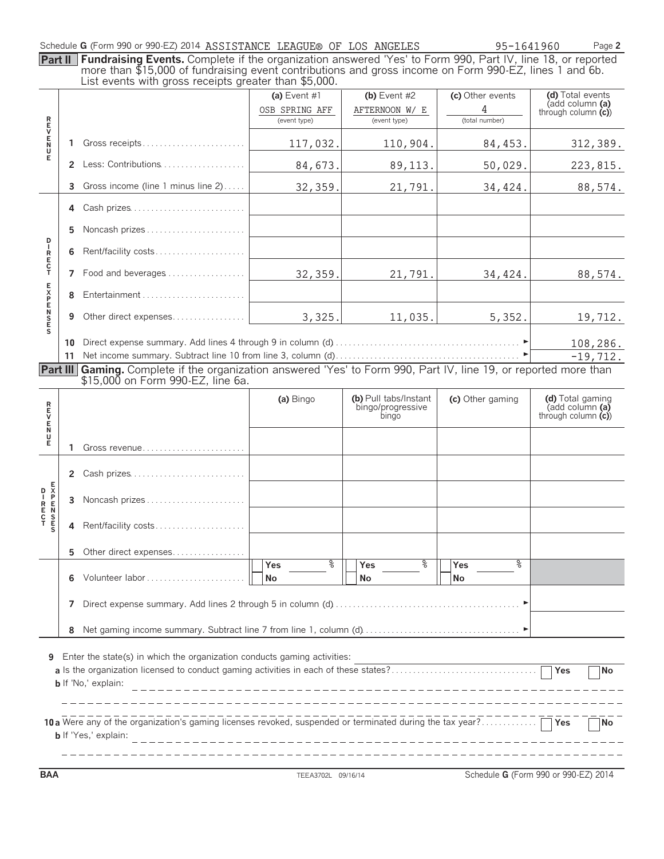#### Schedule **G** (Form 990 or 990-EZ) 2014 ASSISTANCE LEAGUE® OF LOS ANGELES 95-1641960 Page 2

**Part II Fundraising Events.** Complete if the organization answered 'Yes' to Form 990, Part IV, line 18, or reported more than \$15,000 of fundraising event contributions and gross income on Form 990-EZ, lines 1 and 6b. List events with gross receipts greater than \$5,000.

|                  |              | List events with gross receipts greater than \$5,000.                                                                                                                                                                                             |                                                  |                                                     |                                    |                                                             |
|------------------|--------------|---------------------------------------------------------------------------------------------------------------------------------------------------------------------------------------------------------------------------------------------------|--------------------------------------------------|-----------------------------------------------------|------------------------------------|-------------------------------------------------------------|
|                  |              |                                                                                                                                                                                                                                                   | (a) Event $#1$<br>OSB SPRING AFF<br>(event type) | (b) Event $#2$<br>AFTERNOON W/ E<br>(event type)    | (c) Other events<br>(total number) | (d) Total events<br>(add column (a)<br>through column $(c)$ |
| <b>REVENDE</b>   | 1            | Gross receipts                                                                                                                                                                                                                                    | 117,032.                                         | 110,904.                                            | 84,453.                            | 312,389.                                                    |
|                  | $\mathbf{2}$ | Less: Contributions                                                                                                                                                                                                                               | 84,673.                                          | 89,113.                                             | 50,029.                            | 223,815.                                                    |
|                  | 3            | Gross income (line 1 minus line 2)                                                                                                                                                                                                                | 32,359.                                          | 21,791.                                             | 34,424.                            | 88,574.                                                     |
|                  | 4            | Cash prizes                                                                                                                                                                                                                                       |                                                  |                                                     |                                    |                                                             |
|                  | 5.           | Noncash prizes                                                                                                                                                                                                                                    |                                                  |                                                     |                                    |                                                             |
| D<br>T           | 6            | Rent/facility costs                                                                                                                                                                                                                               |                                                  |                                                     |                                    |                                                             |
| R<br>E<br>C<br>T |              | 7 Food and beverages                                                                                                                                                                                                                              | 32, 359.                                         | 21,791.                                             | 34, 424.                           | 88,574.                                                     |
|                  | 8            |                                                                                                                                                                                                                                                   |                                                  |                                                     |                                    |                                                             |
| <b>EXPENSE</b>   | 9            |                                                                                                                                                                                                                                                   | 3,325.                                           | 11,035.                                             | 5,352.                             | 19,712.                                                     |
| s                | 10<br>11     |                                                                                                                                                                                                                                                   |                                                  |                                                     |                                    | 108,286.<br>$-19,712.$                                      |
| Part III         |              | Gaming. Complete if the organization answered 'Yes' to Form 990, Part IV, line 19, or reported more than<br>\$15,000 on Form 990-EZ, line 6a.                                                                                                     |                                                  |                                                     |                                    |                                                             |
|                  |              |                                                                                                                                                                                                                                                   |                                                  |                                                     |                                    |                                                             |
| R<br>EV<br>EN    |              |                                                                                                                                                                                                                                                   | (a) Bingo                                        | (b) Pull tabs/Instant<br>bingo/progressive<br>bingo | (c) Other gaming                   | (d) Total gaming<br>(add column (a)<br>through column $(c)$ |
| u<br>E           | 1            | Gross revenue                                                                                                                                                                                                                                     |                                                  |                                                     |                                    |                                                             |
|                  |              | 2 Cash prizes                                                                                                                                                                                                                                     |                                                  |                                                     |                                    |                                                             |
|                  | 3            | Noncash prizes                                                                                                                                                                                                                                    |                                                  |                                                     |                                    |                                                             |
|                  | 4            | Rent/facility costs                                                                                                                                                                                                                               |                                                  |                                                     |                                    |                                                             |
|                  |              | 5 Other direct expenses                                                                                                                                                                                                                           |                                                  |                                                     |                                    |                                                             |
|                  | 6            |                                                                                                                                                                                                                                                   | $\infty$<br><b>Yes</b><br>No                     | %<br>Yes<br>No                                      | %<br>Yes<br><b>No</b>              |                                                             |
|                  | 7            |                                                                                                                                                                                                                                                   |                                                  |                                                     |                                    |                                                             |
|                  | 8            |                                                                                                                                                                                                                                                   |                                                  |                                                     |                                    |                                                             |
| 9                |              | Enter the state(s) in which the organization conducts gaming activities:<br><b>b</b> If 'No,' explain:<br>10a Were any of the organization's gaming licenses revoked, suspended or terminated during the tax year?<br><b>b</b> If 'Yes,' explain: |                                                  |                                                     |                                    | Yes<br><b>No</b><br>Yes<br>No                               |
|                  |              |                                                                                                                                                                                                                                                   |                                                  |                                                     |                                    |                                                             |

**BAA** TEEA3702L 09/16/14 Schedule **G** (Form 990 or 990-EZ) 2014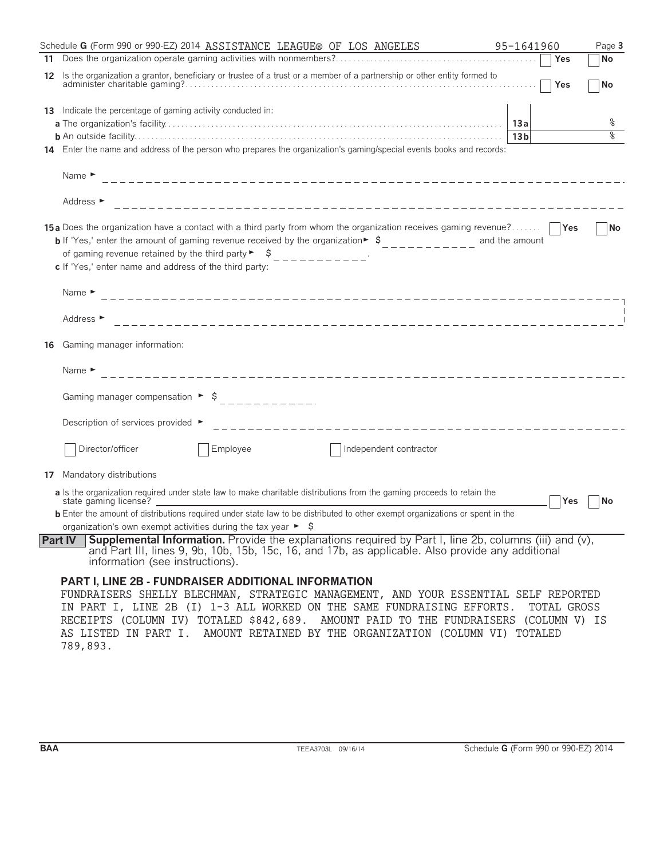| <b>No</b><br><b>No</b><br>ႜ<br>्र                                                                      |
|--------------------------------------------------------------------------------------------------------|
|                                                                                                        |
|                                                                                                        |
|                                                                                                        |
|                                                                                                        |
|                                                                                                        |
|                                                                                                        |
|                                                                                                        |
|                                                                                                        |
| No                                                                                                     |
|                                                                                                        |
|                                                                                                        |
|                                                                                                        |
|                                                                                                        |
|                                                                                                        |
|                                                                                                        |
|                                                                                                        |
|                                                                                                        |
|                                                                                                        |
| No                                                                                                     |
|                                                                                                        |
|                                                                                                        |
|                                                                                                        |
|                                                                                                        |
| Supplemental Information. Provide the explanations required by Part I, line 2b, columns (iii) and (v), |

IN PART I, LINE 2B (I) 1-3 ALL WORKED ON THE SAME FUNDRAISING EFFORTS. TOTAL GROSS RECEIPTS (COLUMN IV) TOTALED \$842,689. AMOUNT PAID TO THE FUNDRAISERS (COLUMN V) IS AS LISTED IN PART I. AMOUNT RETAINED BY THE ORGANIZATION (COLUMN VI) TOTALED 789,893.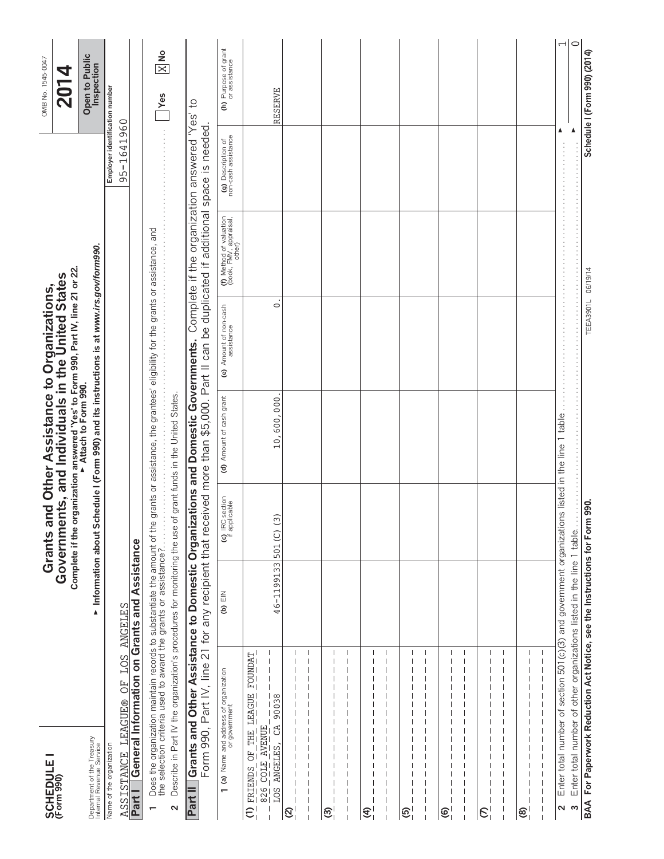| SCHEDULE<br>(Form 990)                                                                                                                                       |                                                                                  |                                                                                                                                         |                                  | Complete if the organization answered 'Yes' to Form 990, Part IV, line 21 or 22.<br>► Attach to Form 990.<br><b>Grants and Other Assistance to Organizations,<br/>Governments, and Individuals in the United States</b>   |                        |                                                             |                                              | OMB No. 1545-0047<br><b>2014</b>      |
|--------------------------------------------------------------------------------------------------------------------------------------------------------------|----------------------------------------------------------------------------------|-----------------------------------------------------------------------------------------------------------------------------------------|----------------------------------|---------------------------------------------------------------------------------------------------------------------------------------------------------------------------------------------------------------------------|------------------------|-------------------------------------------------------------|----------------------------------------------|---------------------------------------|
| Department of the Treasury<br>Internal Revenue Service                                                                                                       |                                                                                  |                                                                                                                                         |                                  | Information about Schedule I (Form 990) and its instructions is at www.irs.gov/form990.                                                                                                                                   |                        |                                                             |                                              | Open to Public<br>Inspection          |
| Name of the organization                                                                                                                                     |                                                                                  |                                                                                                                                         |                                  |                                                                                                                                                                                                                           |                        |                                                             | Employer identification number<br>95-1641960 |                                       |
| ASSISTANCE LEAGUE®<br><b>Part I</b>                                                                                                                          | LOS<br>$\overline{5}$                                                            | General Information on Grants and Assistance<br>ANGELES                                                                                 |                                  |                                                                                                                                                                                                                           |                        |                                                             |                                              |                                       |
| $\mathbf{\Omega}$<br>$\overline{ }$                                                                                                                          |                                                                                  | Does the organization maintain records to substantiate the amount of the the selection criteria used to award the grants or assistance? |                                  | grants or assistance, the grantees' eligibility for the grants or assistance, and<br>Describe in Part IV the organization's procedures for monitoring the use of grant funds in the United States.                        |                        |                                                             |                                              | $\frac{1}{2}$ No<br>Yes               |
| Part II                                                                                                                                                      |                                                                                  |                                                                                                                                         |                                  | Form 990, Part IV, line 21 for any recipient that received more than \$5,000. Part II can be duplicated if additional space is needed.<br>Grants and Other Assistance to Domestic Organizations and Domestic Governments. |                        | Complete if the organization answered 'Yes' to              |                                              |                                       |
| $\overline{ }$                                                                                                                                               | (a) Name and address of organization                                             | (b) $EIN$                                                                                                                               | (c) IRC section<br>if applicable | (d) Amount of cash grant                                                                                                                                                                                                  | (e) Amount of non-cash | (f) Method of valuation<br>(book, FMV, appraisal,<br>other) | (g) Description of<br>non-cash assistance    | (h) Purpose of grant<br>or assistance |
| <u>TRIENDS OF THE LEAGUE FOUNDAT</u><br>$\mathbb{C}^{\mathbb{A}}$<br>826 COLE AVENUE<br>LOS ANGELES,                                                         | $-60038$                                                                         | 46-1199133 501 (C) (3)                                                                                                                  |                                  | 10,600,000                                                                                                                                                                                                                | $\circ$                |                                                             |                                              | RESERVE                               |
| ପ୍ର                                                                                                                                                          |                                                                                  |                                                                                                                                         |                                  |                                                                                                                                                                                                                           |                        |                                                             |                                              |                                       |
| ල                                                                                                                                                            |                                                                                  |                                                                                                                                         |                                  |                                                                                                                                                                                                                           |                        |                                                             |                                              |                                       |
| $\mathfrak{E}$                                                                                                                                               |                                                                                  |                                                                                                                                         |                                  |                                                                                                                                                                                                                           |                        |                                                             |                                              |                                       |
| <u>ල</u>                                                                                                                                                     |                                                                                  |                                                                                                                                         |                                  |                                                                                                                                                                                                                           |                        |                                                             |                                              |                                       |
| ම                                                                                                                                                            |                                                                                  |                                                                                                                                         |                                  |                                                                                                                                                                                                                           |                        |                                                             |                                              |                                       |
| $\infty$                                                                                                                                                     |                                                                                  |                                                                                                                                         |                                  |                                                                                                                                                                                                                           |                        |                                                             |                                              |                                       |
| $\overline{\phantom{a}}$<br>$\overline{\phantom{a}}$<br>$\overline{\phantom{a}}$<br>$\overline{\phantom{a}}$<br>$\mathbf I$<br>$\overline{\phantom{a}}$<br>ම | $\overline{\phantom{a}}$<br>$\overline{\phantom{a}}$<br>$\overline{\phantom{a}}$ |                                                                                                                                         |                                  |                                                                                                                                                                                                                           |                        |                                                             |                                              |                                       |
| S<br>Ν                                                                                                                                                       |                                                                                  | Enter total number of other organizations listed in the line 1 table.                                                                   |                                  |                                                                                                                                                                                                                           |                        |                                                             | Δ                                            | $\circ$                               |
| BAA For Paperwork Reduction Act Notice, see the Instructions for Form                                                                                        |                                                                                  |                                                                                                                                         | 1990.                            |                                                                                                                                                                                                                           | TEEA3901L 06/19/14     |                                                             |                                              | Schedule I (Form 990) (2014)          |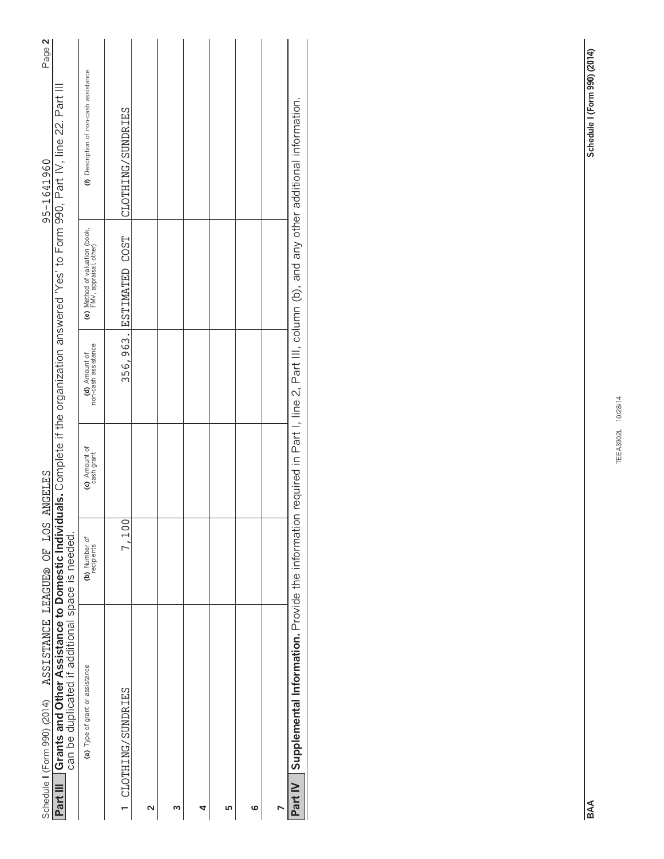| Schedule I (Form 990) (2014) ASSISTANCE LEAGUE® OF LOS                                                                                                                                                 |                             | <b>ANGELES</b>              |                                      |                                                          | 95-1641960                             | Page 2 |
|--------------------------------------------------------------------------------------------------------------------------------------------------------------------------------------------------------|-----------------------------|-----------------------------|--------------------------------------|----------------------------------------------------------|----------------------------------------|--------|
| Part III   Grants and Other Assistance to Domestic Individuals. Complete if the organization answered 'Yes' to Form 990, Part IV, line 22. Part II<br>can be duplicated if additional space is needed. |                             |                             |                                      |                                                          |                                        |        |
| (a) Type of grant or assistance                                                                                                                                                                        | (b) Number of<br>recipients | (c) Amount of<br>cash grant | (d) Amount of<br>non-cash assistance | (e) Method of valuation (book,<br>FMV, appraisal, other) | (f) Description of non-cash assistance |        |
| 1 CLOTHING/SUNDRIES                                                                                                                                                                                    | 7,100                       |                             |                                      | 356, 963. ESTIMATED COST                                 | CLOTHING/SUNDRIES                      |        |
| $\mathbf{\Omega}$                                                                                                                                                                                      |                             |                             |                                      |                                                          |                                        |        |
| m                                                                                                                                                                                                      |                             |                             |                                      |                                                          |                                        |        |
|                                                                                                                                                                                                        |                             |                             |                                      |                                                          |                                        |        |
| S                                                                                                                                                                                                      |                             |                             |                                      |                                                          |                                        |        |
| ဖ                                                                                                                                                                                                      |                             |                             |                                      |                                                          |                                        |        |
|                                                                                                                                                                                                        |                             |                             |                                      |                                                          |                                        |        |
| Part IV   Supplemental Information. Provide the information required in Part I, line 2, Part III, column (b), and any other additional information.                                                    |                             |                             |                                      |                                                          |                                        |        |
|                                                                                                                                                                                                        |                             |                             |                                      |                                                          |                                        |        |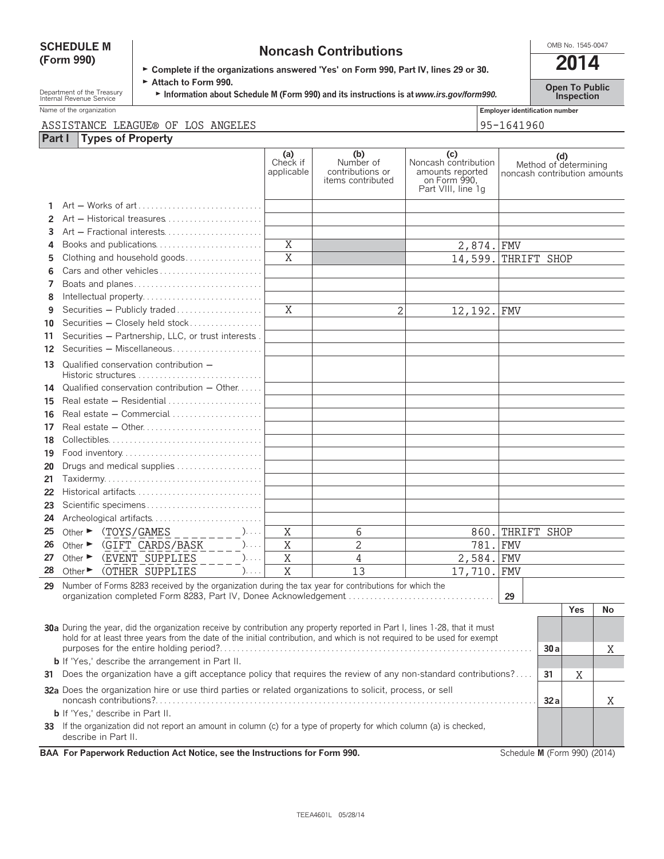# **SCHEDULE M Noncash Contributions CONDING.** 1545-0047 **CONDING.** 1545-0047 **Noncash Contributions 2014**

► Complete if the organizations answered 'Yes' on Form 990, Part IV, lines 29 or 30. **Open To Public** Department of the Treasury **CALC → Attach to Form 990.**<br>Internal Revenue Service **Inspection Inspection** 

Name of the organization **Employer identification number Employer identification number** 

| ASSISTANCE LEAGUE® OF LOS ANGELES |  |  |  |
|-----------------------------------|--|--|--|
|                                   |  |  |  |

| Employer identification |  |
|-------------------------|--|
| 95-1641960              |  |

| <b>Part I</b> | <b>Types of Property</b>                                                                                                                                                                                                                                |                               |                                                           |                                                                                       |                  |                                                              |    |
|---------------|---------------------------------------------------------------------------------------------------------------------------------------------------------------------------------------------------------------------------------------------------------|-------------------------------|-----------------------------------------------------------|---------------------------------------------------------------------------------------|------------------|--------------------------------------------------------------|----|
|               |                                                                                                                                                                                                                                                         | (a)<br>Check if<br>applicable | (b)<br>Number of<br>contributions or<br>items contributed | (c)<br>Noncash contribution<br>amounts reported<br>on Form 990,<br>Part VIII, line 1q |                  | (d)<br>Method of determining<br>noncash contribution amounts |    |
|               | Art - Works of art                                                                                                                                                                                                                                      |                               |                                                           |                                                                                       |                  |                                                              |    |
| 2             | Art - Historical treasures                                                                                                                                                                                                                              |                               |                                                           |                                                                                       |                  |                                                              |    |
| 3             |                                                                                                                                                                                                                                                         |                               |                                                           |                                                                                       |                  |                                                              |    |
| 4             | Books and publications                                                                                                                                                                                                                                  | X                             |                                                           | 2,874. FMV                                                                            |                  |                                                              |    |
| 5             | Clothing and household goods                                                                                                                                                                                                                            | $\overline{\mathrm{X}}$       |                                                           | 14,599. THRIFT SHOP                                                                   |                  |                                                              |    |
| 6             | Cars and other vehicles                                                                                                                                                                                                                                 |                               |                                                           |                                                                                       |                  |                                                              |    |
| 7             | Boats and planes                                                                                                                                                                                                                                        |                               |                                                           |                                                                                       |                  |                                                              |    |
| 8             | Intellectual property                                                                                                                                                                                                                                   |                               |                                                           |                                                                                       |                  |                                                              |    |
| 9             | Securities - Publicly traded                                                                                                                                                                                                                            | X                             | 2                                                         | 12,192. FMV                                                                           |                  |                                                              |    |
| 10            | Securities - Closely held stock                                                                                                                                                                                                                         |                               |                                                           |                                                                                       |                  |                                                              |    |
| 11            | Securities - Partnership, LLC, or trust interests.                                                                                                                                                                                                      |                               |                                                           |                                                                                       |                  |                                                              |    |
| 12            | Securities - Miscellaneous                                                                                                                                                                                                                              |                               |                                                           |                                                                                       |                  |                                                              |    |
| 13            | Qualified conservation contribution -                                                                                                                                                                                                                   |                               |                                                           |                                                                                       |                  |                                                              |    |
| 14            | Qualified conservation contribution - Other                                                                                                                                                                                                             |                               |                                                           |                                                                                       |                  |                                                              |    |
| 15            | Real estate $-$ Residential $\ldots$ , $\ldots$ , $\ldots$ , $\ldots$ , $\ldots$                                                                                                                                                                        |                               |                                                           |                                                                                       |                  |                                                              |    |
|               | Real estate - Commercial                                                                                                                                                                                                                                |                               |                                                           |                                                                                       |                  |                                                              |    |
| 16            | Real estate $-$ Other, $\ldots$ , $\ldots$ , $\ldots$ , $\ldots$ , $\ldots$ , $\ldots$                                                                                                                                                                  |                               |                                                           |                                                                                       |                  |                                                              |    |
| 17            |                                                                                                                                                                                                                                                         |                               |                                                           |                                                                                       |                  |                                                              |    |
| 18            |                                                                                                                                                                                                                                                         |                               |                                                           |                                                                                       |                  |                                                              |    |
| 19            |                                                                                                                                                                                                                                                         |                               |                                                           |                                                                                       |                  |                                                              |    |
| 20            | Drugs and medical supplies                                                                                                                                                                                                                              |                               |                                                           |                                                                                       |                  |                                                              |    |
| 21            |                                                                                                                                                                                                                                                         |                               |                                                           |                                                                                       |                  |                                                              |    |
| 22            |                                                                                                                                                                                                                                                         |                               |                                                           |                                                                                       |                  |                                                              |    |
| 23            | Scientific specimens                                                                                                                                                                                                                                    |                               |                                                           |                                                                                       |                  |                                                              |    |
| 24            | Archeological artifacts                                                                                                                                                                                                                                 |                               |                                                           |                                                                                       |                  |                                                              |    |
| 25            | Other $\triangleright$ (TOYS/GAMES ________)                                                                                                                                                                                                            | Χ                             | 6                                                         |                                                                                       | 860. THRIFT SHOP |                                                              |    |
| 26            | (GIFT $CARDS/BASK$ _ _ _ _)<br>Other $\blacktriangleright$                                                                                                                                                                                              | X                             | 2                                                         | 781.                                                                                  | <b>FMV</b>       |                                                              |    |
| 27            | Other CEVENT SUPPLIES (D.O.                                                                                                                                                                                                                             | $\mathbf X$                   | 4                                                         | 2,584. FMV                                                                            |                  |                                                              |    |
| 28            | Other▶ (OTHER SUPPLIES<br>).                                                                                                                                                                                                                            | X                             | 13                                                        | 17,710. FMV                                                                           |                  |                                                              |    |
| 29            | Number of Forms 8283 received by the organization during the tax year for contributions for which the                                                                                                                                                   |                               |                                                           |                                                                                       |                  |                                                              |    |
|               | organization completed Form 8283, Part IV, Donee Acknowledgement                                                                                                                                                                                        |                               |                                                           |                                                                                       | 29               |                                                              |    |
|               |                                                                                                                                                                                                                                                         |                               |                                                           |                                                                                       |                  | Yes                                                          | No |
|               | 30a During the year, did the organization receive by contribution any property reported in Part I, lines 1-28, that it must<br>hold for at least three years from the date of the initial contribution, and which is not required to be used for exempt |                               |                                                           |                                                                                       |                  |                                                              |    |
|               | 30a<br>X                                                                                                                                                                                                                                                |                               |                                                           |                                                                                       |                  |                                                              |    |
|               | <b>b</b> If 'Yes,' describe the arrangement in Part II.                                                                                                                                                                                                 |                               |                                                           |                                                                                       |                  |                                                              |    |
| 31            | Does the organization have a gift acceptance policy that requires the review of any non-standard contributions?                                                                                                                                         |                               |                                                           |                                                                                       |                  | 31<br>Χ                                                      |    |
|               | 32a Does the organization hire or use third parties or related organizations to solicit, process, or sell                                                                                                                                               |                               |                                                           |                                                                                       |                  | 32a                                                          | X  |
|               | <b>b</b> If 'Yes,' describe in Part II.                                                                                                                                                                                                                 |                               |                                                           |                                                                                       |                  |                                                              |    |
|               | 33 If the organization did not report an amount in column (c) for a type of property for which column (a) is checked,                                                                                                                                   |                               |                                                           |                                                                                       |                  |                                                              |    |

describe in Part II.

**BAA For Paperwork Reduction Act Notice, see the Instructions for Form 990.** Schedule **M** (Form 990) (2014)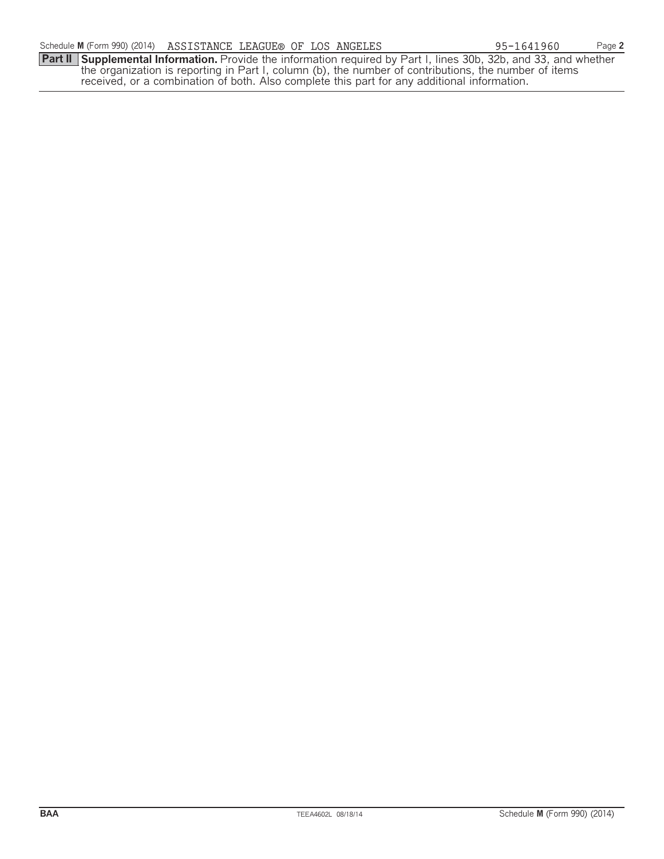**Part II Supplemental Information.** Provide the information required by Part I, lines 30b, 32b, and 33, and whether the organization is reporting in Part I, column (b), the number of contributions, the number of items received, or a combination of both. Also complete this part for any additional information.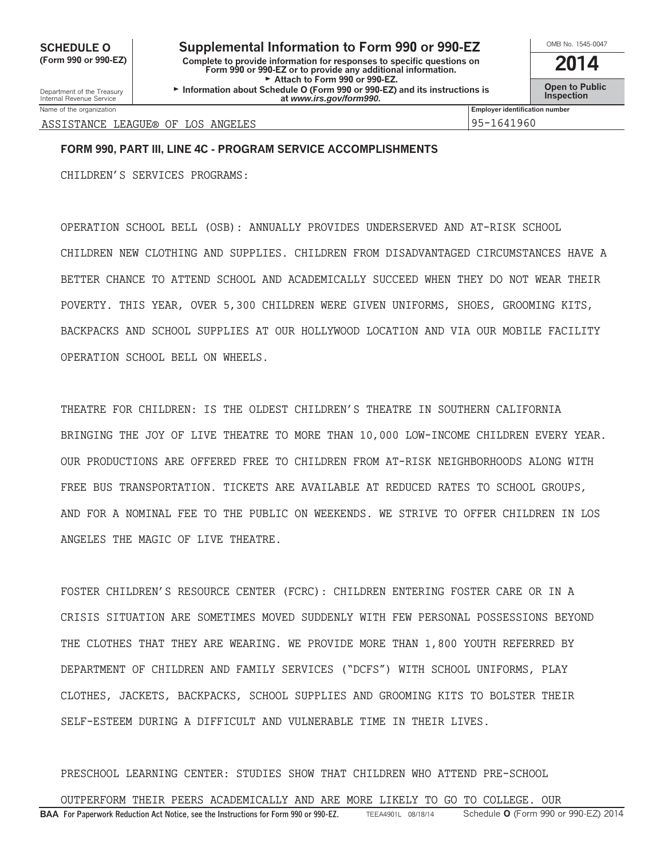**CHEDULE O** Supplemental Information to Form 990 or 990-EZ<br> **OMB No. 1545-0047** Complete to provide information for responses to specific questions on **(Form 990 or 990-EZ) Complete to provide information for responses to specific questions on Form 990 or 990-EZ or to provide any additional information. 2014** Attach to Form 990 or 990-EZ. Gepartment of the Treasury **Information about Schedule O (Form 990 or 990-EZ) and its instructions is**<br>Internal Revenue Service **Inspection**<br>at www.irs.gov/form990. Internal Revenue Service **Inspection at** *www.irs.gov/form990.*

Name of the organization **number Employer identification number Employer identification number** 

ASSISTANCE LEAGUE® OF LOS ANGELES 95-1641960

#### **FORM 990, PART III, LINE 4C - PROGRAM SERVICE ACCOMPLISHMENTS**

CHILDREN'S SERVICES PROGRAMS:

OPERATION SCHOOL BELL (OSB): ANNUALLY PROVIDES UNDERSERVED AND AT-RISK SCHOOL CHILDREN NEW CLOTHING AND SUPPLIES. CHILDREN FROM DISADVANTAGED CIRCUMSTANCES HAVE A BETTER CHANCE TO ATTEND SCHOOL AND ACADEMICALLY SUCCEED WHEN THEY DO NOT WEAR THEIR POVERTY. THIS YEAR, OVER 5,300 CHILDREN WERE GIVEN UNIFORMS, SHOES, GROOMING KITS, BACKPACKS AND SCHOOL SUPPLIES AT OUR HOLLYWOOD LOCATION AND VIA OUR MOBILE FACILITY OPERATION SCHOOL BELL ON WHEELS.

THEATRE FOR CHILDREN: IS THE OLDEST CHILDREN'S THEATRE IN SOUTHERN CALIFORNIA BRINGING THE JOY OF LIVE THEATRE TO MORE THAN 10,000 LOW-INCOME CHILDREN EVERY YEAR. OUR PRODUCTIONS ARE OFFERED FREE TO CHILDREN FROM AT-RISK NEIGHBORHOODS ALONG WITH FREE BUS TRANSPORTATION. TICKETS ARE AVAILABLE AT REDUCED RATES TO SCHOOL GROUPS, AND FOR A NOMINAL FEE TO THE PUBLIC ON WEEKENDS. WE STRIVE TO OFFER CHILDREN IN LOS ANGELES THE MAGIC OF LIVE THEATRE.

FOSTER CHILDREN'S RESOURCE CENTER (FCRC): CHILDREN ENTERING FOSTER CARE OR IN A CRISIS SITUATION ARE SOMETIMES MOVED SUDDENLY WITH FEW PERSONAL POSSESSIONS BEYOND THE CLOTHES THAT THEY ARE WEARING. WE PROVIDE MORE THAN 1,800 YOUTH REFERRED BY DEPARTMENT OF CHILDREN AND FAMILY SERVICES ("DCFS") WITH SCHOOL UNIFORMS, PLAY CLOTHES, JACKETS, BACKPACKS, SCHOOL SUPPLIES AND GROOMING KITS TO BOLSTER THEIR SELF-ESTEEM DURING A DIFFICULT AND VULNERABLE TIME IN THEIR LIVES.

**BAA For Paperwork Reduction Act Notice, see the Instructions for Form 990 or 990-EZ.** TEEA4901L 08/18/14 Schedule **O** (Form 990 or 990-EZ) 2014 PRESCHOOL LEARNING CENTER: STUDIES SHOW THAT CHILDREN WHO ATTEND PRE-SCHOOL OUTPERFORM THEIR PEERS ACADEMICALLY AND ARE MORE LIKELY TO GO TO COLLEGE. OUR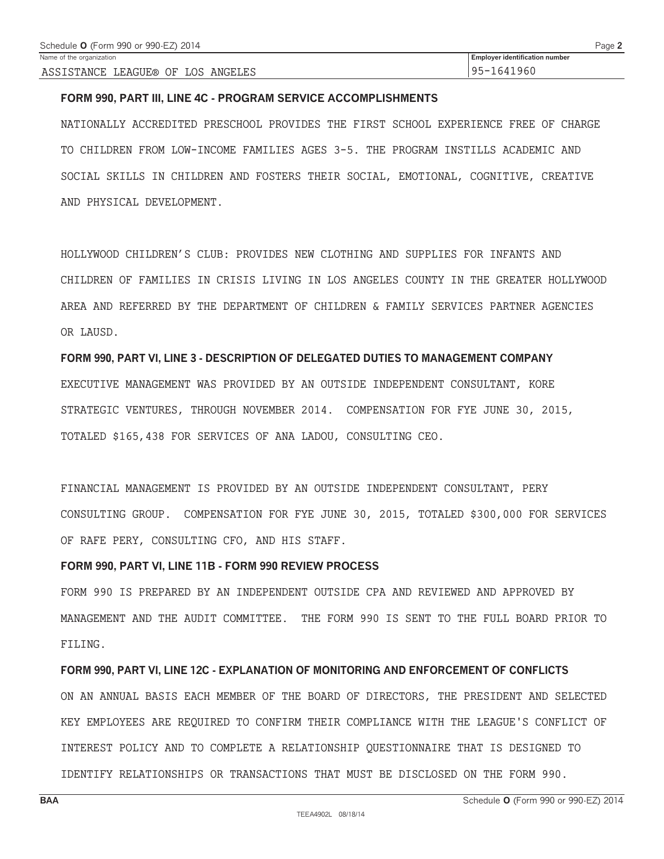#### **FORM 990, PART III, LINE 4C - PROGRAM SERVICE ACCOMPLISHMENTS**

NATIONALLY ACCREDITED PRESCHOOL PROVIDES THE FIRST SCHOOL EXPERIENCE FREE OF CHARGE TO CHILDREN FROM LOW-INCOME FAMILIES AGES 3-5. THE PROGRAM INSTILLS ACADEMIC AND SOCIAL SKILLS IN CHILDREN AND FOSTERS THEIR SOCIAL, EMOTIONAL, COGNITIVE, CREATIVE AND PHYSICAL DEVELOPMENT.

HOLLYWOOD CHILDREN'S CLUB: PROVIDES NEW CLOTHING AND SUPPLIES FOR INFANTS AND CHILDREN OF FAMILIES IN CRISIS LIVING IN LOS ANGELES COUNTY IN THE GREATER HOLLYWOOD AREA AND REFERRED BY THE DEPARTMENT OF CHILDREN & FAMILY SERVICES PARTNER AGENCIES OR LAUSD.

#### **FORM 990, PART VI, LINE 3 - DESCRIPTION OF DELEGATED DUTIES TO MANAGEMENT COMPANY**

EXECUTIVE MANAGEMENT WAS PROVIDED BY AN OUTSIDE INDEPENDENT CONSULTANT, KORE STRATEGIC VENTURES, THROUGH NOVEMBER 2014. COMPENSATION FOR FYE JUNE 30, 2015, TOTALED \$165,438 FOR SERVICES OF ANA LADOU, CONSULTING CEO.

FINANCIAL MANAGEMENT IS PROVIDED BY AN OUTSIDE INDEPENDENT CONSULTANT, PERY CONSULTING GROUP. COMPENSATION FOR FYE JUNE 30, 2015, TOTALED \$300,000 FOR SERVICES OF RAFE PERY, CONSULTING CFO, AND HIS STAFF.

#### **FORM 990, PART VI, LINE 11B - FORM 990 REVIEW PROCESS**

FORM 990 IS PREPARED BY AN INDEPENDENT OUTSIDE CPA AND REVIEWED AND APPROVED BY MANAGEMENT AND THE AUDIT COMMITTEE. THE FORM 990 IS SENT TO THE FULL BOARD PRIOR TO FILING.

#### **FORM 990, PART VI, LINE 12C - EXPLANATION OF MONITORING AND ENFORCEMENT OF CONFLICTS**

ON AN ANNUAL BASIS EACH MEMBER OF THE BOARD OF DIRECTORS, THE PRESIDENT AND SELECTED KEY EMPLOYEES ARE REQUIRED TO CONFIRM THEIR COMPLIANCE WITH THE LEAGUE'S CONFLICT OF INTEREST POLICY AND TO COMPLETE A RELATIONSHIP QUESTIONNAIRE THAT IS DESIGNED TO IDENTIFY RELATIONSHIPS OR TRANSACTIONS THAT MUST BE DISCLOSED ON THE FORM 990.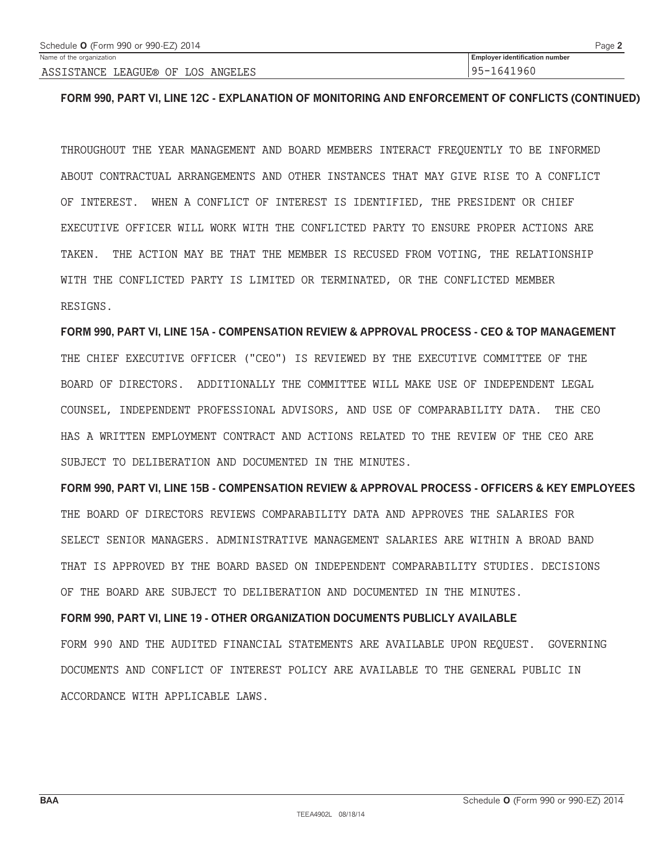#### **FORM 990, PART VI, LINE 12C - EXPLANATION OF MONITORING AND ENFORCEMENT OF CONFLICTS (CONTINUED)**

THROUGHOUT THE YEAR MANAGEMENT AND BOARD MEMBERS INTERACT FREQUENTLY TO BE INFORMED ABOUT CONTRACTUAL ARRANGEMENTS AND OTHER INSTANCES THAT MAY GIVE RISE TO A CONFLICT OF INTEREST. WHEN A CONFLICT OF INTEREST IS IDENTIFIED, THE PRESIDENT OR CHIEF EXECUTIVE OFFICER WILL WORK WITH THE CONFLICTED PARTY TO ENSURE PROPER ACTIONS ARE TAKEN. THE ACTION MAY BE THAT THE MEMBER IS RECUSED FROM VOTING, THE RELATIONSHIP WITH THE CONFLICTED PARTY IS LIMITED OR TERMINATED, OR THE CONFLICTED MEMBER RESIGNS.

**FORM 990, PART VI, LINE 15A - COMPENSATION REVIEW & APPROVAL PROCESS - CEO & TOP MANAGEMENT** THE CHIEF EXECUTIVE OFFICER ("CEO") IS REVIEWED BY THE EXECUTIVE COMMITTEE OF THE BOARD OF DIRECTORS. ADDITIONALLY THE COMMITTEE WILL MAKE USE OF INDEPENDENT LEGAL COUNSEL, INDEPENDENT PROFESSIONAL ADVISORS, AND USE OF COMPARABILITY DATA. THE CEO HAS A WRITTEN EMPLOYMENT CONTRACT AND ACTIONS RELATED TO THE REVIEW OF THE CEO ARE SUBJECT TO DELIBERATION AND DOCUMENTED IN THE MINUTES.

**FORM 990, PART VI, LINE 15B - COMPENSATION REVIEW & APPROVAL PROCESS - OFFICERS & KEY EMPLOYEES** THE BOARD OF DIRECTORS REVIEWS COMPARABILITY DATA AND APPROVES THE SALARIES FOR SELECT SENIOR MANAGERS. ADMINISTRATIVE MANAGEMENT SALARIES ARE WITHIN A BROAD BAND THAT IS APPROVED BY THE BOARD BASED ON INDEPENDENT COMPARABILITY STUDIES. DECISIONS OF THE BOARD ARE SUBJECT TO DELIBERATION AND DOCUMENTED IN THE MINUTES.

#### **FORM 990, PART VI, LINE 19 - OTHER ORGANIZATION DOCUMENTS PUBLICLY AVAILABLE**

FORM 990 AND THE AUDITED FINANCIAL STATEMENTS ARE AVAILABLE UPON REQUEST. GOVERNING DOCUMENTS AND CONFLICT OF INTEREST POLICY ARE AVAILABLE TO THE GENERAL PUBLIC IN ACCORDANCE WITH APPLICABLE LAWS.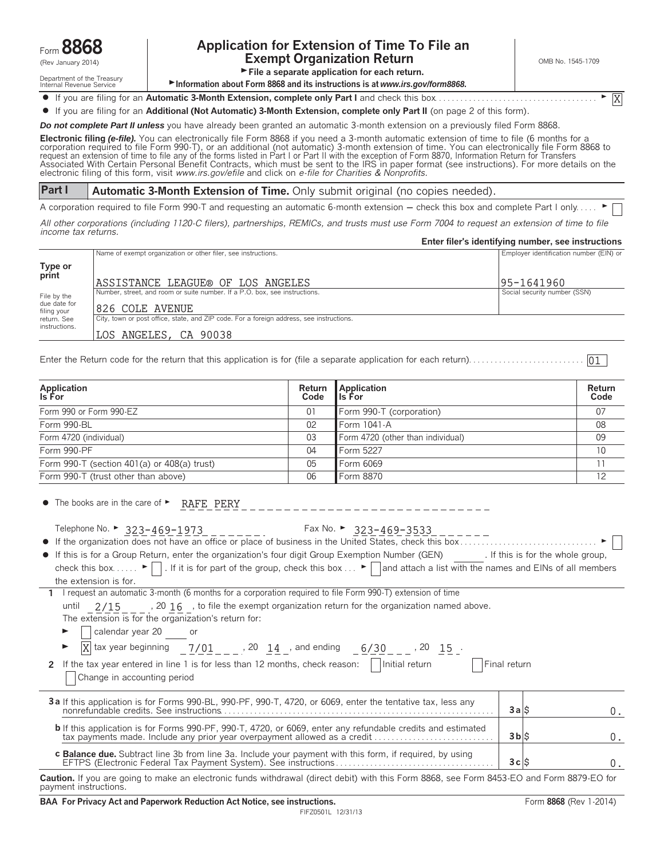

## $\mathcal{L}_{\text{new}}$  and  $\mathcal{L}_{\text{new}}$  and  $\mathcal{L}_{\text{new}}$  and  $\mathcal{L}_{\text{new}}$  and  $\mathcal{L}_{\text{new}}$  and  $\mathcal{L}_{\text{new}}$  and  $\mathcal{L}_{\text{new}}$  and  $\mathcal{L}_{\text{new}}$  and  $\mathcal{L}_{\text{new}}$  and  $\mathcal{L}_{\text{new}}$  and  $\mathcal{L}_{\text{new}}$  and  $\mathcal{L}_{\text{new}}$  and  $\mathcal{$

X

Department of the Treasury<br>Internal Revenue Service<br>**File a separate application for each return.**<br>Information about Form 8868 and its instructions is at www.irs.go ► Information about Form 8868 and its instructions is at *www.irs.gov/form8868.* 

? If you are filing for an **Automatic 3-Month Extension, complete only Part I** and check this box. . . . . . . . . . . . . . . . . . . . . . . . . . . . . . . . . . . . . . G

? If you are filing for an **Additional (Not Automatic) 3-Month Extension, complete only Part II** (on page 2 of this form).

*Do not complete Part II unless* you have already been granted an automatic 3-month extension on a previously filed Form 8868.

**Electronic filing** *(e-file).* You can electronically file Form 8868 if you need a 3-month automatic extension of time to file (6 months for a corporation required to file Form 990-T), or an additional (not automatic) 3-month extension of time. You can electronically file Form 8868 to<br>request an extension of time to file any of the forms listed in Part I or Part electronic filing of this form, visit *www.irs.gov/efile* and click on *e-file for Charities & Nonprofits.*

**Part I Automatic 3-Month Extension of Time.** Only submit original (no copies needed).

A corporation required to file Form 990-T and requesting an automatic 6-month extension - check this box and complete Part I only. .

*All other corporations (including 1120-C filers), partnerships, REMICs, and trusts must use Form 7004 to request an extension of time to file income tax returns.*

|                                                 |                                                                                          | Enter mer 3 fuentinying number, 300 m30 detions |  |  |
|-------------------------------------------------|------------------------------------------------------------------------------------------|-------------------------------------------------|--|--|
|                                                 | Name of exempt organization or other filer, see instructions.                            | Employer identification number (EIN) or         |  |  |
| Type or<br>print                                |                                                                                          |                                                 |  |  |
|                                                 | ASSISTANCE LEAGUE® OF LOS ANGELES                                                        | 95-1641960                                      |  |  |
| File by the                                     | Number, street, and room or suite number. If a P.O. box, see instructions.               | Social security number (SSN)                    |  |  |
| due date for<br>1826 COLE AVENUE<br>filing your |                                                                                          |                                                 |  |  |
| return, See                                     | City, town or post office, state, and ZIP code. For a foreign address, see instructions. |                                                 |  |  |
| instructions.                                   | LOS ANGELES, CA 90038                                                                    |                                                 |  |  |
|                                                 |                                                                                          |                                                 |  |  |

Enter the Return code for the return that this application is for (file a separate application for each return). . . . . . . . . . . . . . . . . . . . . . . . . . . 01

| <b>Application</b><br>Is For                        | Return<br>Code | <b>Application</b><br>l Is For    | Return<br>Code |
|-----------------------------------------------------|----------------|-----------------------------------|----------------|
| Form 990 or Form 990-EZ                             | 01             | Form 990-T (corporation)          | 07             |
| Form 990-BL                                         | 02             | Form 1041-A                       | 08             |
| Form 4720 (individual)                              | 03             | Form 4720 (other than individual) | 09             |
| Form 990-PF                                         | 04             | Form 5227                         | 10             |
| Form $990 - T$ (section $401(a)$ or $408(a)$ trust) | 05             | Form 6069                         |                |
| Form 990-T (trust other than above)                 | 06             | Form 8870                         | 12             |

| • The books are in the care of $\blacktriangleright$ RAFE PERY |  |
|----------------------------------------------------------------|--|
|                                                                |  |

| Telephone No. $\triangleright$ 323-469-1973 _ _ _ _ _ _ _ Fax No. $\triangleright$ 323-469-3533                                                                                                 |                 |       |
|-------------------------------------------------------------------------------------------------------------------------------------------------------------------------------------------------|-----------------|-------|
|                                                                                                                                                                                                 |                 |       |
| • If this is for a Group Return, enter the organization's four digit Group Exemption Number (GEN) [f this is for the whole group,                                                               |                 |       |
| check this box $\blacktriangleright \blacksquare$ . If it is for part of the group, check this box $\blacktriangleright \blacksquare$ and attach a list with the names and EINs of all members  |                 |       |
| the extension is for.                                                                                                                                                                           |                 |       |
| I request an automatic 3-month (6 months for a corporation required to file Form 990-T) extension of time                                                                                       |                 |       |
| until $2/15$ , 20 16, to file the exempt organization return for the organization named above.                                                                                                  |                 |       |
| The extension is for the organization's return for:                                                                                                                                             |                 |       |
| calendar year 20 _____ or                                                                                                                                                                       |                 |       |
| $\frac{1}{ X }$ tax year beginning $\frac{7}{.01}$ $\frac{10}{1}$ $\frac{14}{1}$ and ending $\frac{6}{.30}$ $\frac{15}{1}$ $\frac{15}{1}$                                                       |                 |       |
|                                                                                                                                                                                                 |                 |       |
| If the tax year entered in line 1 is for less than 12 months, check reason: $\vert$   Initial return $\vert$ Final return                                                                       |                 |       |
| Change in accounting period                                                                                                                                                                     |                 |       |
|                                                                                                                                                                                                 |                 |       |
| <b>3a</b> If this application is for Forms 990-BL, 990-PF, 990-T, 4720, or 6069, enter the tentative tax, less any                                                                              | 3a S            | 0.    |
|                                                                                                                                                                                                 |                 |       |
| <b>b</b> If this application is for Forms 990-PF, 990-T, 4720, or 6069, enter any refundable credits and estimated<br>tax payments made. Include any prior year overpayment allowed as a credit | $3b$ $\uparrow$ | 0.    |
|                                                                                                                                                                                                 |                 |       |
| c Balance due. Subtract line 3b from line 3a. Include your payment with this form, if required, by using                                                                                        | 3c              | $0$ . |
|                                                                                                                                                                                                 |                 |       |

**Caution.** If you are going to make an electronic funds withdrawal (direct debit) with this Form 8868, see Form 8453-EO and Form 8879-EO for payment instructions.

**Enter filer's identifying number, see instructions**